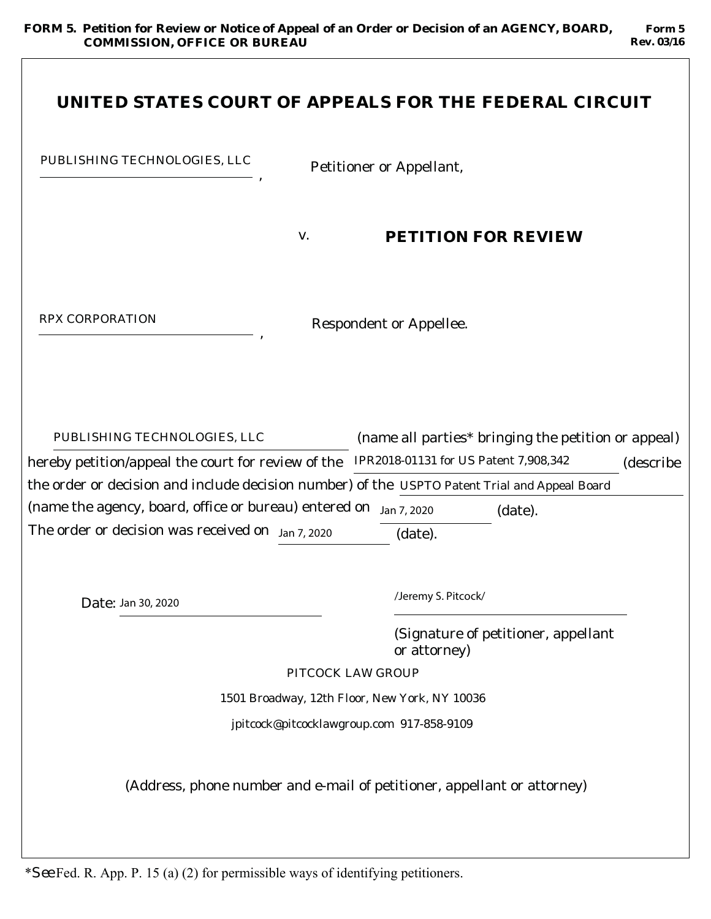**Form 5 Rev. 03/16**

| UNITED STATES COURT OF APPEALS FOR THE FEDERAL CIRCUIT                                                                                                                                                                                                                                                                                                   |                                 |                                               |                                                                |           |
|----------------------------------------------------------------------------------------------------------------------------------------------------------------------------------------------------------------------------------------------------------------------------------------------------------------------------------------------------------|---------------------------------|-----------------------------------------------|----------------------------------------------------------------|-----------|
| PUBLISHING TECHNOLOGIES, LLC                                                                                                                                                                                                                                                                                                                             | <b>Petitioner or Appellant,</b> |                                               |                                                                |           |
|                                                                                                                                                                                                                                                                                                                                                          | V.                              | PETITION FOR REVIEW                           |                                                                |           |
| RPX CORPORATION                                                                                                                                                                                                                                                                                                                                          |                                 | <b>Respondent or Appellee.</b>                |                                                                |           |
| PUBLISHING TECHNOLOGIES, LLC<br>hereby petition/appeal the court for review of the IPR2018-01131 for US Patent 7,908,342<br>the order or decision and include decision number) of the USPTO Patent Trial and Appeal Board<br>(name the agency, board, office or bureau) entered on Jan 7, 2020<br>The order or decision was received on $J_{an}$ 7, 2020 |                                 | (date).                                       | (name all parties* bringing the petition or appeal)<br>(date). | (describe |
| Date: Jan 30, 2020                                                                                                                                                                                                                                                                                                                                       |                                 | /Jeremy S. Pitcock/                           |                                                                |           |
|                                                                                                                                                                                                                                                                                                                                                          | PITCOCK LAW GROUP               | or attorney)                                  | (Signature of petitioner, appellant                            |           |
|                                                                                                                                                                                                                                                                                                                                                          |                                 | 1501 Broadway, 12th Floor, New York, NY 10036 |                                                                |           |
|                                                                                                                                                                                                                                                                                                                                                          |                                 | jpitcock@pitcocklawgroup.com 917-858-9109     |                                                                |           |
| (Address, phone number and e-mail of petitioner, appellant or attorney)                                                                                                                                                                                                                                                                                  |                                 |                                               |                                                                |           |

\**See* Fed. R. App. P. 15 (a) (2) for permissible ways of identifying petitioners.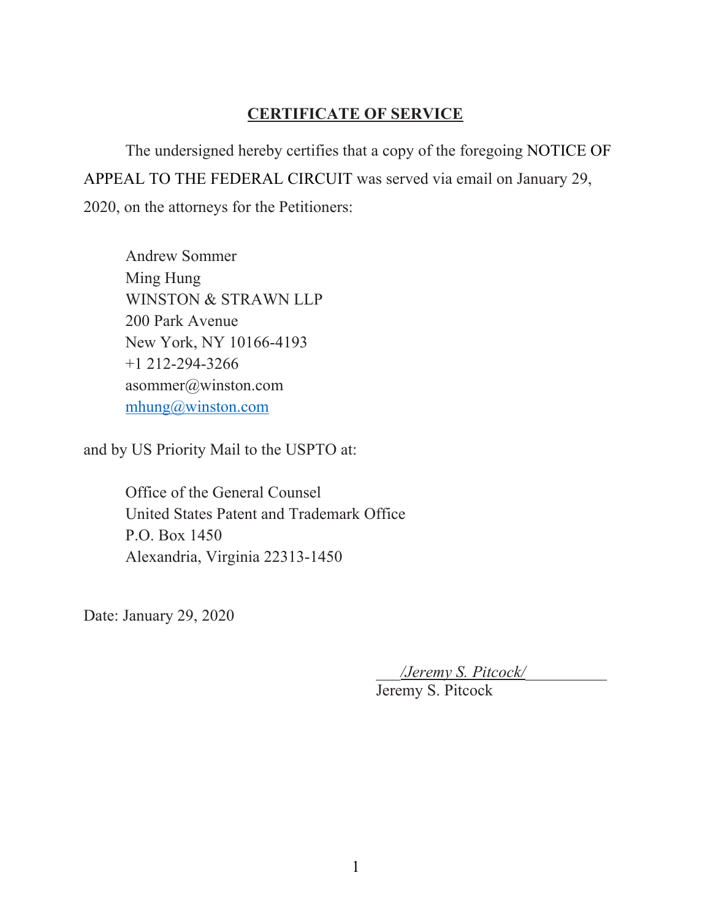## **CERTIFICATE OF SERVICE**

The undersigned hereby certifies that a copy of the foregoing NOTICE OF APPEAL TO THE FEDERAL CIRCUIT was served via email on January 29, 2020, on the attorneys for the Petitioners:

Andrew Sommer Ming Hung WINSTON & STRAWN LLP 200 Park Avenue New York, NY 10166-4193 +1 212-294-3266 asommer@winston.com mhung@winston.com

and by US Priority Mail to the USPTO at:

Office of the General Counsel United States Patent and Trademark Office P.O. Box 1450 Alexandria, Virginia 22313-1450

Date: January 29, 2020

*\_\_\_/Jeremy S. Pitcock/\_\_\_\_\_\_\_\_\_\_*

Jeremy S. Pitcock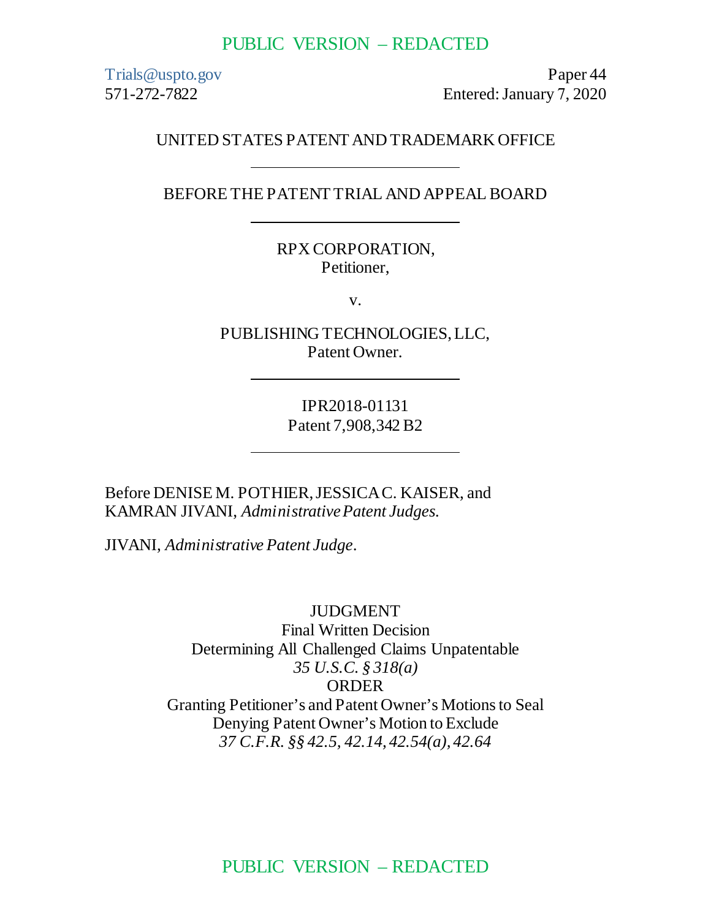#### PUBLIC VERSION – REDACTED

Trials@uspto.gov 571-272-7822

Paper 44 Entered: January 7, 2020

#### UNITED STATES PATENT AND TRADEMARK OFFICE

BEFORE THE PATENT TRIAL AND APPEAL BOARD

RPX CORPORATION, Petitioner,

v.

PUBLISHING TECHNOLOGIES, LLC, Patent Owner.

> IPR2018-01131 Patent 7,908,342 B2

Before DENISE M. POTHIER, JESSICA C. KAISER, and KAMRAN JIVANI, *Administrative Patent Judges.* 

JIVANI, *Administrative Patent Judge*.

JUDGMENT Final Written Decision Determining All Challenged Claims Unpatentable *35 U.S.C. § 318(a)* ORDER Granting Petitioner's and Patent Owner's Motions to Seal Denying Patent Owner's Motion to Exclude *37 C.F.R. §§ 42.5, 42.14, 42.54(a), 42.64*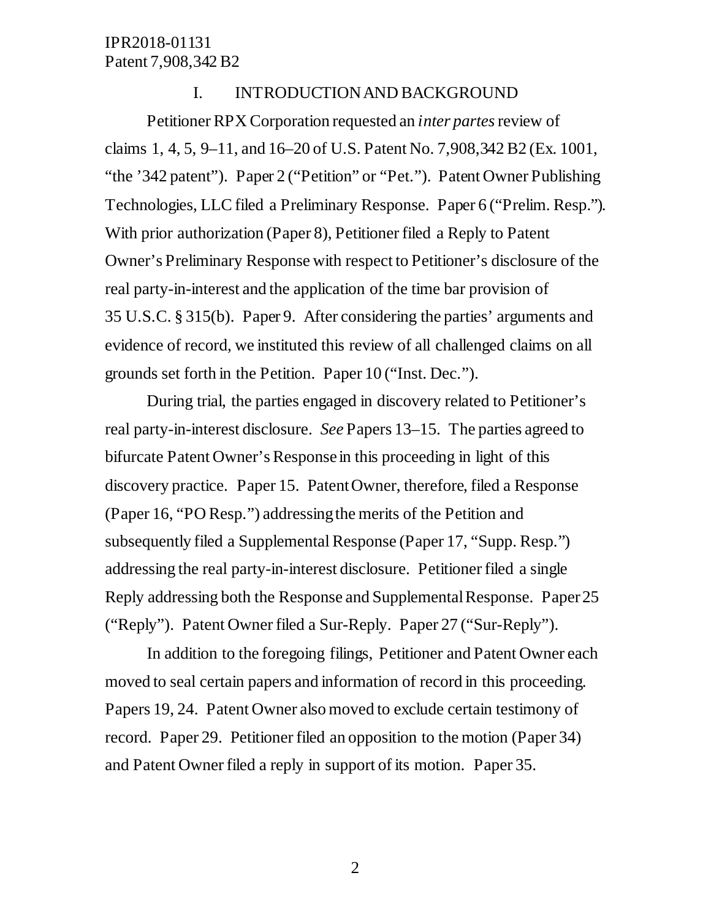#### I. INTRODUCTION AND BACKGROUND

Petitioner RPX Corporation requested an *inter partes* review of claims 1, 4, 5, 9–11, and 16–20 of U.S. Patent No. 7,908,342 B2 (Ex. 1001, "the '342 patent"). Paper 2 ("Petition" or "Pet."). Patent Owner Publishing Technologies, LLC filed a Preliminary Response. Paper 6 ("Prelim. Resp."). With prior authorization (Paper 8), Petitioner filed a Reply to Patent Owner's Preliminary Response with respect to Petitioner's disclosure of the real party-in-interest and the application of the time bar provision of 35 U.S.C. § 315(b). Paper 9. After considering the parties' arguments and evidence of record, we instituted this review of all challenged claims on all grounds set forth in the Petition. Paper 10 ("Inst. Dec.").

During trial, the parties engaged in discovery related to Petitioner's real party-in-interest disclosure. *See* Papers 13–15. The parties agreed to bifurcate Patent Owner's Response in this proceeding in light of this discovery practice. Paper 15. Patent Owner, therefore, filed a Response (Paper 16, "PO Resp.") addressing the merits of the Petition and subsequently filed a Supplemental Response (Paper 17, "Supp. Resp.") addressing the real party-in-interest disclosure. Petitioner filed a single Reply addressing both the Response and Supplemental Response. Paper 25 ("Reply"). Patent Owner filed a Sur-Reply. Paper 27 ("Sur-Reply").

In addition to the foregoing filings, Petitioner and Patent Owner each moved to seal certain papers and information of record in this proceeding. Papers 19, 24. Patent Owner also moved to exclude certain testimony of record. Paper 29. Petitioner filed an opposition to the motion (Paper 34) and Patent Owner filed a reply in support of its motion. Paper 35.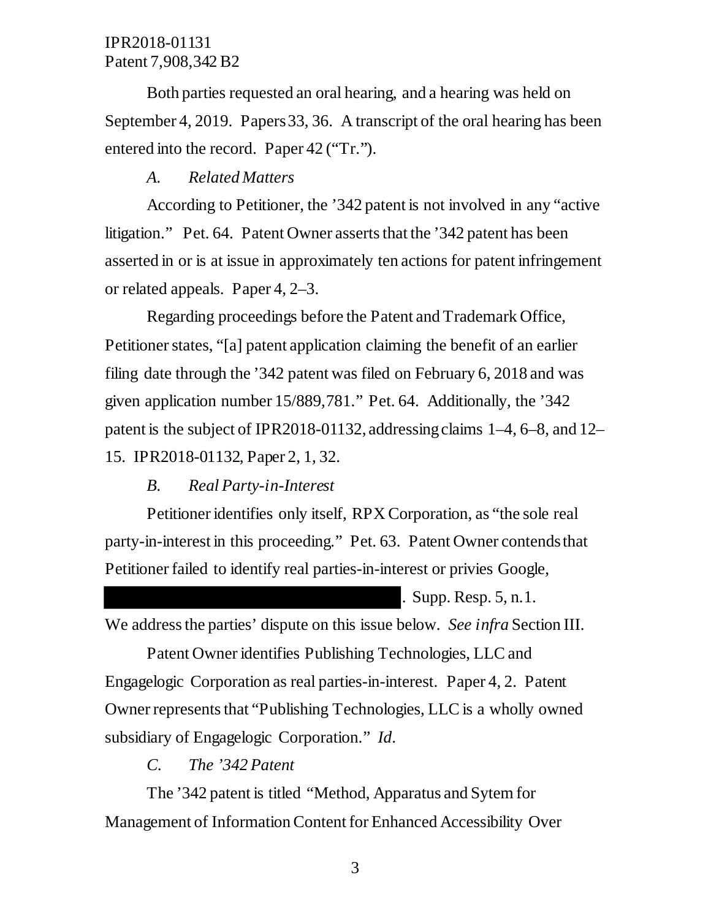Both parties requested an oral hearing, and a hearing was held on September 4, 2019. Papers 33, 36. A transcript of the oral hearing has been entered into the record. Paper 42 ("Tr.").

## *A. Related Matters*

According to Petitioner, the '342 patent is not involved in any "active litigation." Pet. 64. Patent Owner asserts that the '342 patent has been asserted in or is at issue in approximately ten actions for patent infringement or related appeals. Paper 4, 2–3.

Regarding proceedings before the Patent and Trademark Office, Petitioner states, "[a] patent application claiming the benefit of an earlier filing date through the '342 patent was filed on February 6, 2018 and was given application number 15/889,781." Pet. 64. Additionally, the '342 patent is the subject of IPR2018-01132, addressing claims 1–4, 6–8, and 12– 15. IPR2018-01132, Paper 2, 1, 32.

#### *B. Real Party-in-Interest*

Petitioner identifies only itself, RPX Corporation, as "the sole real party-in-interest in this proceeding." Pet. 63. Patent Owner contends that Petitioner failed to identify real parties-in-interest or privies Google,

. Supp. Resp. 5, n.1.

We address the parties' dispute on this issue below. *See infra* Section III.

Patent Owner identifies Publishing Technologies, LLC and Engagelogic Corporation as real parties-in-interest. Paper 4, 2. Patent Owner represents that "Publishing Technologies, LLC is a wholly owned subsidiary of Engagelogic Corporation." *Id*.

### *C. The '342 Patent*

The '342 patent is titled "Method, Apparatus and Sytem for Management of Information Content for Enhanced Accessibility Over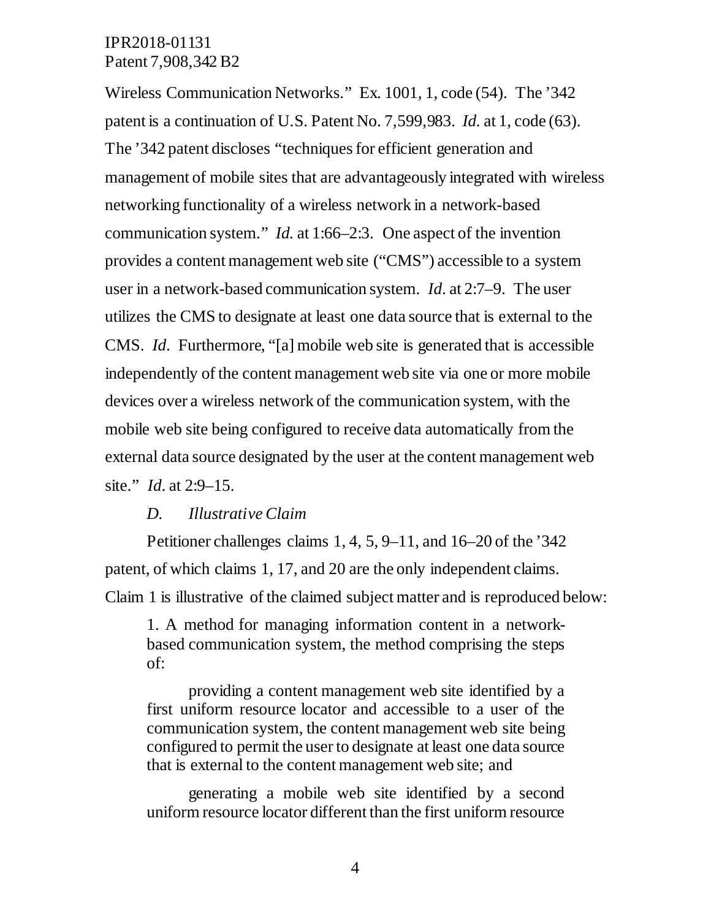Wireless Communication Networks." Ex. 1001, 1, code (54). The '342 patent is a continuation of U.S. Patent No. 7,599,983. *Id.* at 1, code (63). The '342 patent discloses "techniques for efficient generation and management of mobile sites that are advantageously integrated with wireless networking functionality of a wireless network in a network-based communication system." *Id.* at 1:66–2:3. One aspect of the invention provides a content management web site ("CMS") accessible to a system user in a network-based communication system. *Id*. at 2:7–9. The user utilizes the CMS to designate at least one data source that is external to the CMS. *Id*. Furthermore, "[a] mobile web site is generated that is accessible independently of the content management web site via one or more mobile devices over a wireless network of the communication system, with the mobile web site being configured to receive data automatically from the external data source designated by the user at the content management web site." *Id*. at 2:9–15.

#### *D. Illustrative Claim*

Petitioner challenges claims 1, 4, 5, 9–11, and 16–20 of the '342 patent, of which claims 1, 17, and 20 are the only independent claims. Claim 1 is illustrative of the claimed subject matter and is reproduced below:

1. A method for managing information content in a networkbased communication system, the method comprising the steps of:

providing a content management web site identified by a first uniform resource locator and accessible to a user of the communication system, the content management web site being configured to permit the user to designate at least one data source that is external to the content management web site; and

generating a mobile web site identified by a second uniform resource locator different than the first uniform resource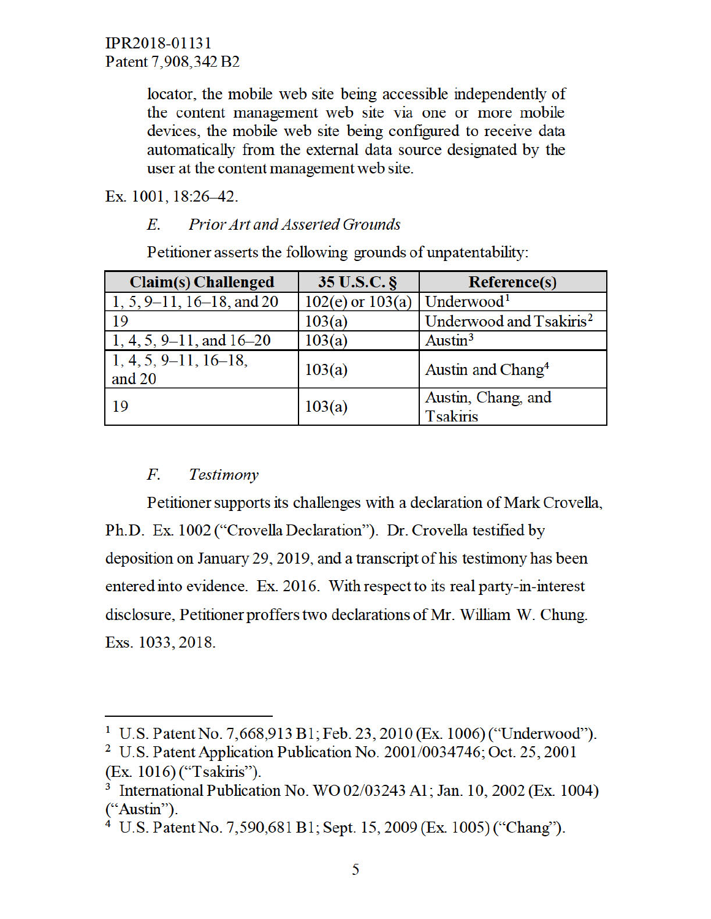locator, the mobile web site being accessible independently of the content management web site via one or more mobile devices, the mobile web site being configured to receive data automatically from the external data source designated by the user at the content management web site.

Ex. 1001, 18:26-42.

#### Е. **Prior Art and Asserted Grounds**

Petitioner asserts the following grounds of unpatentability:

| <b>Claim(s)</b> Challenged        | 35 U.S.C. §          | <b>Reference(s)</b>                   |
|-----------------------------------|----------------------|---------------------------------------|
| $1, 5, 9-11, 16-18,$ and 20       | $102(e)$ or $103(a)$ | Underwood <sup>1</sup>                |
| 19                                | 103(a)               | Underwood and Tsakiris <sup>2</sup>   |
| $1, 4, 5, 9-11,$ and $16-20$      | 103(a)               | Austin <sup>3</sup>                   |
| $1, 4, 5, 9-11, 16-18,$<br>and 20 | 103(a)               | Austin and Chang <sup>4</sup>         |
| 19                                | 103(a)               | Austin, Chang, and<br><b>Tsakiris</b> |

#### $F_{\cdot}$ Testimony

Petitioner supports its challenges with a declaration of Mark Crovella, Ph.D. Ex. 1002 ("Crovella Declaration"). Dr. Crovella testified by deposition on January 29, 2019, and a transcript of his testimony has been entered into evidence. Ex. 2016. With respect to its real party-in-interest disclosure, Petitioner proffers two declarations of Mr. William W. Chung. Exs. 1033, 2018.

<sup>&</sup>lt;sup>1</sup> U.S. Patent No. 7,668,913 B1; Feb. 23, 2010 (Ex. 1006) ("Underwood").

<sup>&</sup>lt;sup>2</sup> U.S. Patent Application Publication No. 2001/0034746; Oct. 25, 2001 (Ex. 1016) ("Tsakiris").

<sup>&</sup>lt;sup>3</sup> International Publication No. WO 02/03243 A1; Jan. 10, 2002 (Ex. 1004) ("Austin").

<sup>&</sup>lt;sup>4</sup> U.S. Patent No. 7,590,681 B1; Sept. 15, 2009 (Ex. 1005) ("Chang").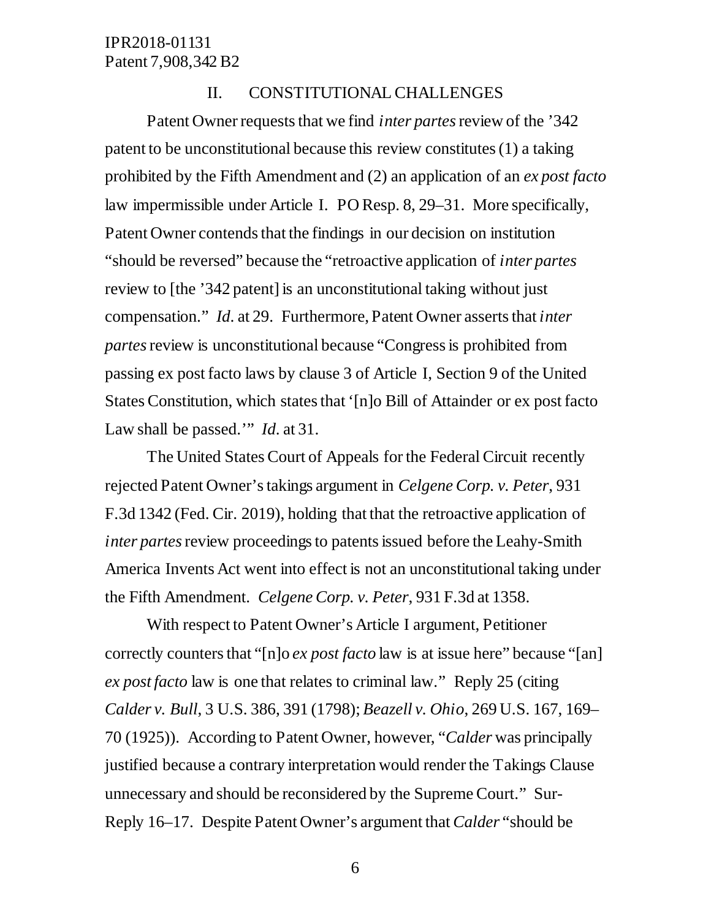#### II. CONSTITUTIONAL CHALLENGES

Patent Owner requests that we find *inter partes* review of the '342 patent to be unconstitutional because this review constitutes (1) a taking prohibited by the Fifth Amendment and (2) an application of an *ex post facto*  law impermissible under Article I. PO Resp. 8, 29–31. More specifically, Patent Owner contends that the findings in our decision on institution "should be reversed" because the "retroactive application of *inter partes* review to [the '342 patent] is an unconstitutional taking without just compensation." *Id*. at 29. Furthermore, Patent Owner asserts that *inter partes* review is unconstitutional because "Congress is prohibited from passing ex post facto laws by clause 3 of Article I, Section 9 of the United States Constitution, which states that '[n]o Bill of Attainder or ex post facto Law shall be passed.'" *Id*. at 31.

The United States Court of Appeals for the Federal Circuit recently rejected Patent Owner's takings argument in *Celgene Corp. v. Peter*, 931 F.3d 1342 (Fed. Cir. 2019), holding that that the retroactive application of *inter partes* review proceedings to patents issued before the Leahy-Smith America Invents Act went into effect is not an unconstitutional taking under the Fifth Amendment. *Celgene Corp. v. Peter*, 931 F.3d at 1358.

With respect to Patent Owner's Article I argument, Petitioner correctly counters that "[n]o *ex post facto* law is at issue here" because "[an] *ex post facto* law is one that relates to criminal law." Reply 25 (citing *Calder v. Bull*, 3 U.S. 386, 391 (1798); *Beazell v. Ohio*, 269 U.S. 167, 169– 70 (1925)). According to Patent Owner, however, "*Calder* was principally justified because a contrary interpretation would render the Takings Clause unnecessary and should be reconsidered by the Supreme Court." Sur-Reply 16–17. Despite Patent Owner's argument that *Calder* "should be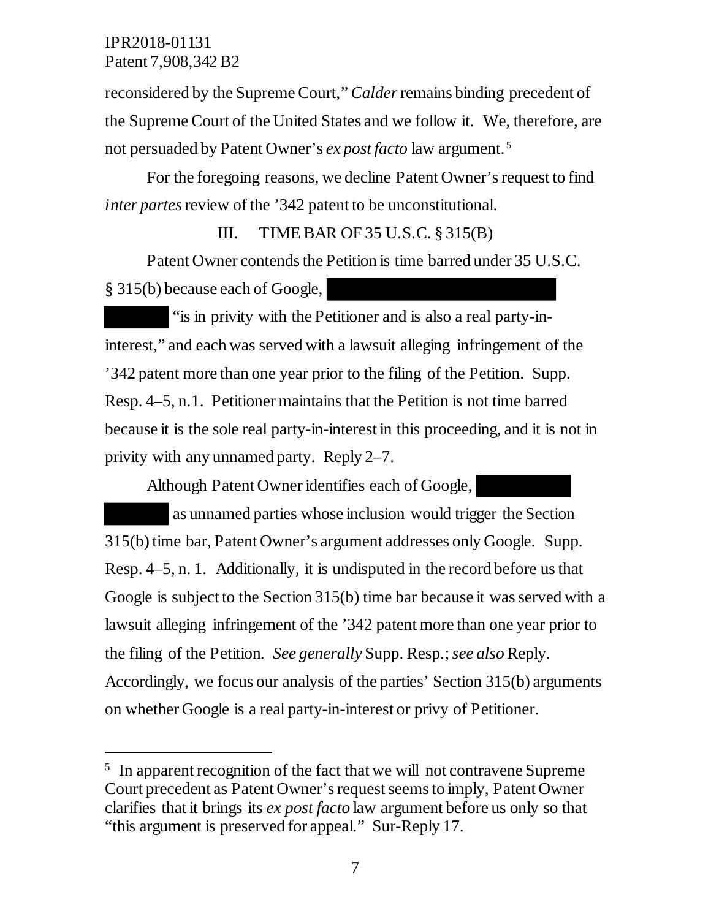$\ddot{\phantom{a}}$ 

reconsidered by the Supreme Court," *Calder* remains binding precedent of the Supreme Court of the United States and we follow it. We, therefore, are not persuaded by Patent Owner's *ex post facto* law argument. <sup>5</sup>

For the foregoing reasons, we decline Patent Owner's request to find *inter partes* review of the '342 patent to be unconstitutional.

#### III. TIME BAR OF 35 U.S.C.  $\S 315(B)$

Patent Owner contends the Petition is time barred under 35 U.S.C. § 315(b) because each of Google,

"is in privity with the Petitioner and is also a real party-ininterest," and each was served with a lawsuit alleging infringement of the '342 patent more than one year prior to the filing of the Petition. Supp. Resp. 4–5, n.1. Petitioner maintains that the Petition is not time barred because it is the sole real party-in-interest in this proceeding, and it is not in privity with any unnamed party. Reply 2–7.

Although Patent Owner identifies each of Google,

 as unnamed parties whose inclusion would trigger the Section 315(b) time bar, Patent Owner's argument addresses only Google. Supp. Resp. 4–5, n. 1. Additionally, it is undisputed in the record before us that Google is subject to the Section 315(b) time bar because it was served with a lawsuit alleging infringement of the '342 patent more than one year prior to the filing of the Petition*. See generally* Supp. Resp.; *see also* Reply. Accordingly, we focus our analysis of the parties' Section 315(b) arguments on whether Google is a real party-in-interest or privy of Petitioner.

<sup>&</sup>lt;sup>5</sup> In apparent recognition of the fact that we will not contravene Supreme Court precedent as Patent Owner's request seems to imply, Patent Owner clarifies that it brings its *ex post facto* law argument before us only so that "this argument is preserved for appeal." Sur-Reply 17.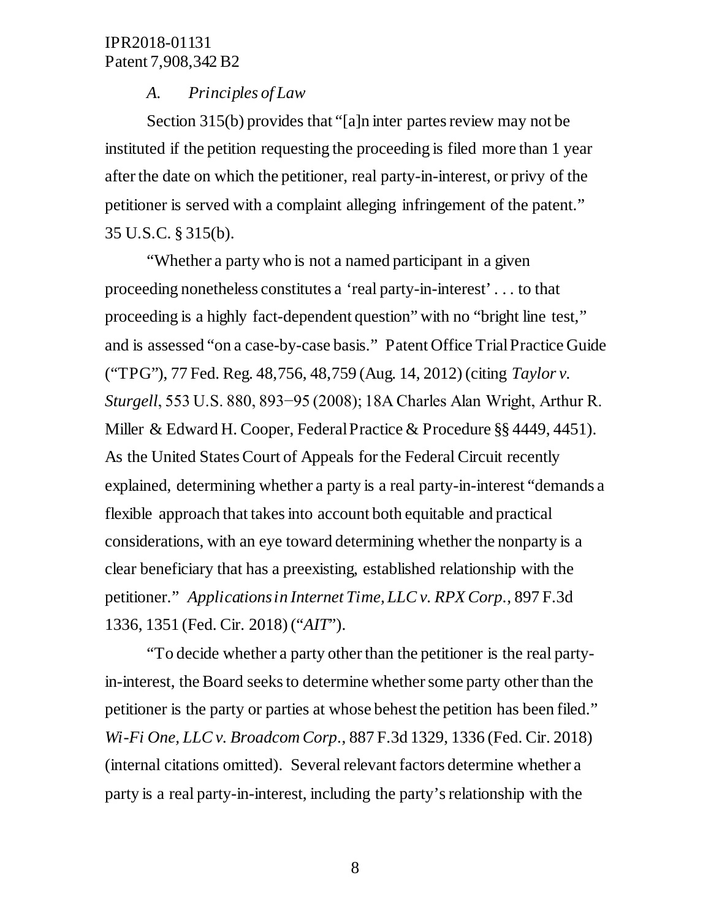#### *A. Principles of Law*

Section 315(b) provides that "[a]n inter partes review may not be instituted if the petition requesting the proceeding is filed more than 1 year after the date on which the petitioner, real party-in-interest, or privy of the petitioner is served with a complaint alleging infringement of the patent." 35 U.S.C. § 315(b).

"Whether a party who is not a named participant in a given proceeding nonetheless constitutes a 'real party-in-interest' . . . to that proceeding is a highly fact-dependent question" with no "bright line test," and is assessed "on a case-by-case basis." Patent Office Trial Practice Guide ("TPG"), 77 Fed. Reg. 48,756, 48,759 (Aug. 14, 2012) (citing *Taylor v. Sturgell*, 553 U.S. 880, 893−95 (2008); 18A Charles Alan Wright, Arthur R. Miller & Edward H. Cooper, Federal Practice & Procedure §§ 4449, 4451). As the United States Court of Appeals for the Federal Circuit recently explained, determining whether a party is a real party-in-interest "demands a flexible approach that takes into account both equitable and practical considerations, with an eye toward determining whether the nonparty is a clear beneficiary that has a preexisting, established relationship with the petitioner." *Applications in Internet Time, LLC v. RPX Corp*., 897 F.3d 1336, 1351 (Fed. Cir. 2018) ("*AIT*").

"To decide whether a party other than the petitioner is the real partyin-interest, the Board seeks to determine whether some party other than the petitioner is the party or parties at whose behest the petition has been filed." *Wi-Fi One, LLC v. Broadcom Corp*., 887 F.3d 1329, 1336 (Fed. Cir. 2018) (internal citations omitted). Several relevant factors determine whether a party is a real party-in-interest, including the party's relationship with the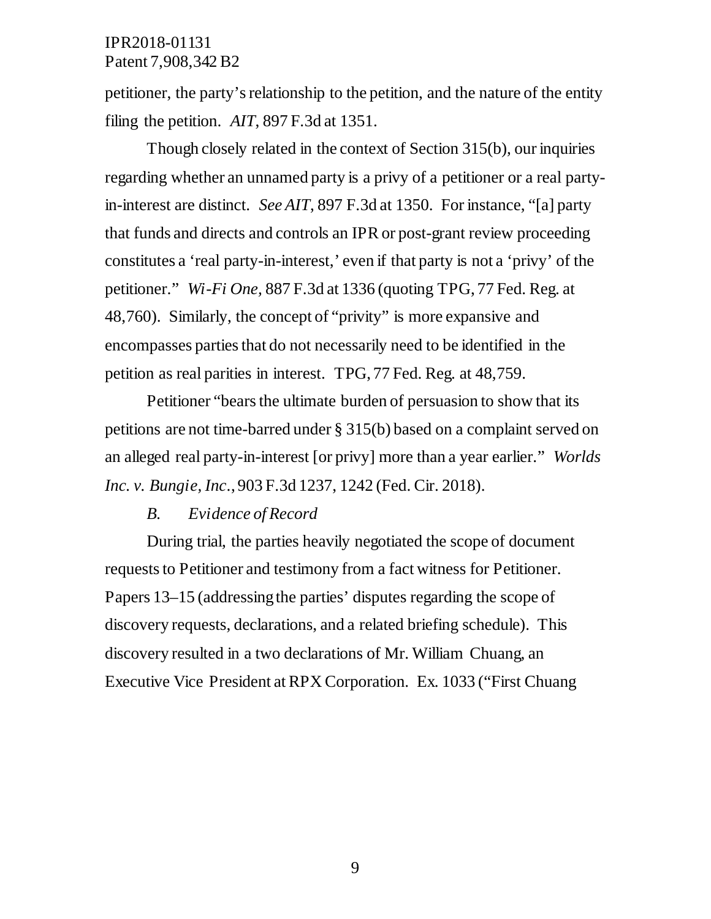petitioner, the party's relationship to the petition, and the nature of the entity filing the petition. *AIT*, 897 F.3d at 1351.

Though closely related in the context of Section 315(b), our inquiries regarding whether an unnamed party is a privy of a petitioner or a real partyin-interest are distinct. *See AIT*, 897 F.3d at 1350. For instance, "[a] party that funds and directs and controls an IPR or post-grant review proceeding constitutes a 'real party-in-interest,' even if that party is not a 'privy' of the petitioner." *Wi-Fi One,* 887 F.3d at 1336 (quoting TPG, 77 Fed. Reg. at 48,760). Similarly, the concept of "privity" is more expansive and encompasses parties that do not necessarily need to be identified in the petition as real parities in interest. TPG, 77 Fed. Reg. at 48,759.

Petitioner "bears the ultimate burden of persuasion to show that its petitions are not time-barred under § 315(b) based on a complaint served on an alleged real party-in-interest [or privy] more than a year earlier." *Worlds Inc. v. Bungie, Inc*., 903 F.3d 1237, 1242 (Fed. Cir. 2018).

#### *B. Evidence of Record*

During trial, the parties heavily negotiated the scope of document requests to Petitioner and testimony from a fact witness for Petitioner. Papers 13–15 (addressing the parties' disputes regarding the scope of discovery requests, declarations, and a related briefing schedule). This discovery resulted in a two declarations of Mr. William Chuang, an Executive Vice President at RPX Corporation. Ex. 1033 ("First Chuang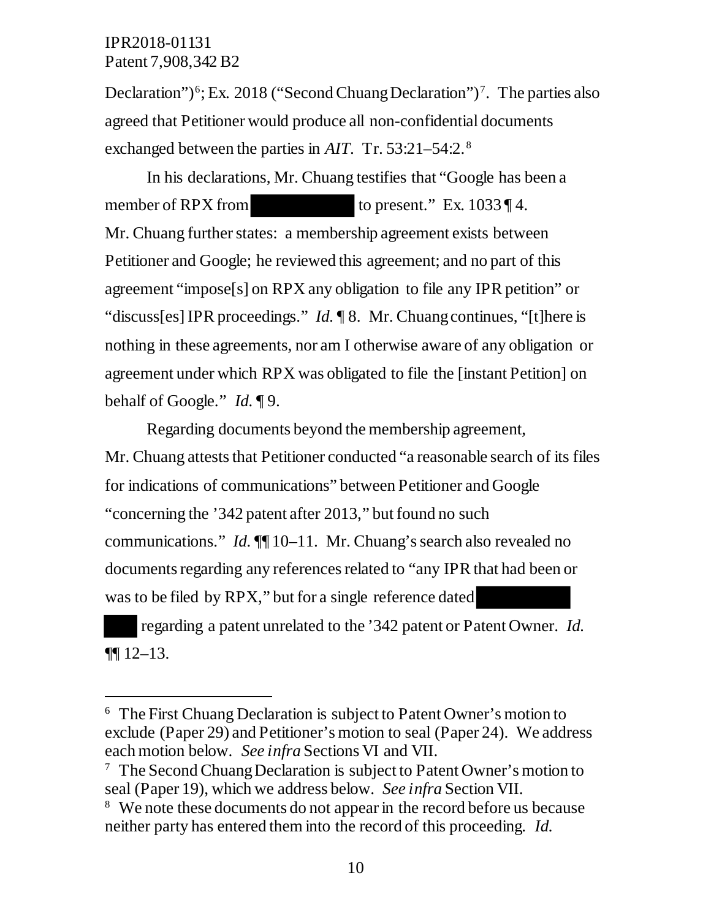$\ddot{\phantom{a}}$ 

Declaration")<sup>6</sup>; Ex. 2018 ("Second Chuang Declaration")<sup>7</sup>. The parties also agreed that Petitioner would produce all non-confidential documents exchanged between the parties in *AIT*. Tr. 53:21–54:2. <sup>8</sup>

In his declarations, Mr. Chuang testifies that "Google has been a member of RPX from to present." Ex.  $1033 \, \text{T}$ 4. Mr. Chuang further states: a membership agreement exists between Petitioner and Google; he reviewed this agreement; and no part of this agreement "impose[s] on RPX any obligation to file any IPR petition" or "discuss[es] IPR proceedings." *Id.* ¶ 8. Mr. Chuang continues, "[t]here is nothing in these agreements, nor am I otherwise aware of any obligation or agreement under which RPX was obligated to file the [instant Petition] on behalf of Google." *Id.* ¶ 9.

Regarding documents beyond the membership agreement, Mr. Chuang attests that Petitioner conducted "a reasonable search of its files for indications of communications" between Petitioner and Google "concerning the '342 patent after 2013," but found no such communications." *Id.*  $\P$  10–11. Mr. Chuang's search also revealed no documents regarding any references related to "any IPR that had been or was to be filed by RPX," but for a single reference dated

 regarding a patent unrelated to the '342 patent or Patent Owner. *Id.*  ¶¶ 12–13.

<sup>6</sup> The First Chuang Declaration is subject to Patent Owner's motion to exclude (Paper 29) and Petitioner's motion to seal (Paper 24). We address each motion below. *See infra* Sections VI and VII.

<sup>&</sup>lt;sup>7</sup> The Second Chuang Declaration is subject to Patent Owner's motion to seal (Paper 19), which we address below. *See infra* Section VII.

<sup>&</sup>lt;sup>8</sup> We note these documents do not appear in the record before us because neither party has entered them into the record of this proceeding. *Id.*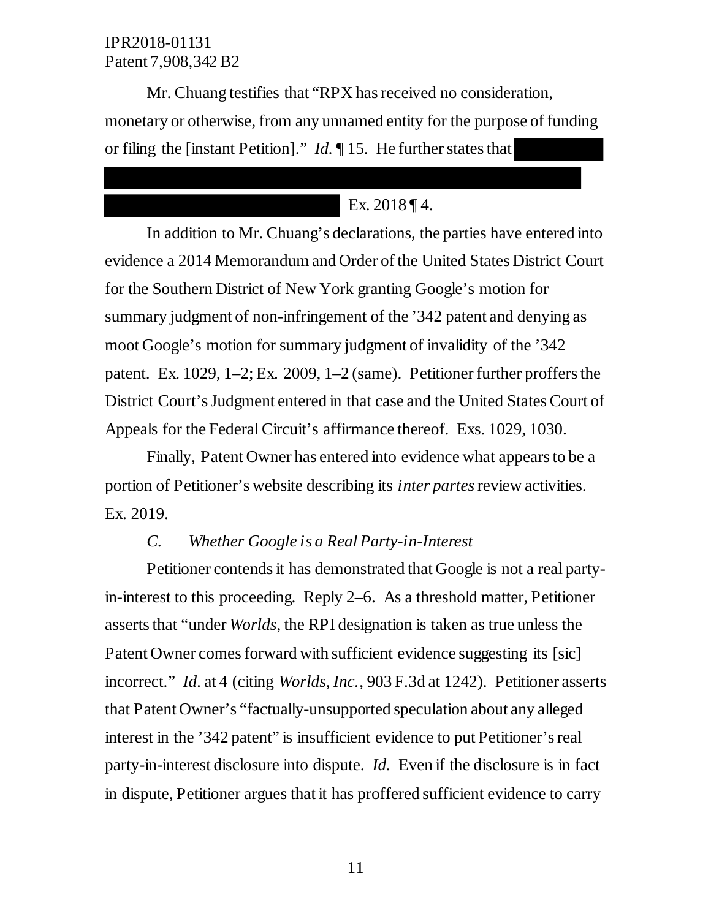Mr. Chuang testifies that "RPX has received no consideration, monetary or otherwise, from any unnamed entity for the purpose of funding or filing the [instant Petition]." *Id.* ¶ 15. He further states that

## Ex. 2018 ¶ 4.

In addition to Mr. Chuang's declarations, the parties have entered into evidence a 2014 Memorandum and Order of the United States District Court for the Southern District of New York granting Google's motion for summary judgment of non-infringement of the '342 patent and denying as moot Google's motion for summary judgment of invalidity of the '342 patent. Ex. 1029, 1–2; Ex. 2009, 1–2 (same). Petitioner further proffers the District Court's Judgment entered in that case and the United States Court of Appeals for the Federal Circuit's affirmance thereof. Exs. 1029, 1030.

Finally, Patent Owner has entered into evidence what appears to be a portion of Petitioner's website describing its *inter partes*review activities. Ex. 2019.

## *C. Whether Google is a Real Party-in-Interest*

Petitioner contends it has demonstrated that Google is not a real partyin-interest to this proceeding. Reply 2–6. As a threshold matter, Petitioner asserts that "under *Worlds*, the RPI designation is taken as true unless the Patent Owner comes forward with sufficient evidence suggesting its [sic] incorrect." *Id*. at 4 (citing *Worlds, Inc.*, 903 F.3d at 1242). Petitioner asserts that Patent Owner's "factually-unsupported speculation about any alleged interest in the '342 patent" is insufficient evidence to put Petitioner's real party-in-interest disclosure into dispute. *Id.* Even if the disclosure is in fact in dispute, Petitioner argues that it has proffered sufficient evidence to carry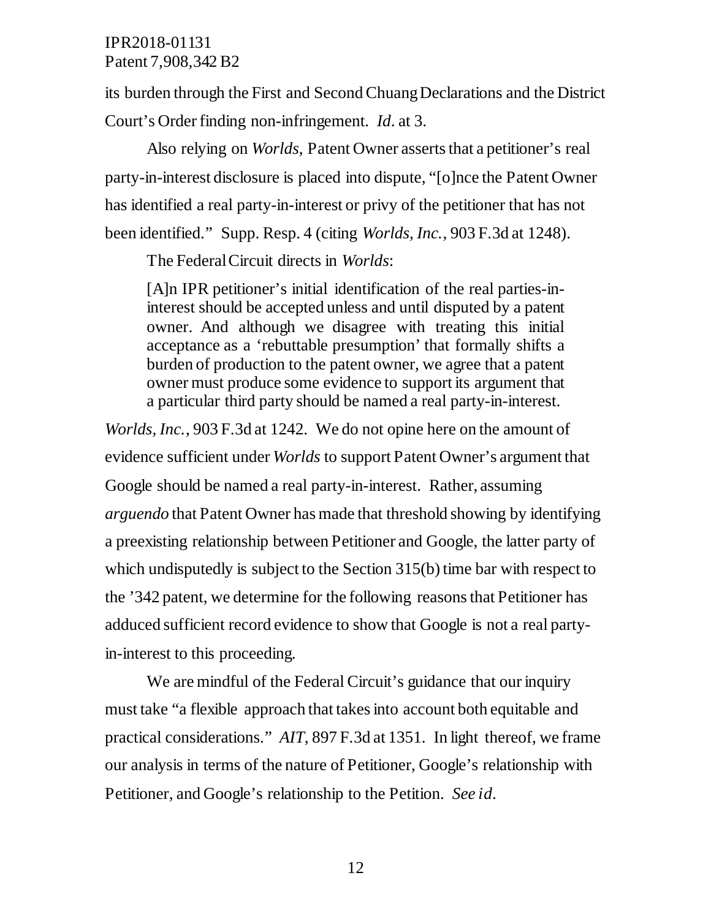its burden through the First and Second Chuang Declarations and the District Court's Order finding non-infringement. *Id*. at 3.

Also relying on *Worlds*, Patent Owner asserts that a petitioner's real party-in-interest disclosure is placed into dispute, "[o]nce the Patent Owner has identified a real party-in-interest or privy of the petitioner that has not been identified." Supp. Resp. 4 (citing *Worlds, Inc.*, 903 F.3d at 1248).

The Federal Circuit directs in *Worlds*:

[A]n IPR petitioner's initial identification of the real parties-ininterest should be accepted unless and until disputed by a patent owner. And although we disagree with treating this initial acceptance as a 'rebuttable presumption' that formally shifts a burden of production to the patent owner, we agree that a patent owner must produce some evidence to support its argument that a particular third party should be named a real party-in-interest.

*Worlds, Inc.*, 903 F.3d at 1242. We do not opine here on the amount of evidence sufficient under *Worlds* to support Patent Owner's argument that Google should be named a real party-in-interest. Rather, assuming *arguendo* that Patent Owner has made that threshold showing by identifying a preexisting relationship between Petitioner and Google, the latter party of which undisputedly is subject to the Section 315(b) time bar with respect to the '342 patent, we determine for the following reasons that Petitioner has adduced sufficient record evidence to show that Google is not a real partyin-interest to this proceeding.

We are mindful of the Federal Circuit's guidance that our inquiry must take "a flexible approach that takes into account both equitable and practical considerations." *AIT*, 897 F.3d at 1351. In light thereof, we frame our analysis in terms of the nature of Petitioner, Google's relationship with Petitioner, and Google's relationship to the Petition. *See id*.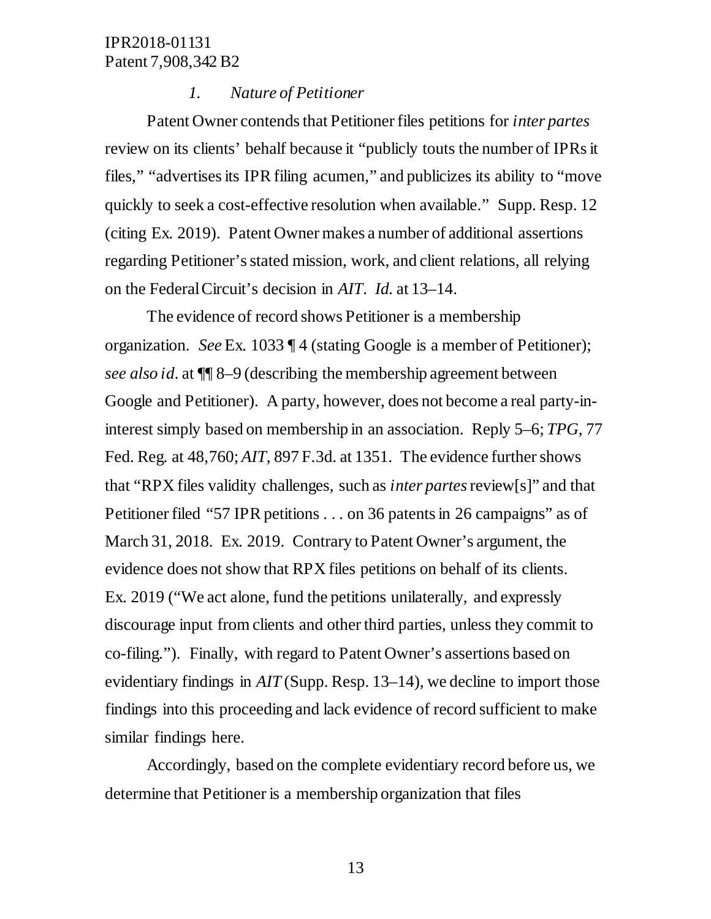#### *1. Nature of Petitioner*

Patent Owner contends that Petitioner files petitions for *inter partes*  review on its clients' behalf because it "publicly touts the number of IPRs it files," "advertises its IPR filing acumen," and publicizes its ability to "move quickly to seek a cost-effective resolution when available." Supp. Resp. 12 (citing Ex. 2019). Patent Owner makes a number of additional assertions regarding Petitioner's stated mission, work, and client relations, all relying on the Federal Circuit's decision in *AIT*. *Id.* at 13–14.

The evidence of record shows Petitioner is a membership organization. *See* Ex. 1033 ¶ 4 (stating Google is a member of Petitioner); *see also id*. at ¶¶ 8–9 (describing the membership agreement between Google and Petitioner). A party, however, does not become a real party-ininterest simply based on membership in an association. Reply 5–6; *TPG*, 77 Fed. Reg. at 48,760; *AIT*, 897 F.3d. at 1351. The evidence further shows that "RPX files validity challenges, such as *inter partes* review[s]" and that Petitioner filed "57 IPR petitions . . . on 36 patents in 26 campaigns" as of March 31, 2018. Ex. 2019. Contrary to Patent Owner's argument, the evidence does not show that RPX files petitions on behalf of its clients. Ex. 2019 ("We act alone, fund the petitions unilaterally, and expressly discourage input from clients and other third parties, unless they commit to co-filing."). Finally, with regard to Patent Owner's assertions based on evidentiary findings in *AIT* (Supp. Resp. 13–14), we decline to import those findings into this proceeding and lack evidence of record sufficient to make similar findings here.

Accordingly, based on the complete evidentiary record before us, we determine that Petitioner is a membership organization that files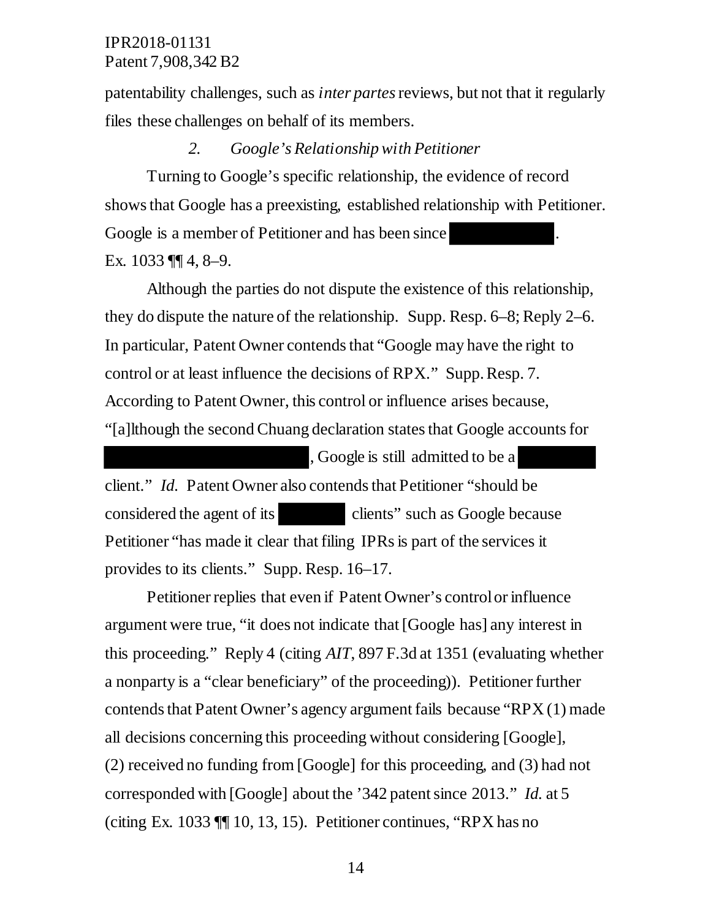patentability challenges, such as *inter partes* reviews, but not that it regularly files these challenges on behalf of its members.

#### *2. Google's Relationship with Petitioner*

Turning to Google's specific relationship, the evidence of record shows that Google has a preexisting, established relationship with Petitioner. Google is a member of Petitioner and has been since Ex. 1033 ¶¶ 4, 8–9.

Although the parties do not dispute the existence of this relationship, they do dispute the nature of the relationship. Supp. Resp. 6–8; Reply 2–6. In particular, Patent Owner contends that "Google may have the right to control or at least influence the decisions of RPX." Supp. Resp. 7. According to Patent Owner, this control or influence arises because, "[a]lthough the second Chuang declaration states that Google accounts for

, Google is still admitted to be a client." *Id.* Patent Owner also contends that Petitioner "should be considered the agent of its clients" such as Google because Petitioner "has made it clear that filing IPRs is part of the services it provides to its clients." Supp. Resp. 16–17.

Petitioner replies that even if Patent Owner's control or influence argument were true, "it does not indicate that [Google has] any interest in this proceeding." Reply 4 (citing *AIT*, 897 F.3d at 1351 (evaluating whether a nonparty is a "clear beneficiary" of the proceeding)). Petitioner further contends that Patent Owner's agency argument fails because "RPX (1) made all decisions concerning this proceeding without considering [Google], (2) received no funding from [Google] for this proceeding, and (3) had not corresponded with [Google] about the '342 patent since 2013." *Id.* at 5 (citing Ex. 1033 ¶¶ 10, 13, 15). Petitioner continues, "RPX has no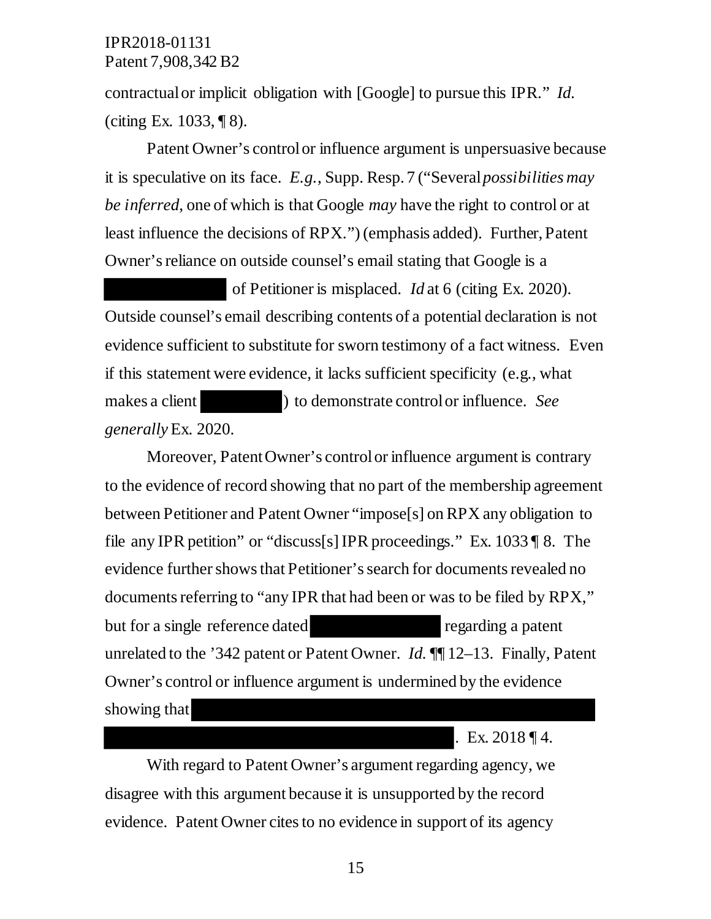contractual or implicit obligation with [Google] to pursue this IPR." *Id.*  (citing Ex. 1033, ¶ 8).

Patent Owner's control or influence argument is unpersuasive because it is speculative on its face. *E.g.*, Supp. Resp. 7 ("Several *possibilities may be inferred*, one of which is that Google *may* have the right to control or at least influence the decisions of RPX.") (emphasis added). Further, Patent Owner's reliance on outside counsel's email stating that Google is a

 of Petitioner is misplaced. *Id* at 6 (citing Ex. 2020). Outside counsel's email describing contents of a potential declaration is not evidence sufficient to substitute for sworn testimony of a fact witness. Even if this statement were evidence, it lacks sufficient specificity (e.g., what makes a client ) to demonstrate control or influence. *See generally* Ex. 2020.

Moreover, Patent Owner's control or influence argument is contrary to the evidence of record showing that no part of the membership agreement between Petitioner and Patent Owner "impose[s] on RPX any obligation to file any IPR petition" or "discuss[s] IPR proceedings." Ex. 1033 ¶ 8. The evidence further shows that Petitioner's search for documents revealed no documents referring to "any IPR that had been or was to be filed by RPX," but for a single reference dated regarding a patent unrelated to the '342 patent or Patent Owner. *Id.* ¶¶ 12–13. Finally, Patent Owner's control or influence argument is undermined by the evidence showing that

. Ex. 2018 ¶ 4.

With regard to Patent Owner's argument regarding agency, we disagree with this argument because it is unsupported by the record evidence. Patent Owner cites to no evidence in support of its agency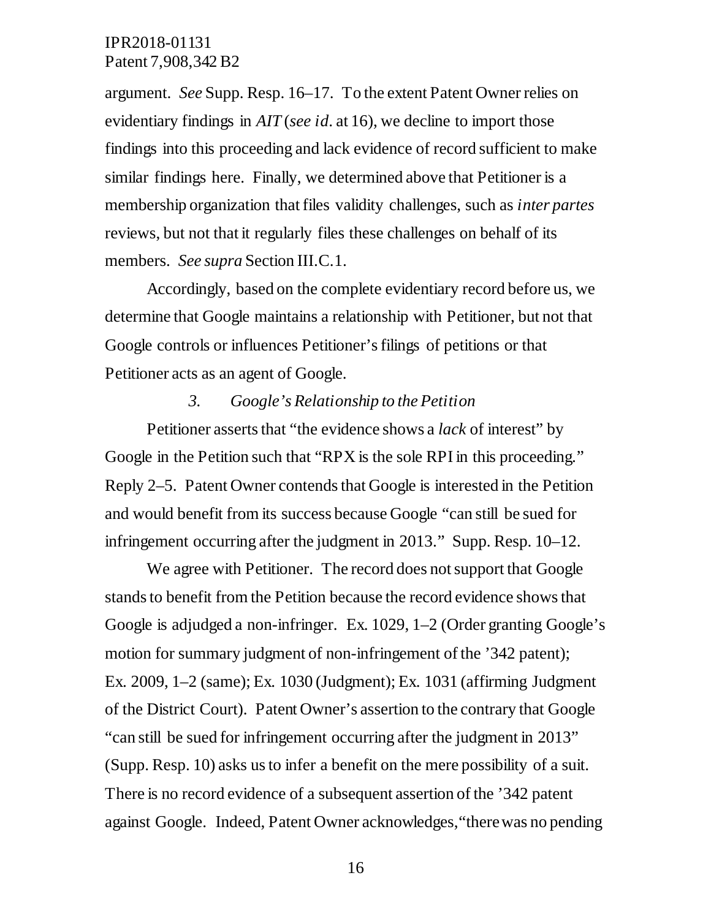argument. *See* Supp. Resp. 16–17. To the extent Patent Owner relies on evidentiary findings in *AIT* (*see id*. at 16), we decline to import those findings into this proceeding and lack evidence of record sufficient to make similar findings here. Finally, we determined above that Petitioner is a membership organization that files validity challenges, such as *inter partes*  reviews, but not that it regularly files these challenges on behalf of its members. *See supra* Section III.C.1.

Accordingly, based on the complete evidentiary record before us, we determine that Google maintains a relationship with Petitioner, but not that Google controls or influences Petitioner's filings of petitions or that Petitioner acts as an agent of Google.

#### *3. Google's Relationship to the Petition*

Petitioner asserts that "the evidence shows a *lack* of interest" by Google in the Petition such that "RPX is the sole RPI in this proceeding." Reply 2–5. Patent Owner contends that Google is interested in the Petition and would benefit from its success because Google "can still be sued for infringement occurring after the judgment in 2013." Supp. Resp. 10–12.

We agree with Petitioner. The record does not support that Google stands to benefit from the Petition because the record evidence shows that Google is adjudged a non-infringer. Ex. 1029, 1–2 (Order granting Google's motion for summary judgment of non-infringement of the '342 patent); Ex. 2009, 1–2 (same); Ex. 1030 (Judgment); Ex. 1031 (affirming Judgment of the District Court). Patent Owner's assertion to the contrary that Google "can still be sued for infringement occurring after the judgment in 2013" (Supp. Resp. 10) asks us to infer a benefit on the mere possibility of a suit. There is no record evidence of a subsequent assertion of the '342 patent against Google. Indeed, Patent Owner acknowledges,"there was no pending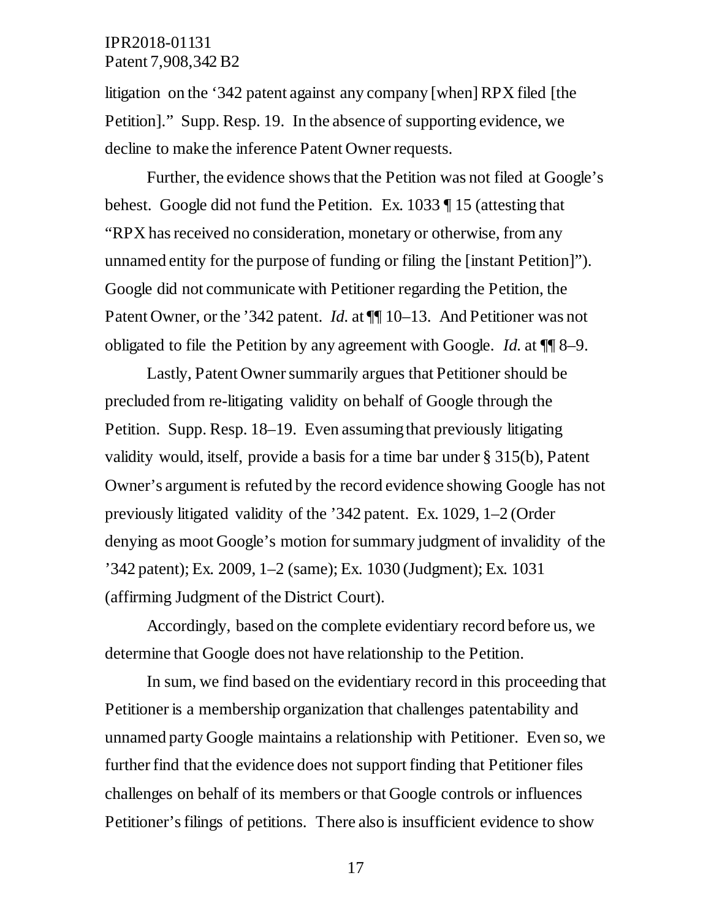litigation on the '342 patent against any company [when] RPX filed [the Petition]." Supp. Resp. 19. In the absence of supporting evidence, we decline to make the inference Patent Owner requests.

Further, the evidence shows that the Petition was not filed at Google's behest. Google did not fund the Petition. Ex. 1033 ¶ 15 (attesting that "RPX has received no consideration, monetary or otherwise, from any unnamed entity for the purpose of funding or filing the [instant Petition]"). Google did not communicate with Petitioner regarding the Petition, the Patent Owner, or the '342 patent. *Id.* at  $\P$  10–13. And Petitioner was not obligated to file the Petition by any agreement with Google. *Id.* at ¶¶ 8–9.

Lastly, Patent Owner summarily argues that Petitioner should be precluded from re-litigating validity on behalf of Google through the Petition. Supp. Resp. 18–19. Even assuming that previously litigating validity would, itself, provide a basis for a time bar under § 315(b), Patent Owner's argument is refuted by the record evidence showing Google has not previously litigated validity of the '342 patent. Ex. 1029, 1–2 (Order denying as moot Google's motion for summary judgment of invalidity of the '342 patent); Ex. 2009, 1–2 (same); Ex. 1030 (Judgment); Ex. 1031 (affirming Judgment of the District Court).

Accordingly, based on the complete evidentiary record before us, we determine that Google does not have relationship to the Petition.

In sum, we find based on the evidentiary record in this proceeding that Petitioner is a membership organization that challenges patentability and unnamed party Google maintains a relationship with Petitioner. Even so, we further find that the evidence does not support finding that Petitioner files challenges on behalf of its members or that Google controls or influences Petitioner's filings of petitions. There also is insufficient evidence to show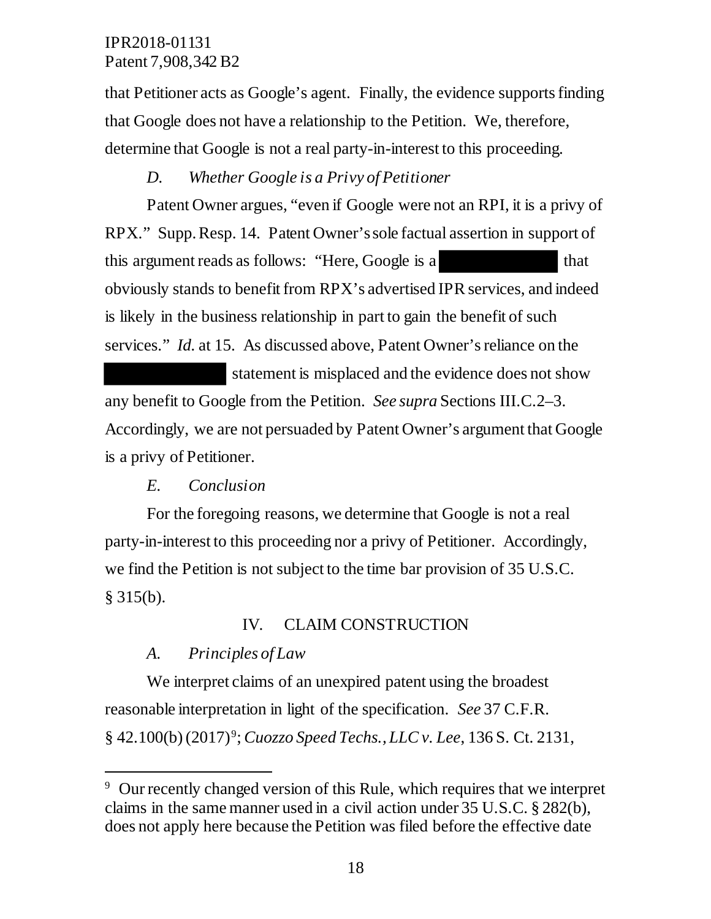that Petitioner acts as Google's agent. Finally, the evidence supports finding that Google does not have a relationship to the Petition. We, therefore, determine that Google is not a real party-in-interest to this proceeding.

## *D. Whether Google is a Privy of Petitioner*

Patent Owner argues, "even if Google were not an RPI, it is a privy of RPX." Supp. Resp. 14. Patent Owner's sole factual assertion in support of this argument reads as follows: "Here, Google is a that obviously stands to benefit from RPX's advertised IPR services, and indeed is likely in the business relationship in part to gain the benefit of such services." *Id.* at 15. As discussed above, Patent Owner's reliance on the

 statement is misplaced and the evidence does not show any benefit to Google from the Petition. *See supra* Sections III.C.2–3. Accordingly, we are not persuaded by Patent Owner's argument that Google is a privy of Petitioner.

## *E. Conclusion*

For the foregoing reasons, we determine that Google is not a real party-in-interest to this proceeding nor a privy of Petitioner. Accordingly, we find the Petition is not subject to the time bar provision of 35 U.S.C. § 315(b).

## IV. CLAIM CONSTRUCTION

## *A. Principles of Law*

 $\overline{a}$ 

We interpret claims of an unexpired patent using the broadest reasonable interpretation in light of the specification. *See* 37 C.F.R. § 42.100(b) (2017)9; *Cuozzo Speed Techs., LLC v. Lee*, 136 S. Ct. 2131,

<sup>&</sup>lt;sup>9</sup> Our recently changed version of this Rule, which requires that we interpret claims in the same manner used in a civil action under 35 U.S.C. § 282(b), does not apply here because the Petition was filed before the effective date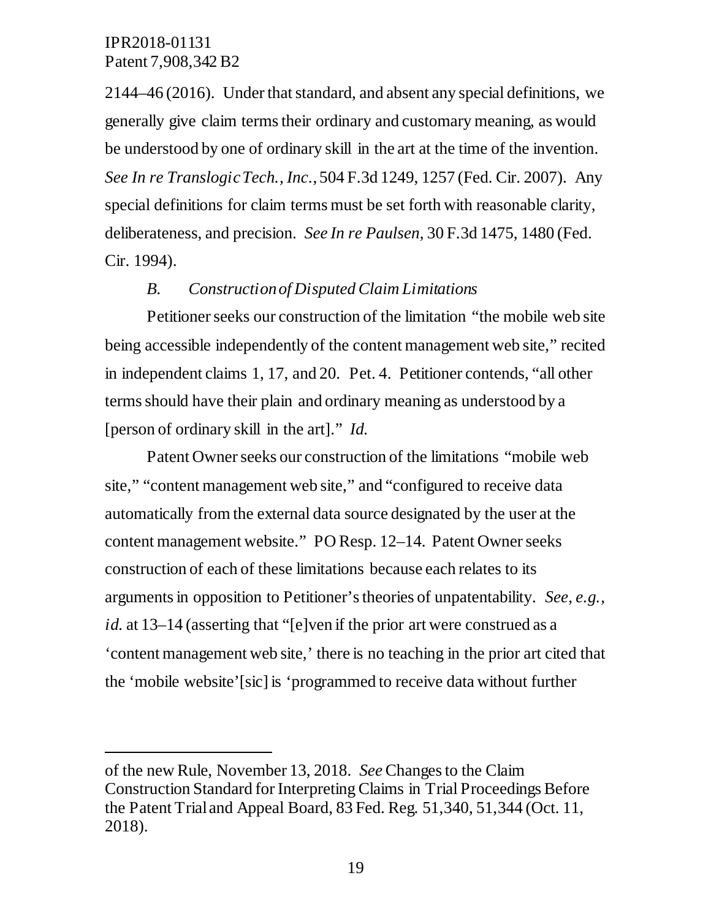$\ddot{\phantom{a}}$ 

2144–46 (2016). Under that standard, and absent any special definitions, we generally give claim terms their ordinary and customary meaning, as would be understood by one of ordinary skill in the art at the time of the invention. *See In re Translogic Tech., Inc*., 504 F.3d 1249, 1257 (Fed. Cir. 2007). Any special definitions for claim terms must be set forth with reasonable clarity, deliberateness, and precision. *See In re Paulsen*, 30 F.3d 1475, 1480 (Fed. Cir. 1994).

#### *B. Construction of Disputed Claim Limitations*

Petitioner seeks our construction of the limitation "the mobile web site being accessible independently of the content management web site," recited in independent claims 1, 17, and 20. Pet. 4. Petitioner contends, "all other terms should have their plain and ordinary meaning as understood by a [person of ordinary skill in the art]." *Id.* 

Patent Owner seeks our construction of the limitations "mobile web site," "content management web site," and "configured to receive data automatically from the external data source designated by the user at the content management website." PO Resp. 12–14. Patent Owner seeks construction of each of these limitations because each relates to its arguments in opposition to Petitioner's theories of unpatentability. *See, e.g., id.* at 13–14 (asserting that "[e]ven if the prior art were construed as a 'content management web site,' there is no teaching in the prior art cited that the 'mobile website'[sic] is 'programmed to receive data without further

of the new Rule, November 13, 2018. *See* Changes to the Claim Construction Standard for Interpreting Claims in Trial Proceedings Before the Patent Trial and Appeal Board, 83 Fed. Reg. 51,340, 51,344 (Oct. 11, 2018).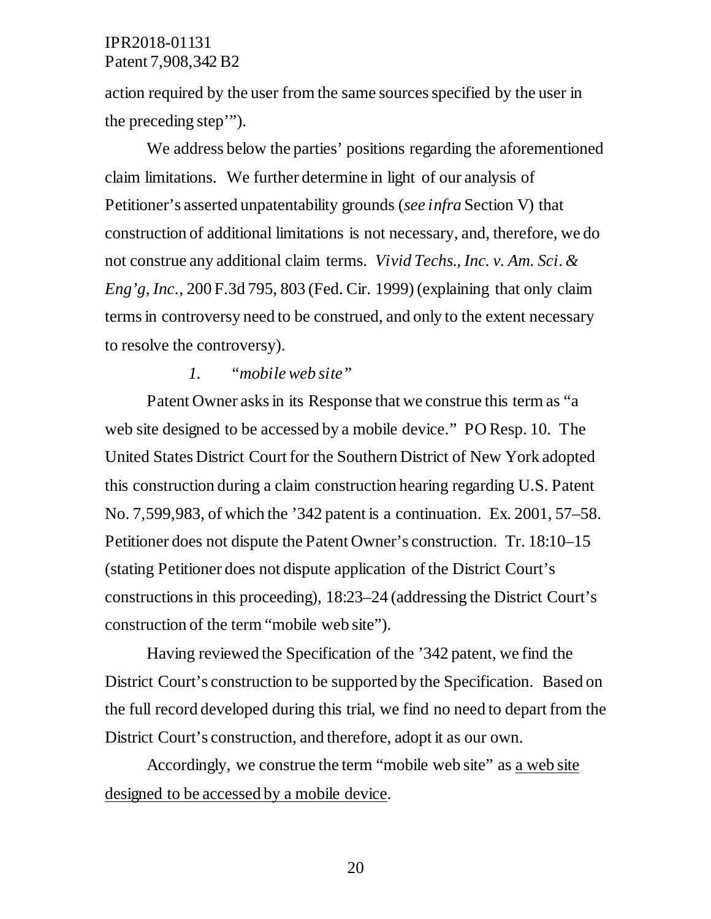action required by the user from the same sources specified by the user in the preceding step'").

We address below the parties' positions regarding the aforementioned claim limitations. We further determine in light of our analysis of Petitioner's asserted unpatentability grounds (*see infra* Section V) that construction of additional limitations is not necessary, and, therefore, we do not construe any additional claim terms. *Vivid Techs., Inc. v. Am. Sci. & Eng'g, Inc*., 200 F.3d 795, 803 (Fed. Cir. 1999) (explaining that only claim terms in controversy need to be construed, and only to the extent necessary to resolve the controversy).

#### *1. "mobile web site"*

Patent Owner asks in its Response that we construe this term as "a web site designed to be accessed by a mobile device." PO Resp. 10. The United States District Court for the Southern District of New York adopted this construction during a claim construction hearing regarding U.S. Patent No. 7,599,983, of which the '342 patent is a continuation. Ex. 2001, 57–58. Petitioner does not dispute the Patent Owner's construction. Tr. 18:10–15 (stating Petitioner does not dispute application of the District Court's constructions in this proceeding), 18:23–24 (addressing the District Court's construction of the term "mobile web site").

Having reviewed the Specification of the '342 patent, we find the District Court's construction to be supported by the Specification. Based on the full record developed during this trial, we find no need to depart from the District Court's construction, and therefore, adopt it as our own.

Accordingly, we construe the term "mobile web site" as a web site designed to be accessed by a mobile device.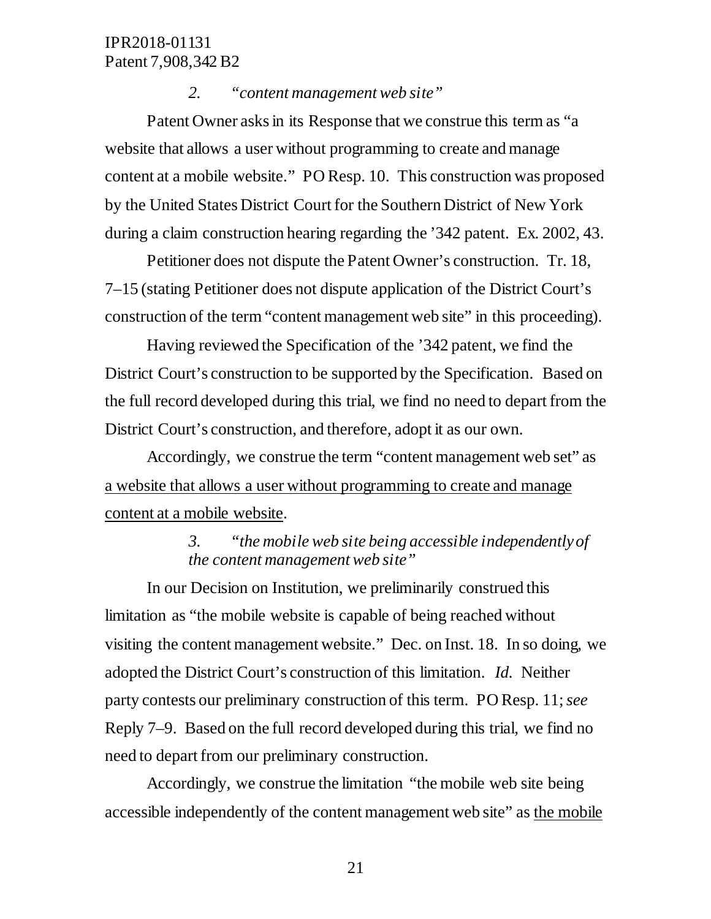#### *2. "content management web site"*

Patent Owner asks in its Response that we construe this term as "a website that allows a user without programming to create and manage content at a mobile website." PO Resp. 10. This construction was proposed by the United States District Court for the Southern District of New York during a claim construction hearing regarding the '342 patent. Ex. 2002, 43.

Petitioner does not dispute the Patent Owner's construction. Tr. 18, 7–15 (stating Petitioner does not dispute application of the District Court's construction of the term "content management web site" in this proceeding).

Having reviewed the Specification of the '342 patent, we find the District Court's construction to be supported by the Specification. Based on the full record developed during this trial, we find no need to depart from the District Court's construction, and therefore, adopt it as our own.

Accordingly, we construe the term "content management web set" as a website that allows a user without programming to create and manage content at a mobile website.

## *3. "the mobile web site being accessible independently of the content management web site"*

In our Decision on Institution, we preliminarily construed this limitation as "the mobile website is capable of being reached without visiting the content management website." Dec. on Inst. 18. In so doing, we adopted the District Court's construction of this limitation. *Id.* Neither party contests our preliminary construction of this term. PO Resp. 11; *see*  Reply 7–9. Based on the full record developed during this trial, we find no need to depart from our preliminary construction.

Accordingly, we construe the limitation "the mobile web site being accessible independently of the content management web site" as the mobile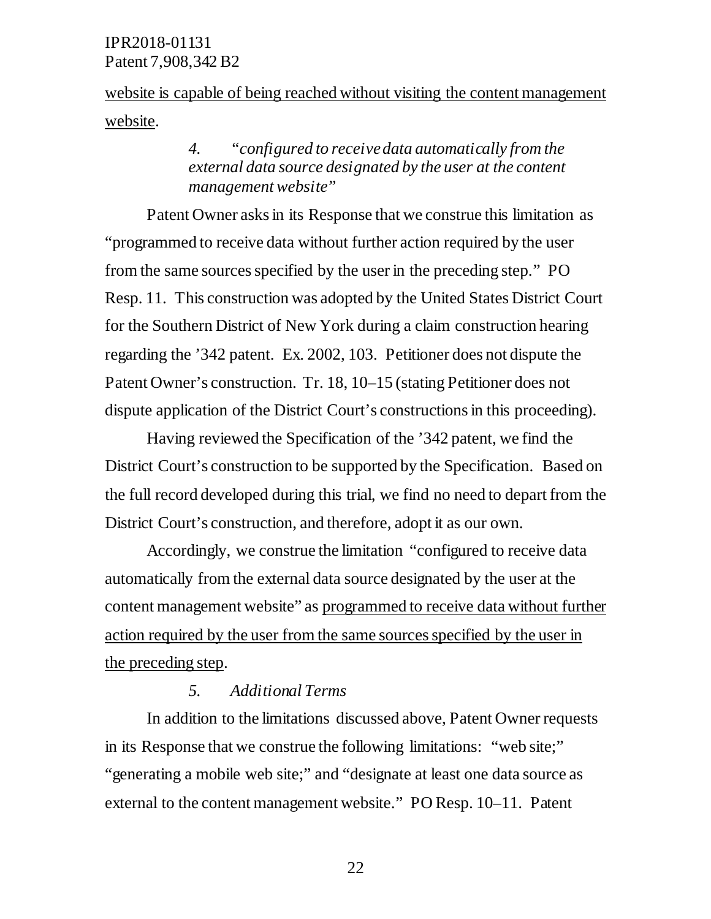website is capable of being reached without visiting the content management website.

## *4. "configured to receive data automatically from the external data source designated by the user at the content management website"*

Patent Owner asks in its Response that we construe this limitation as "programmed to receive data without further action required by the user from the same sources specified by the user in the preceding step." PO Resp. 11. This construction was adopted by the United States District Court for the Southern District of New York during a claim construction hearing regarding the '342 patent. Ex. 2002, 103. Petitioner does not dispute the Patent Owner's construction. Tr. 18, 10–15 (stating Petitioner does not dispute application of the District Court's constructions in this proceeding).

Having reviewed the Specification of the '342 patent, we find the District Court's construction to be supported by the Specification. Based on the full record developed during this trial, we find no need to depart from the District Court's construction, and therefore, adopt it as our own.

Accordingly, we construe the limitation "configured to receive data automatically from the external data source designated by the user at the content management website" as programmed to receive data without further action required by the user from the same sources specified by the user in the preceding step.

### *5. Additional Terms*

In addition to the limitations discussed above, Patent Owner requests in its Response that we construe the following limitations: "web site;" "generating a mobile web site;" and "designate at least one data source as external to the content management website." PO Resp. 10–11. Patent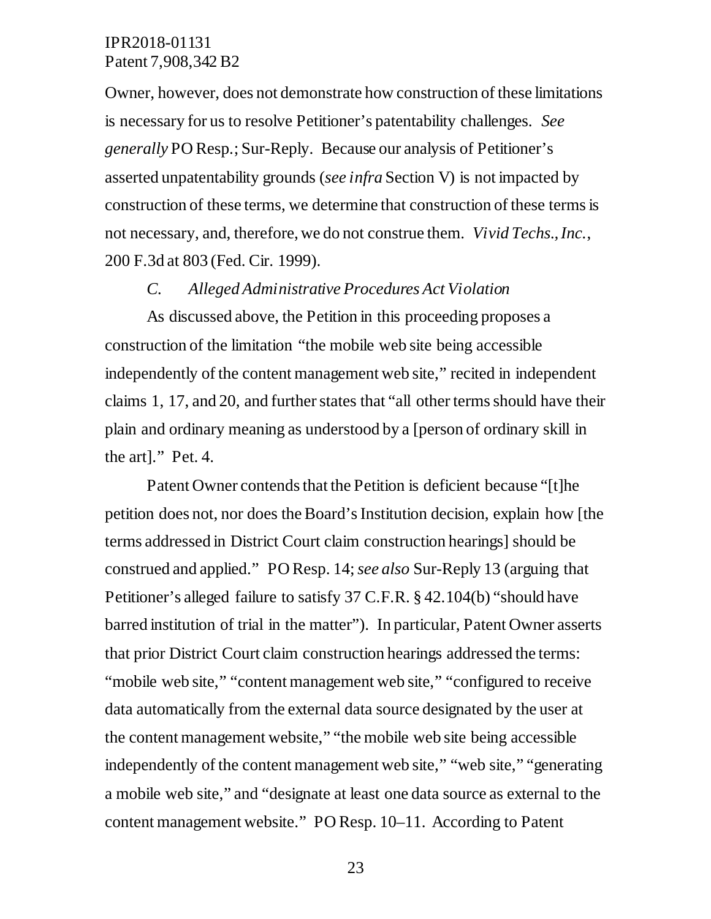Owner, however, does not demonstrate how construction of these limitations is necessary for us to resolve Petitioner's patentability challenges. *See generally* PO Resp.; Sur-Reply. Because our analysis of Petitioner's asserted unpatentability grounds (*see infra* Section V) is not impacted by construction of these terms, we determine that construction of these terms is not necessary, and, therefore, we do not construe them. *Vivid Techs., Inc.*, 200 F.3d at 803 (Fed. Cir. 1999).

#### *C. Alleged Administrative Procedures Act Violation*

As discussed above, the Petition in this proceeding proposes a construction of the limitation "the mobile web site being accessible independently of the content management web site," recited in independent claims 1, 17, and 20, and further states that "all other terms should have their plain and ordinary meaning as understood by a [person of ordinary skill in the art]." Pet. 4.

Patent Owner contends that the Petition is deficient because "[t]he petition does not, nor does the Board's Institution decision, explain how [the terms addressed in District Court claim construction hearings] should be construed and applied." PO Resp. 14; *see also* Sur-Reply 13 (arguing that Petitioner's alleged failure to satisfy 37 C.F.R. § 42.104(b) "should have barred institution of trial in the matter"). In particular, Patent Owner asserts that prior District Court claim construction hearings addressed the terms: "mobile web site," "content management web site," "configured to receive" data automatically from the external data source designated by the user at the content management website," "the mobile web site being accessible independently of the content management web site," "web site," "generating a mobile web site," and "designate at least one data source as external to the content management website." PO Resp. 10–11. According to Patent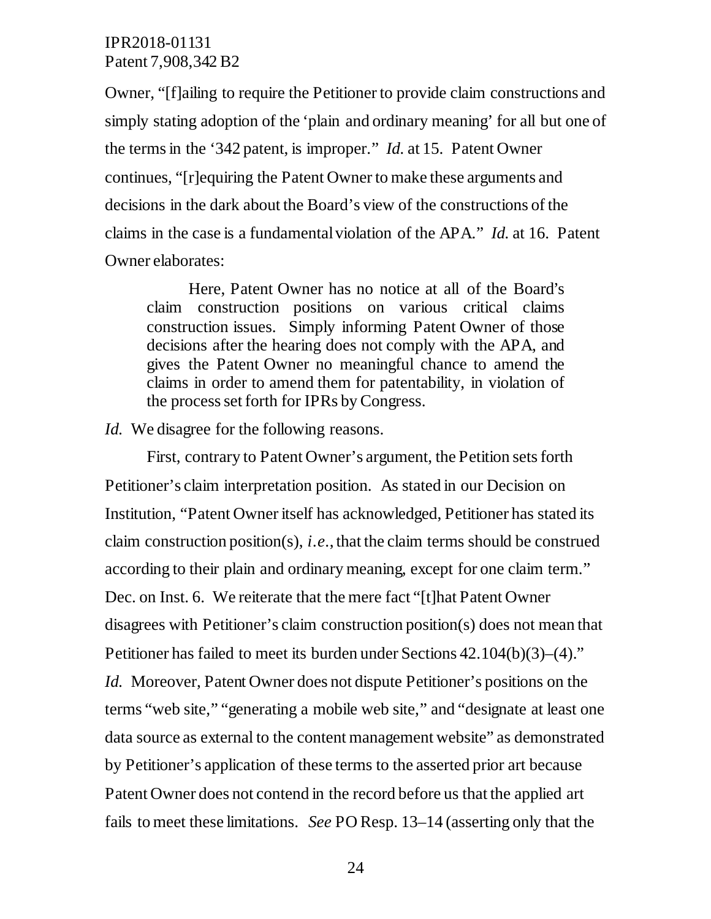Owner, "[f]ailing to require the Petitioner to provide claim constructions and simply stating adoption of the 'plain and ordinary meaning' for all but one of the terms in the '342 patent, is improper." *Id.* at 15. Patent Owner continues, "[r]equiring the Patent Owner to make these arguments and decisions in the dark about the Board's view of the constructions of the claims in the case is a fundamental violation of the APA." *Id.* at 16. Patent Owner elaborates:

Here, Patent Owner has no notice at all of the Board's claim construction positions on various critical claims construction issues. Simply informing Patent Owner of those decisions after the hearing does not comply with the APA, and gives the Patent Owner no meaningful chance to amend the claims in order to amend them for patentability, in violation of the process set forth for IPRs by Congress.

*Id.* We disagree for the following reasons.

First, contrary to Patent Owner's argument, the Petition sets forth Petitioner's claim interpretation position. As stated in our Decision on Institution, "Patent Owner itself has acknowledged, Petitioner has stated its claim construction position(s), *i.e*., that the claim terms should be construed according to their plain and ordinary meaning, except for one claim term." Dec. on Inst. 6. We reiterate that the mere fact "[t]hat Patent Owner disagrees with Petitioner's claim construction position(s) does not mean that Petitioner has failed to meet its burden under Sections 42.104(b)(3)–(4)." *Id.* Moreover, Patent Owner does not dispute Petitioner's positions on the terms "web site," "generating a mobile web site," and "designate at least one data source as external to the content management website" as demonstrated by Petitioner's application of these terms to the asserted prior art because Patent Owner does not contend in the record before us that the applied art fails to meet these limitations. *See* PO Resp. 13–14 (asserting only that the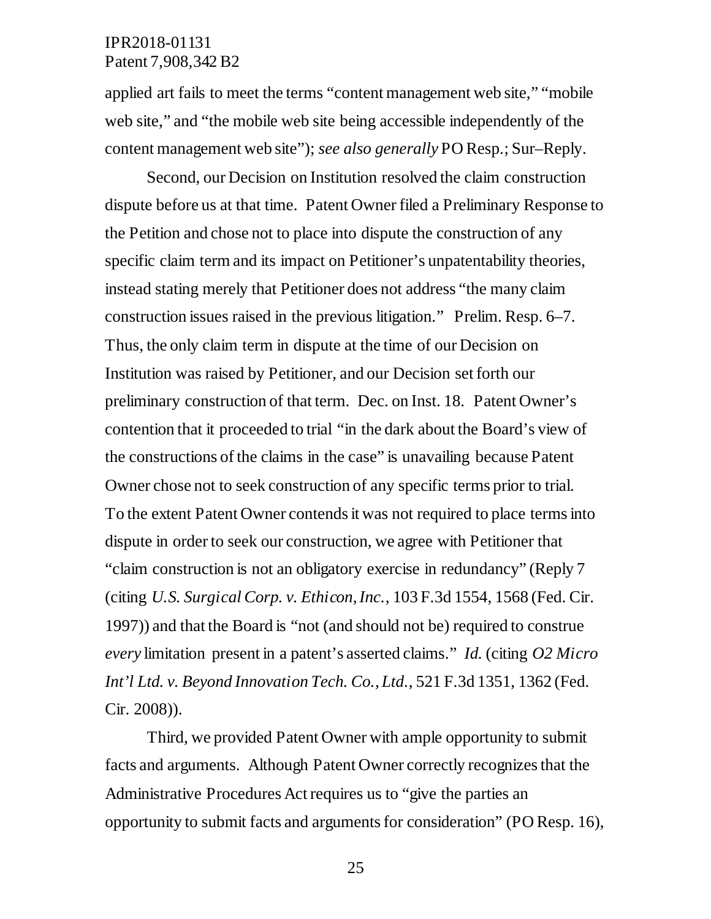applied art fails to meet the terms "content management web site," "mobile web site," and "the mobile web site being accessible independently of the content management web site"); *see also generally* PO Resp.; Sur–Reply.

Second, our Decision on Institution resolved the claim construction dispute before us at that time. Patent Owner filed a Preliminary Response to the Petition and chose not to place into dispute the construction of any specific claim term and its impact on Petitioner's unpatentability theories, instead stating merely that Petitioner does not address "the many claim construction issues raised in the previous litigation." Prelim. Resp. 6–7. Thus, the only claim term in dispute at the time of our Decision on Institution was raised by Petitioner, and our Decision set forth our preliminary construction of that term. Dec. on Inst. 18. Patent Owner's contention that it proceeded to trial "in the dark about the Board's view of the constructions of the claims in the case" is unavailing because Patent Owner chose not to seek construction of any specific terms prior to trial. To the extent Patent Owner contends it was not required to place terms into dispute in order to seek our construction, we agree with Petitioner that "claim construction is not an obligatory exercise in redundancy" (Reply 7 (citing *U.S. Surgical Corp. v. Ethicon, Inc.*, 103 F.3d 1554, 1568 (Fed. Cir. 1997)) and that the Board is "not (and should not be) required to construe *every* limitation present in a patent's asserted claims." *Id.* (citing *O2 Micro Int'l Ltd. v. Beyond Innovation Tech. Co., Ltd*., 521 F.3d 1351, 1362 (Fed. Cir. 2008)).

Third, we provided Patent Owner with ample opportunity to submit facts and arguments. Although Patent Owner correctly recognizes that the Administrative Procedures Act requires us to "give the parties an opportunity to submit facts and argumentsfor consideration" (PO Resp. 16),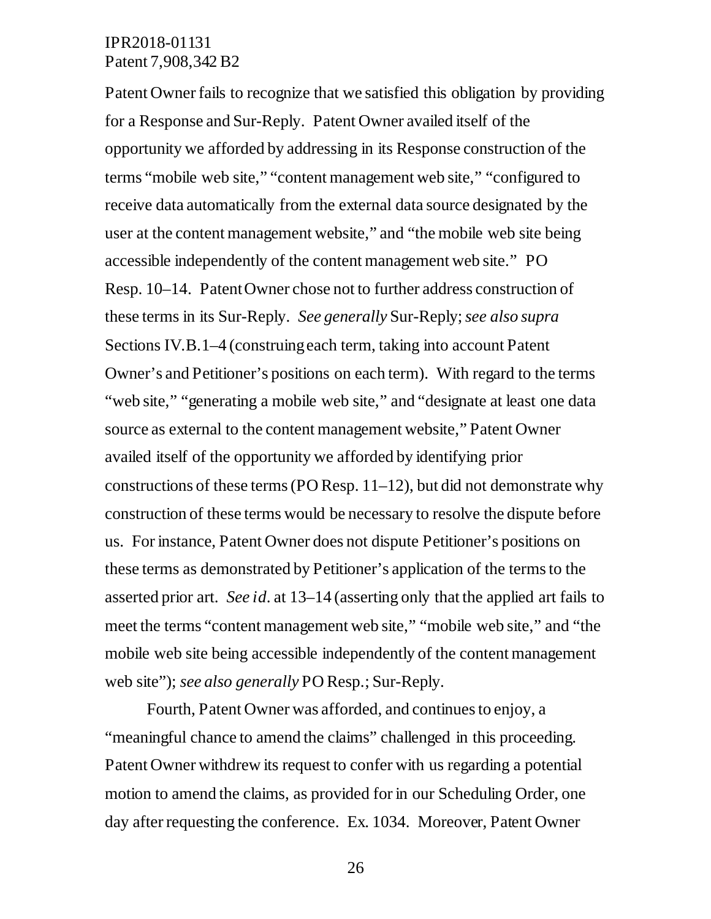Patent Owner fails to recognize that we satisfied this obligation by providing for a Response and Sur-Reply. Patent Owner availed itself of the opportunity we afforded by addressing in its Response construction of the terms "mobile web site," "content management web site," "configured to receive data automatically from the external data source designated by the user at the content management website," and "the mobile web site being accessible independently of the content management web site." PO Resp. 10–14. Patent Owner chose not to further address construction of these terms in its Sur-Reply. *See generally* Sur-Reply; *see also supra*  Sections IV.B.1–4 (construing each term, taking into account Patent Owner's and Petitioner's positions on each term). With regard to the terms "web site," "generating a mobile web site," and "designate at least one data source as external to the content management website," Patent Owner availed itself of the opportunity we afforded by identifying prior constructions of these terms (PO Resp.  $11-12$ ), but did not demonstrate why construction of these terms would be necessary to resolve the dispute before us. For instance, Patent Owner does not dispute Petitioner's positions on these terms as demonstrated by Petitioner's application of the terms to the asserted prior art. *See id*. at 13–14 (asserting only that the applied art fails to meet the terms "content management web site," "mobile web site," and "the mobile web site being accessible independently of the content management web site"); *see also generally* PO Resp.; Sur-Reply.

Fourth, Patent Owner was afforded, and continues to enjoy, a "meaningful chance to amend the claims" challenged in this proceeding. Patent Owner withdrew its request to confer with us regarding a potential motion to amend the claims, as provided for in our Scheduling Order, one day after requesting the conference. Ex. 1034. Moreover, Patent Owner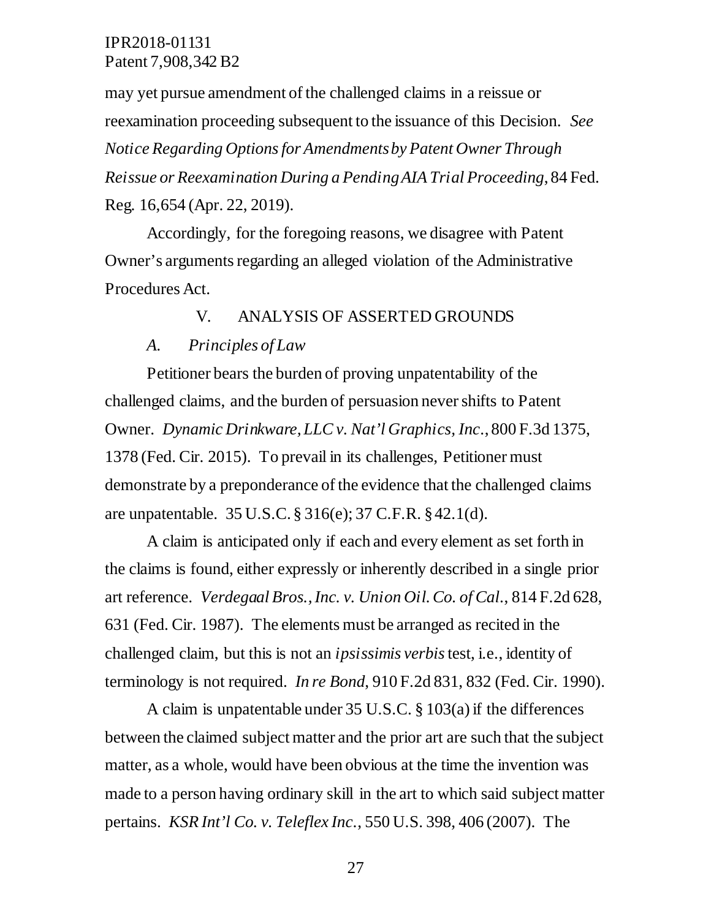may yet pursue amendment of the challenged claims in a reissue or reexamination proceeding subsequent to the issuance of this Decision. *See Notice Regarding Options for Amendments by Patent Owner Through Reissue or Reexamination During a Pending AIA Trial Proceeding*, 84 Fed. Reg. 16,654 (Apr. 22, 2019).

Accordingly, for the foregoing reasons, we disagree with Patent Owner's arguments regarding an alleged violation of the Administrative Procedures Act.

#### V. ANALYSIS OF ASSERTED GROUNDS

#### *A. Principles of Law*

Petitioner bears the burden of proving unpatentability of the challenged claims, and the burden of persuasion never shifts to Patent Owner. *Dynamic Drinkware, LLC v. Nat'l Graphics, Inc*., 800 F.3d 1375, 1378 (Fed. Cir. 2015). To prevail in its challenges, Petitioner must demonstrate by a preponderance of the evidence that the challenged claims are unpatentable. 35 U.S.C. § 316(e); 37 C.F.R. § 42.1(d).

A claim is anticipated only if each and every element as set forth in the claims is found, either expressly or inherently described in a single prior art reference. *Verdegaal Bros., Inc. v. Union Oil. Co. of Cal*., 814 F.2d 628, 631 (Fed. Cir. 1987). The elements must be arranged as recited in the challenged claim, but this is not an *ipsissimis verbis*test, i.e., identity of terminology is not required. *In re Bond*, 910 F.2d 831, 832 (Fed. Cir. 1990).

A claim is unpatentable under 35 U.S.C. § 103(a) if the differences between the claimed subject matter and the prior art are such that the subject matter, as a whole, would have been obvious at the time the invention was made to a person having ordinary skill in the art to which said subject matter pertains. *KSR Int'l Co. v. Teleflex Inc*., 550 U.S. 398, 406 (2007). The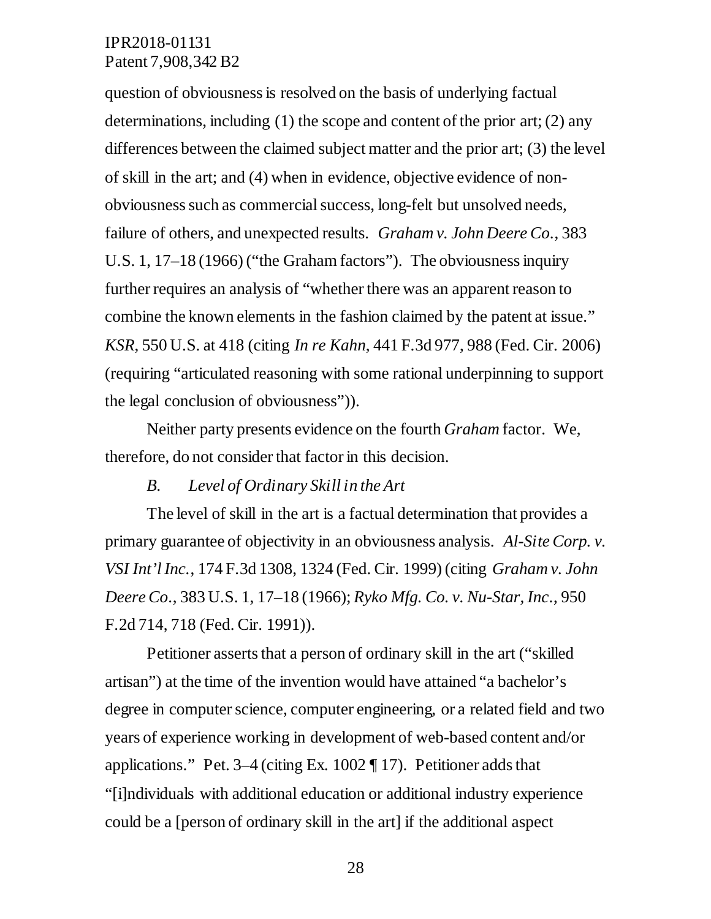question of obviousness is resolved on the basis of underlying factual determinations, including  $(1)$  the scope and content of the prior art;  $(2)$  any differences between the claimed subject matter and the prior art; (3) the level of skill in the art; and (4) when in evidence, objective evidence of nonobviousness such as commercial success, long-felt but unsolved needs, failure of others, and unexpected results. *Graham v. John Deere Co*., 383 U.S. 1, 17–18 (1966) ("the Graham factors"). The obviousness inquiry further requires an analysis of "whether there was an apparent reason to combine the known elements in the fashion claimed by the patent at issue." *KSR*, 550 U.S. at 418 (citing *In re Kahn*, 441 F.3d 977, 988 (Fed. Cir. 2006) (requiring "articulated reasoning with some rational underpinning to support the legal conclusion of obviousness")).

Neither party presents evidence on the fourth *Graham* factor. We, therefore, do not consider that factor in this decision.

#### *B. Level of Ordinary Skill in the Art*

The level of skill in the art is a factual determination that provides a primary guarantee of objectivity in an obviousness analysis. *Al-Site Corp. v. VSI Int'l Inc.*, 174 F.3d 1308, 1324 (Fed. Cir. 1999) (citing *Graham v. John Deere Co*., 383 U.S. 1, 17–18 (1966); *Ryko Mfg. Co. v. Nu-Star, Inc*., 950 F.2d 714, 718 (Fed. Cir. 1991)).

Petitioner asserts that a person of ordinary skill in the art ("skilled artisan") at the time of the invention would have attained "a bachelor's degree in computer science, computer engineering, or a related field and two years of experience working in development of web-based content and/or applications." Pet. 3–4 (citing Ex. 1002 ¶ 17). Petitioner adds that "[i]ndividuals with additional education or additional industry experience could be a [person of ordinary skill in the art] if the additional aspect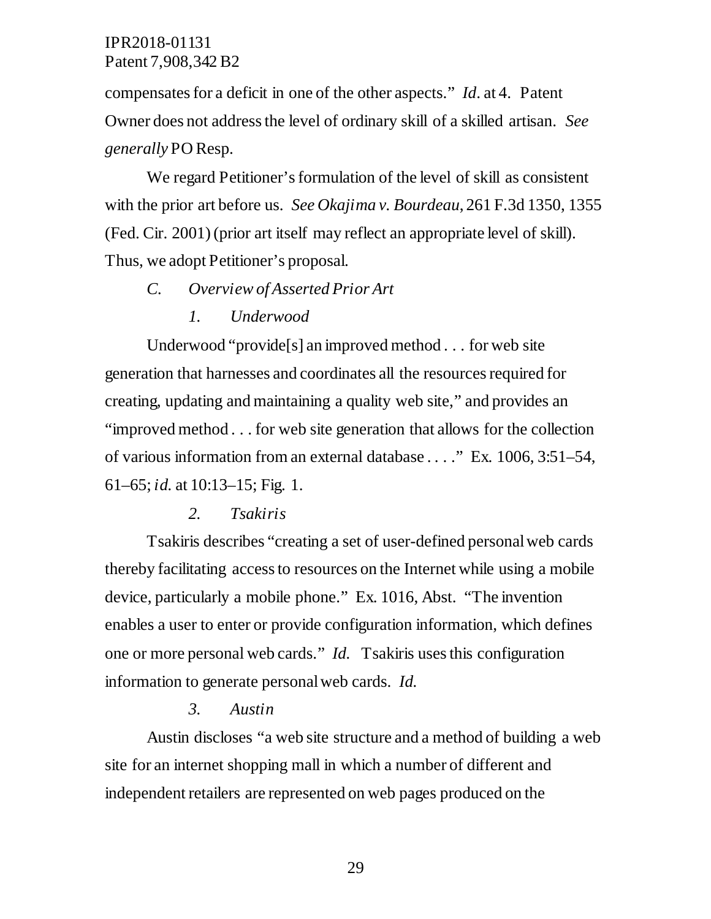compensates for a deficit in one of the other aspects." *Id*. at 4. Patent Owner does not address the level of ordinary skill of a skilled artisan. *See generally* PO Resp.

We regard Petitioner's formulation of the level of skill as consistent with the prior art before us. *See Okajima v. Bourdeau*, 261 F.3d 1350, 1355 (Fed. Cir. 2001) (prior art itself may reflect an appropriate level of skill). Thus, we adopt Petitioner's proposal.

*C. Overview of Asserted Prior Art*

#### *1. Underwood*

Underwood "provide[s] an improved method . . . for web site generation that harnesses and coordinates all the resources required for creating, updating and maintaining a quality web site," and provides an "improved method . . . for web site generation that allows for the collection of various information from an external database . . . ." Ex. 1006, 3:51–54, 61–65; *id.* at 10:13–15; Fig. 1.

#### *2. Tsakiris*

Tsakiris describes "creating a set of user-defined personal web cards thereby facilitating access to resources on the Internet while using a mobile device, particularly a mobile phone." Ex. 1016, Abst. "The invention enables a user to enter or provide configuration information, which defines one or more personal web cards." *Id.* Tsakiris uses this configuration information to generate personal web cards. *Id.*

#### *3. Austin*

Austin discloses "a web site structure and a method of building a web site for an internet shopping mall in which a number of different and independent retailers are represented on web pages produced on the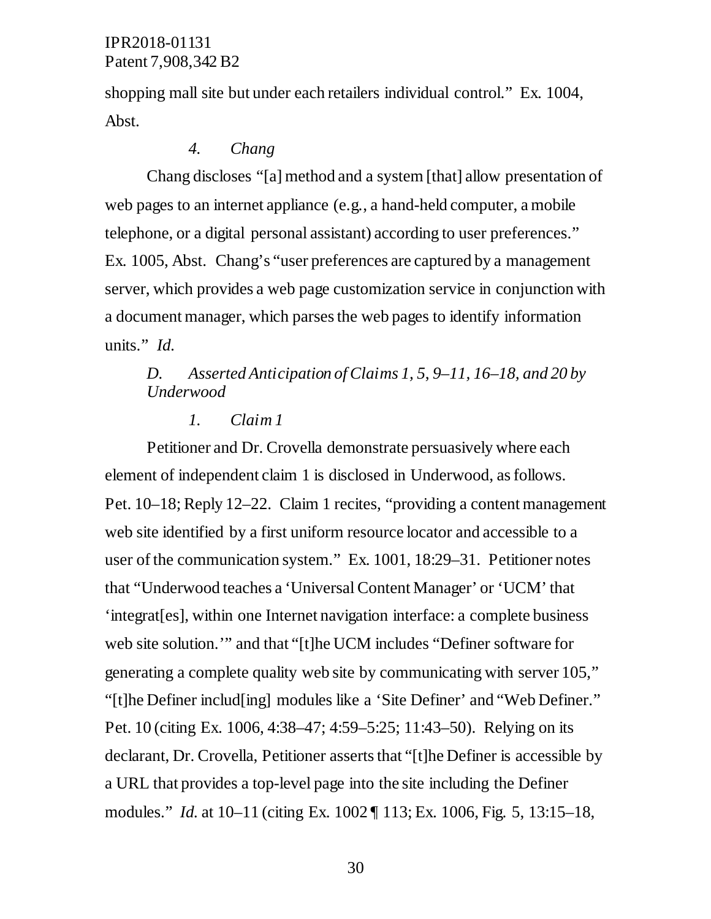shopping mall site but under each retailers individual control." Ex. 1004, Abst.

## *4. Chang*

Chang discloses "[a] method and a system [that] allow presentation of web pages to an internet appliance (e.g., a hand-held computer, a mobile telephone, or a digital personal assistant) according to user preferences." Ex. 1005, Abst. Chang's "user preferences are captured by a management server, which provides a web page customization service in conjunction with a document manager, which parses the web pages to identify information units." *Id.* 

## *D. Asserted Anticipation of Claims 1, 5*, *9–11, 16–18, and 20 by Underwood*

#### *1. Claim 1*

Petitioner and Dr. Crovella demonstrate persuasively where each element of independent claim 1 is disclosed in Underwood, as follows. Pet. 10–18; Reply 12–22. Claim 1 recites, "providing a content management web site identified by a first uniform resource locator and accessible to a user of the communication system." Ex. 1001, 18:29–31. Petitioner notes that "Underwood teaches a 'Universal Content Manager' or 'UCM' that 'integrat[es], within one Internet navigation interface: a complete business web site solution.'" and that "[t]he UCM includes "Definer software for generating a complete quality web site by communicating with server 105," "[t]he Definer includ[ing] modules like a 'Site Definer' and "Web Definer." Pet. 10 (citing Ex. 1006, 4:38–47; 4:59–5:25; 11:43–50). Relying on its declarant, Dr. Crovella, Petitioner asserts that "[t]he Definer is accessible by a URL that provides a top-level page into the site including the Definer modules." *Id.* at 10–11 (citing Ex. 1002 ¶ 113; Ex. 1006, Fig. 5, 13:15–18,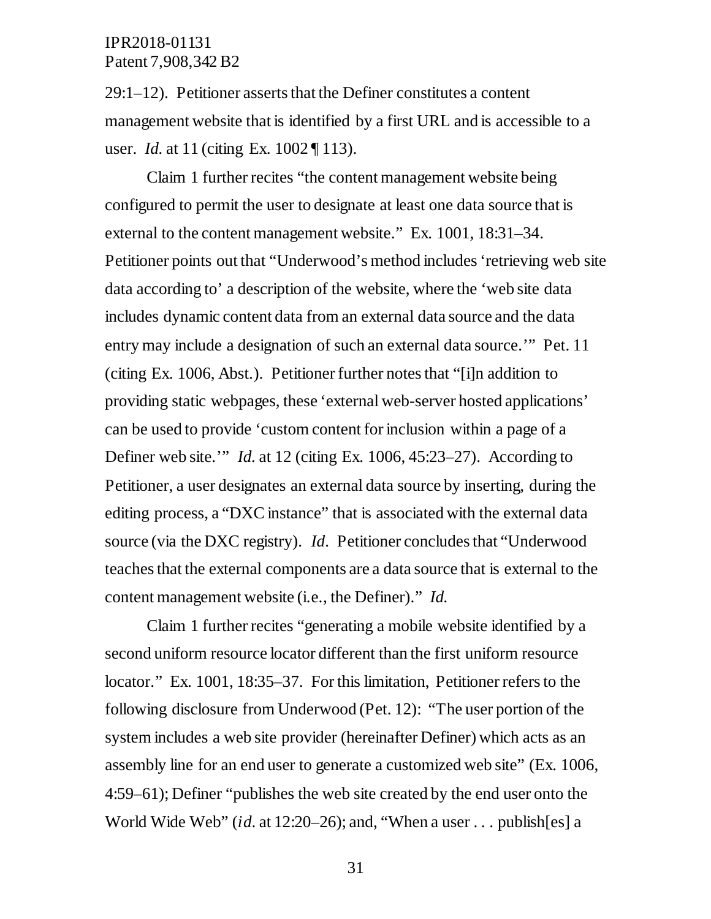29:1–12). Petitioner asserts that the Definer constitutes a content management website that is identified by a first URL and is accessible to a user. *Id.* at 11 (citing Ex. 1002 ¶ 113).

Claim 1 further recites "the content management website being configured to permit the user to designate at least one data source that is external to the content management website." Ex. 1001, 18:31–34. Petitioner points out that "Underwood's method includes 'retrieving web site data according to' a description of the website, where the 'web site data includes dynamic content data from an external data source and the data entry may include a designation of such an external data source.'" Pet. 11 (citing Ex. 1006, Abst.). Petitioner further notes that "[i]n addition to providing static webpages, these 'external web-server hosted applications' can be used to provide 'custom content for inclusion within a page of a Definer web site.'" *Id.* at 12 (citing Ex. 1006, 45:23–27). According to Petitioner, a user designates an external data source by inserting, during the editing process, a "DXC instance" that is associated with the external data source (via the DXC registry). *Id*. Petitioner concludes that "Underwood teaches that the external components are a data source that is external to the content management website (i.e., the Definer)." *Id.* 

Claim 1 further recites "generating a mobile website identified by a second uniform resource locator different than the first uniform resource locator." Ex. 1001, 18:35–37. For this limitation, Petitioner refers to the following disclosure from Underwood (Pet. 12): "The user portion of the system includes a web site provider (hereinafter Definer) which acts as an assembly line for an end user to generate a customized web site" (Ex. 1006, 4:59–61); Definer "publishes the web site created by the end user onto the World Wide Web" (*id*. at 12:20–26); and, "When a user . . . publish[es] a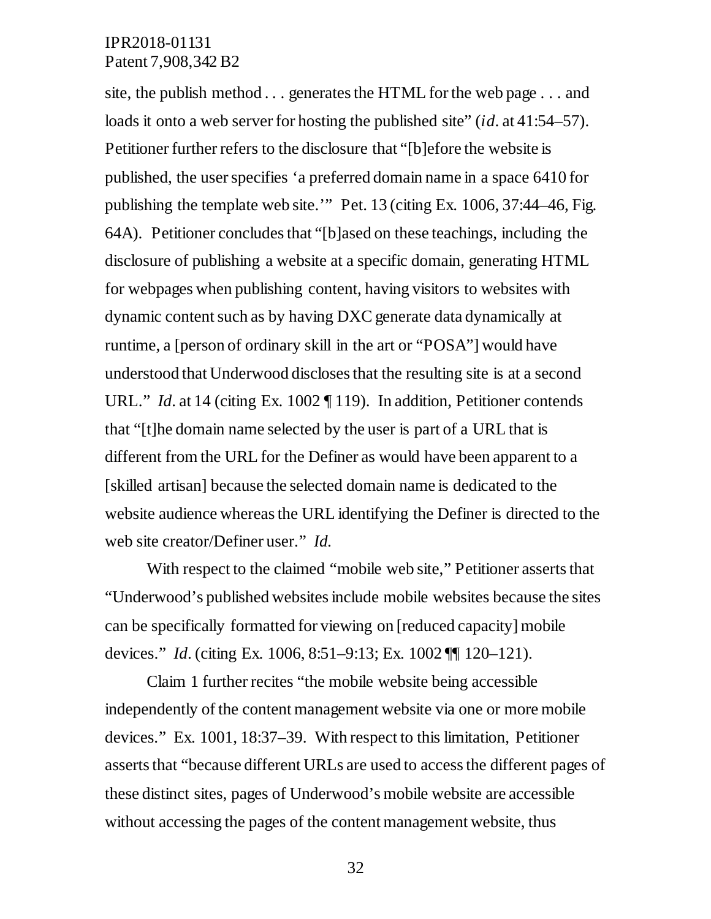site, the publish method . . . generates the HTML for the web page . . . and loads it onto a web server for hosting the published site" *(id.* at 41:54–57). Petitioner further refers to the disclosure that "[b]efore the website is published, the user specifies 'a preferred domain name in a space 6410 for publishing the template web site.'" Pet. 13 (citing Ex. 1006, 37:44–46, Fig. 64A). Petitioner concludes that "[b]ased on these teachings, including the disclosure of publishing a website at a specific domain, generating HTML for webpages when publishing content, having visitors to websites with dynamic content such as by having DXC generate data dynamically at runtime, a [person of ordinary skill in the art or "POSA"] would have understood that Underwood discloses that the resulting site is at a second URL." *Id.* at 14 (citing Ex. 1002 ¶ 119). In addition, Petitioner contends that "[t]he domain name selected by the user is part of a URL that is different from the URL for the Definer as would have been apparent to a [skilled artisan] because the selected domain name is dedicated to the website audience whereas the URL identifying the Definer is directed to the web site creator/Definer user." *Id.* 

With respect to the claimed "mobile web site," Petitioner asserts that "Underwood's published websites include mobile websites because the sites can be specifically formatted for viewing on [reduced capacity] mobile devices." *Id*. (citing Ex. 1006, 8:51–9:13; Ex. 1002 ¶¶ 120–121).

Claim 1 further recites "the mobile website being accessible independently of the content management website via one or more mobile devices." Ex. 1001, 18:37–39. With respect to this limitation, Petitioner asserts that "because different URLs are used to access the different pages of these distinct sites, pages of Underwood's mobile website are accessible without accessing the pages of the content management website, thus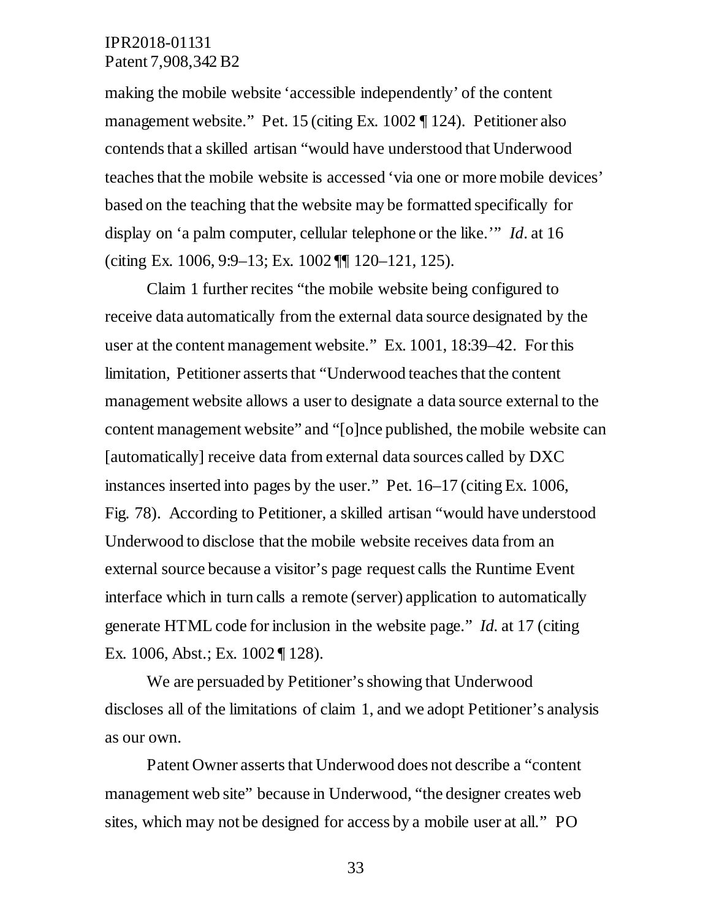making the mobile website 'accessible independently' of the content management website." Pet. 15 (citing Ex. 1002 ¶ 124). Petitioner also contends that a skilled artisan "would have understood that Underwood teaches that the mobile website is accessed 'via one or more mobile devices' based on the teaching that the website may be formatted specifically for display on 'a palm computer, cellular telephone or the like.'" *Id*. at 16 (citing Ex. 1006, 9:9–13; Ex. 1002 ¶¶ 120–121, 125).

Claim 1 further recites "the mobile website being configured to receive data automatically from the external data source designated by the user at the content management website." Ex. 1001, 18:39–42. For this limitation, Petitioner asserts that "Underwood teaches that the content management website allows a user to designate a data source external to the content management website" and "[o]nce published, the mobile website can [automatically] receive data from external data sources called by DXC instances inserted into pages by the user." Pet*.* 16–17 (citing Ex. 1006, Fig. 78). According to Petitioner, a skilled artisan "would have understood Underwood to disclose that the mobile website receives data from an external source because a visitor's page request calls the Runtime Event interface which in turn calls a remote (server) application to automatically generate HTML code for inclusion in the website page." *Id.* at 17 (citing Ex. 1006, Abst.; Ex. 1002 ¶ 128).

We are persuaded by Petitioner's showing that Underwood discloses all of the limitations of claim 1, and we adopt Petitioner's analysis as our own.

Patent Owner asserts that Underwood does not describe a "content management web site" because in Underwood, "the designer creates web sites, which may not be designed for access by a mobile user at all." PO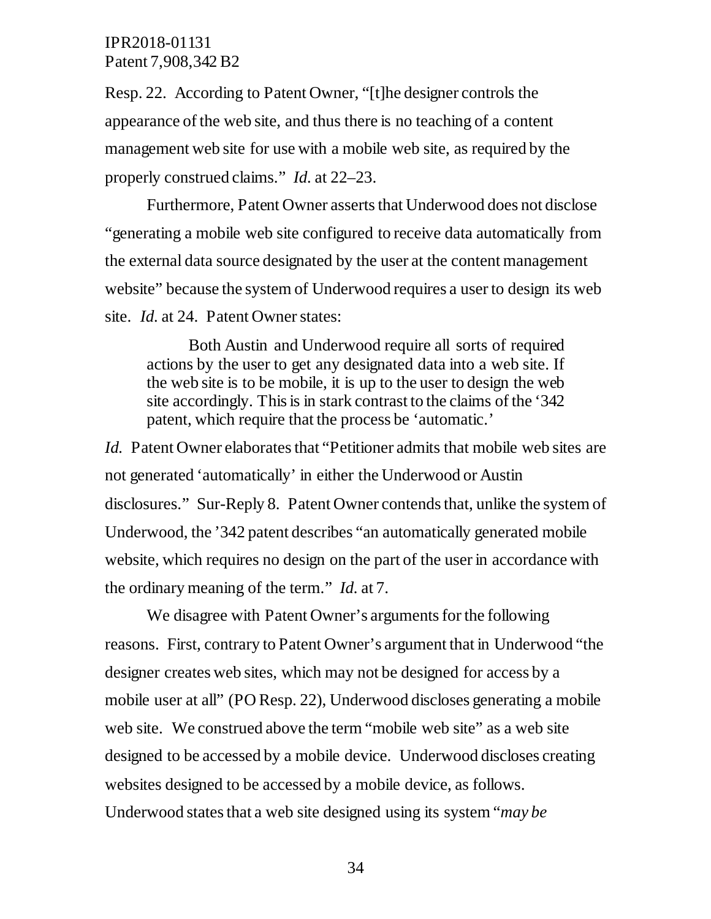Resp. 22. According to Patent Owner, "[t]he designer controls the appearance of the web site, and thus there is no teaching of a content management web site for use with a mobile web site, as required by the properly construed claims." *Id.* at 22–23.

Furthermore, Patent Owner asserts that Underwood does not disclose "generating a mobile web site configured to receive data automatically from the external data source designated by the user at the content management website" because the system of Underwood requires a user to design its web site. *Id.* at 24. Patent Owner states:

Both Austin and Underwood require all sorts of required actions by the user to get any designated data into a web site. If the web site is to be mobile, it is up to the user to design the web site accordingly. This is in stark contrast to the claims of the '342 patent, which require that the process be 'automatic.'

*Id.* Patent Owner elaborates that "Petitioner admits that mobile web sites are not generated 'automatically' in either the Underwood or Austin disclosures." Sur-Reply 8. Patent Owner contends that, unlike the system of Underwood, the '342 patent describes "an automatically generated mobile website, which requires no design on the part of the user in accordance with the ordinary meaning of the term." *Id.* at 7.

We disagree with Patent Owner's arguments for the following reasons. First, contrary to Patent Owner's argument that in Underwood "the designer creates web sites, which may not be designed for access by a mobile user at all" (PO Resp. 22), Underwood discloses generating a mobile web site. We construed above the term "mobile web site" as a web site designed to be accessed by a mobile device. Underwood discloses creating websites designed to be accessed by a mobile device, as follows. Underwood states that a web site designed using its system "*may be*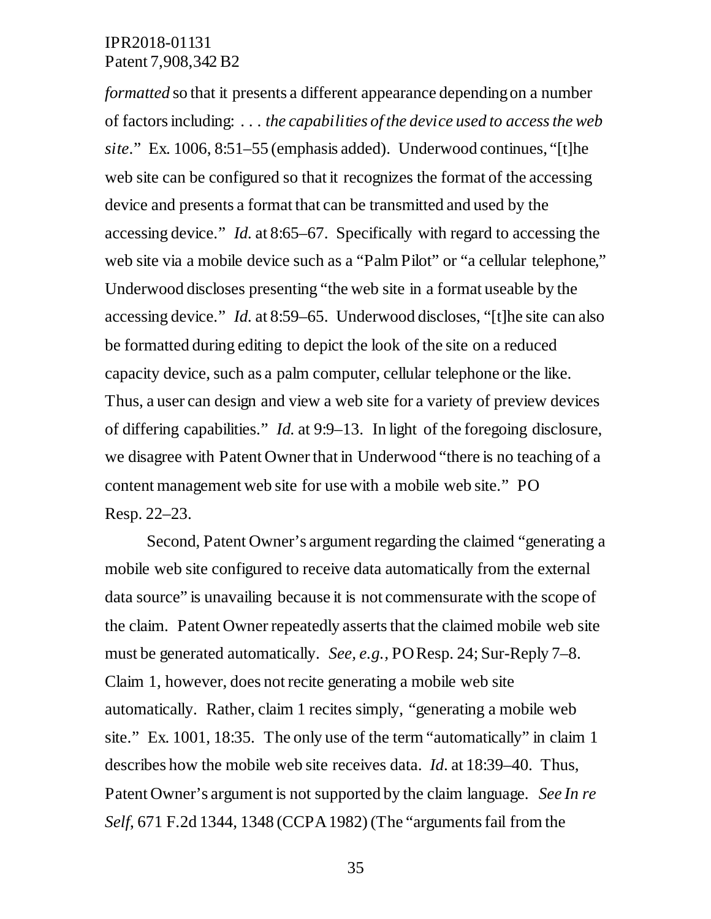*formatted* so that it presents a different appearance depending on a number of factors including: . . . *the capabilities of the device used to access the web site*." Ex. 1006, 8:51–55 (emphasis added). Underwood continues, "[t]he web site can be configured so that it recognizes the format of the accessing device and presents a format that can be transmitted and used by the accessing device." *Id.* at 8:65–67. Specifically with regard to accessing the web site via a mobile device such as a "Palm Pilot" or "a cellular telephone," Underwood discloses presenting "the web site in a format useable by the accessing device." *Id.* at 8:59–65. Underwood discloses, "[t]he site can also be formatted during editing to depict the look of the site on a reduced capacity device, such as a palm computer, cellular telephone or the like. Thus, a user can design and view a web site for a variety of preview devices of differing capabilities." *Id.* at 9:9–13. In light of the foregoing disclosure, we disagree with Patent Owner that in Underwood "there is no teaching of a content management web site for use with a mobile web site." PO Resp. 22–23.

Second, Patent Owner's argument regarding the claimed "generating a mobile web site configured to receive data automatically from the external data source" is unavailing because it is not commensurate with the scope of the claim. Patent Owner repeatedly asserts that the claimed mobile web site must be generated automatically. *See, e.g.,* PO Resp. 24; Sur-Reply 7–8. Claim 1, however, does not recite generating a mobile web site automatically. Rather, claim 1 recites simply, "generating a mobile web site." Ex. 1001, 18:35. The only use of the term "automatically" in claim 1 describes how the mobile web site receives data. *Id*. at 18:39–40. Thus, Patent Owner's argument is not supported by the claim language. *See In re Self*, 671 F.2d 1344, 1348 (CCPA 1982) (The "arguments fail from the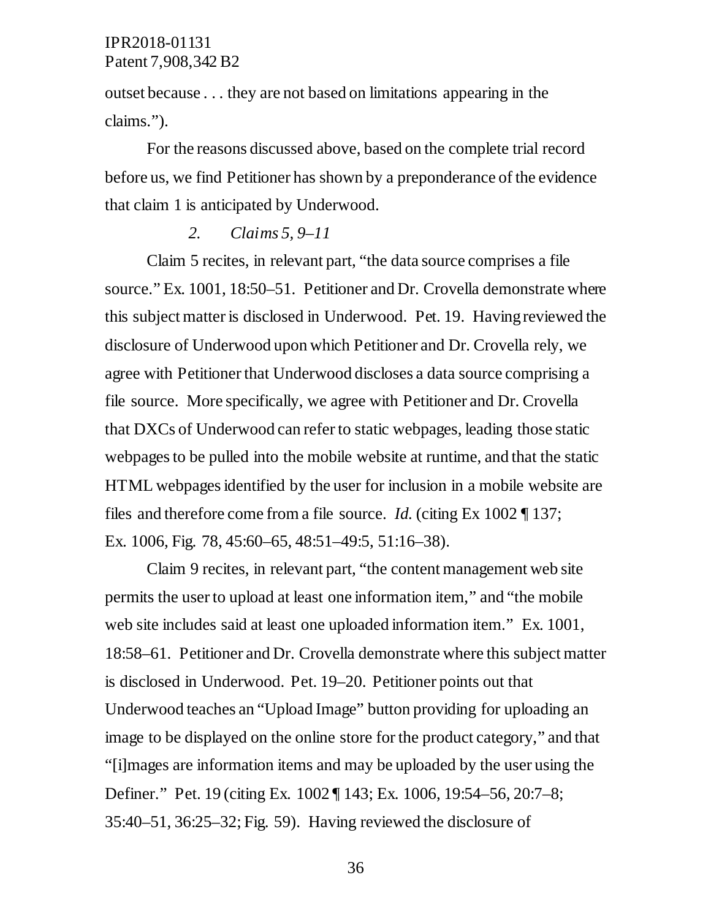outset because . . . they are not based on limitations appearing in the claims.").

For the reasons discussed above, based on the complete trial record before us, we find Petitioner has shown by a preponderance of the evidence that claim 1 is anticipated by Underwood.

#### *2. Claims 5, 9–11*

Claim 5 recites, in relevant part, "the data source comprises a file source." Ex. 1001, 18:50–51. Petitioner and Dr. Crovella demonstrate where this subject matter is disclosed in Underwood. Pet. 19. Having reviewed the disclosure of Underwood upon which Petitioner and Dr. Crovella rely, we agree with Petitioner that Underwood discloses a data source comprising a file source. More specifically, we agree with Petitioner and Dr. Crovella that DXCs of Underwood can refer to static webpages, leading those static webpages to be pulled into the mobile website at runtime, and that the static HTML webpages identified by the user for inclusion in a mobile website are files and therefore come from a file source. *Id.* (citing Ex 1002 ¶ 137; Ex. 1006, Fig. 78, 45:60–65, 48:51–49:5, 51:16–38).

Claim 9 recites, in relevant part, "the content management web site permits the user to upload at least one information item," and "the mobile web site includes said at least one uploaded information item." Ex. 1001, 18:58–61. Petitioner and Dr. Crovella demonstrate where this subject matter is disclosed in Underwood. Pet. 19–20. Petitioner points out that Underwood teaches an "Upload Image" button providing for uploading an image to be displayed on the online store for the product category," and that "[i]mages are information items and may be uploaded by the user using the Definer." Pet. 19 (citing Ex. 1002 ¶ 143; Ex. 1006, 19:54–56, 20:7–8; 35:40–51, 36:25–32; Fig. 59). Having reviewed the disclosure of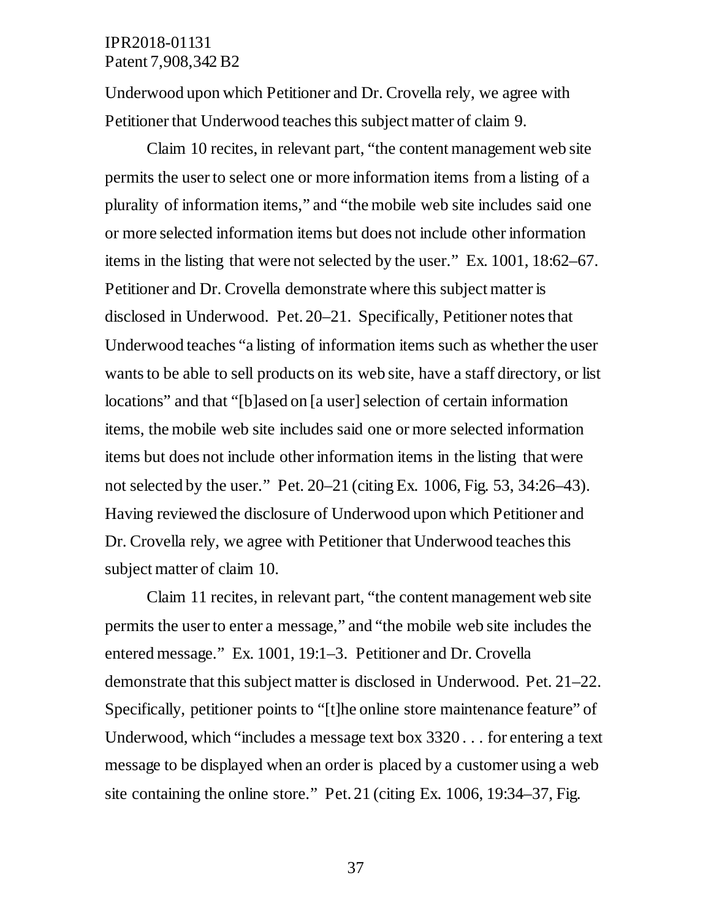Underwood upon which Petitioner and Dr. Crovella rely, we agree with Petitioner that Underwood teaches this subject matter of claim 9.

Claim 10 recites, in relevant part, "the content management web site permits the user to select one or more information items from a listing of a plurality of information items," and "the mobile web site includes said one or more selected information items but does not include other information items in the listing that were not selected by the user." Ex. 1001, 18:62–67. Petitioner and Dr. Crovella demonstrate where this subject matter is disclosed in Underwood. Pet. 20–21. Specifically, Petitioner notes that Underwood teaches "a listing of information items such as whether the user wants to be able to sell products on its web site, have a staff directory, or list locations" and that "[b]ased on [a user] selection of certain information items, the mobile web site includes said one or more selected information items but does not include other information items in the listing that were not selected by the user." Pet. 20–21 (citing Ex. 1006, Fig. 53, 34:26–43). Having reviewed the disclosure of Underwood upon which Petitioner and Dr. Crovella rely, we agree with Petitioner that Underwood teaches this subject matter of claim 10.

Claim 11 recites, in relevant part, "the content management web site permits the user to enter a message," and "the mobile web site includes the entered message." Ex. 1001, 19:1–3. Petitioner and Dr. Crovella demonstrate that this subject matter is disclosed in Underwood. Pet. 21–22. Specifically, petitioner points to "[t]he online store maintenance feature" of Underwood, which "includes a message text box 3320 . . . for entering a text message to be displayed when an order is placed by a customer using a web site containing the online store." Pet. 21 (citing Ex. 1006, 19:34–37, Fig.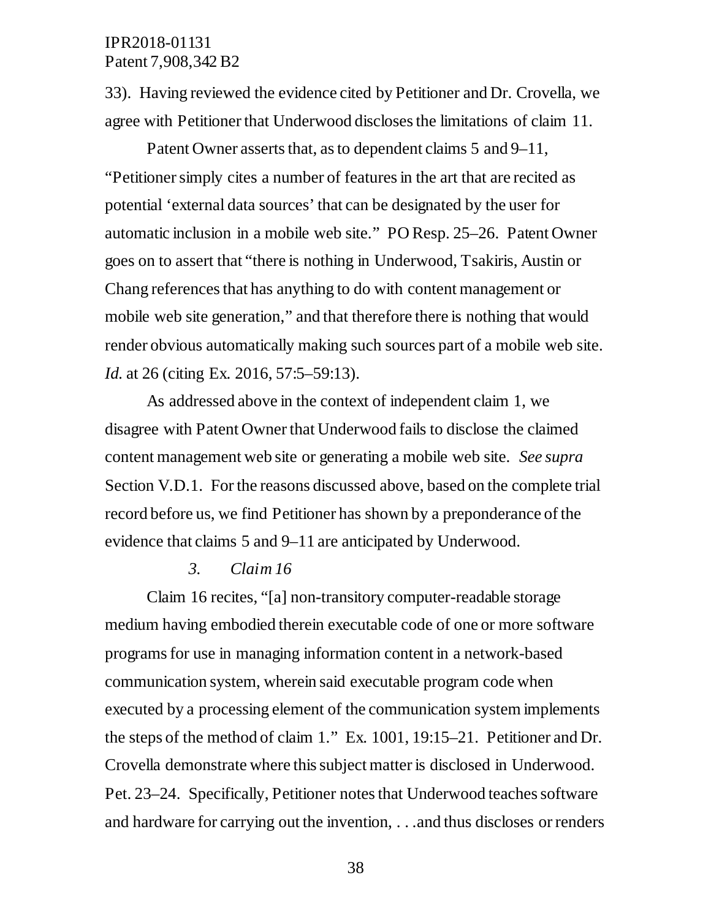33). Having reviewed the evidence cited by Petitioner and Dr. Crovella, we agree with Petitioner that Underwood discloses the limitations of claim 11.

Patent Owner asserts that, as to dependent claims 5 and 9–11, "Petitioner simply cites a number of features in the art that are recited as potential 'external data sources' that can be designated by the user for automatic inclusion in a mobile web site." PO Resp. 25–26. Patent Owner goes on to assert that "there is nothing in Underwood, Tsakiris, Austin or Chang references that has anything to do with content management or mobile web site generation," and that therefore there is nothing that would render obvious automatically making such sources part of a mobile web site. *Id.* at 26 (citing Ex. 2016, 57:5–59:13).

As addressed above in the context of independent claim 1, we disagree with Patent Owner that Underwood fails to disclose the claimed content management web site or generating a mobile web site. *See supra*  Section V.D.1. For the reasons discussed above, based on the complete trial record before us, we find Petitioner has shown by a preponderance of the evidence that claims 5 and 9–11 are anticipated by Underwood.

#### *3. Claim 16*

Claim 16 recites, "[a] non-transitory computer-readable storage medium having embodied therein executable code of one or more software programs for use in managing information content in a network-based communication system, wherein said executable program code when executed by a processing element of the communication system implements the steps of the method of claim 1." Ex. 1001, 19:15–21. Petitioner and Dr. Crovella demonstrate where this subject matter is disclosed in Underwood. Pet. 23–24. Specifically, Petitioner notes that Underwood teaches software and hardware for carrying out the invention, . . .and thus discloses or renders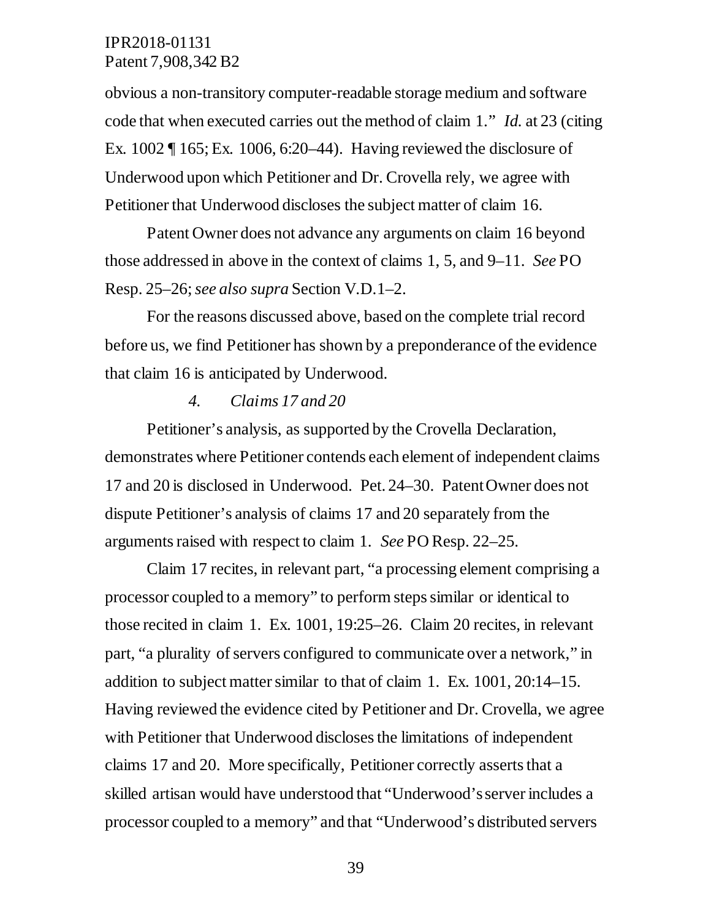obvious a non-transitory computer-readable storage medium and software code that when executed carries out the method of claim 1." *Id.* at 23 (citing Ex. 1002 ¶ 165; Ex. 1006, 6:20–44). Having reviewed the disclosure of Underwood upon which Petitioner and Dr. Crovella rely, we agree with Petitioner that Underwood discloses the subject matter of claim 16.

Patent Owner does not advance any arguments on claim 16 beyond those addressed in above in the context of claims 1, 5, and 9–11. *See* PO Resp. 25–26; *see also supra* Section V.D.1–2.

For the reasons discussed above, based on the complete trial record before us, we find Petitioner has shown by a preponderance of the evidence that claim 16 is anticipated by Underwood.

#### *4. Claims 17 and 20*

Petitioner's analysis, as supported by the Crovella Declaration, demonstrates where Petitioner contends each element of independent claims 17 and 20 is disclosed in Underwood. Pet. 24–30. Patent Owner does not dispute Petitioner's analysis of claims 17 and 20 separately from the arguments raised with respect to claim 1. *See* PO Resp. 22–25.

Claim 17 recites, in relevant part, "a processing element comprising a processor coupled to a memory" to perform steps similar or identical to those recited in claim 1. Ex. 1001, 19:25–26. Claim 20 recites, in relevant part, "a plurality of servers configured to communicate over a network," in addition to subject matter similar to that of claim 1. Ex. 1001, 20:14–15. Having reviewed the evidence cited by Petitioner and Dr. Crovella, we agree with Petitioner that Underwood discloses the limitations of independent claims 17 and 20. More specifically, Petitioner correctly asserts that a skilled artisan would have understood that "Underwood's server includes a processor coupled to a memory" and that "Underwood's distributed servers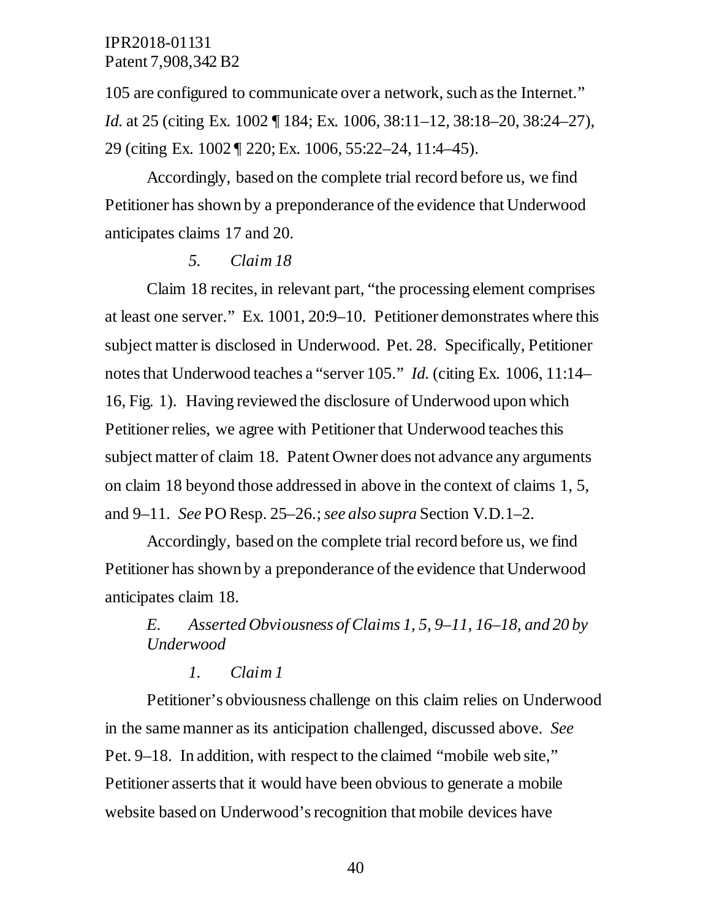105 are configured to communicate over a network, such as the Internet." *Id.* at 25 (citing Ex. 1002 ¶ 184; Ex. 1006, 38:11–12, 38:18–20, 38:24–27), 29 (citing Ex. 1002 ¶ 220; Ex. 1006, 55:22–24, 11:4–45).

Accordingly, based on the complete trial record before us, we find Petitioner has shown by a preponderance of the evidence that Underwood anticipates claims 17 and 20.

#### *5. Claim 18*

Claim 18 recites, in relevant part, "the processing element comprises at least one server." Ex. 1001, 20:9–10. Petitioner demonstrates where this subject matter is disclosed in Underwood. Pet. 28. Specifically, Petitioner notes that Underwood teaches a "server 105." *Id.* (citing Ex. 1006, 11:14– 16, Fig. 1). Having reviewed the disclosure of Underwood upon which Petitioner relies, we agree with Petitioner that Underwood teaches this subject matter of claim 18. Patent Owner does not advance any arguments on claim 18 beyond those addressed in above in the context of claims 1, 5, and 9–11. *See* PO Resp. 25–26.; *see also supra* Section V.D.1–2.

Accordingly, based on the complete trial record before us, we find Petitioner has shown by a preponderance of the evidence that Underwood anticipates claim 18.

## *E. Asserted Obviousness of Claims 1, 5*, *9–11, 16–18, and 20 by Underwood*

#### *1. Claim 1*

Petitioner's obviousness challenge on this claim relies on Underwood in the same manner as its anticipation challenged, discussed above. *See* Pet. 9–18. In addition, with respect to the claimed "mobile web site," Petitioner asserts that it would have been obvious to generate a mobile website based on Underwood's recognition that mobile devices have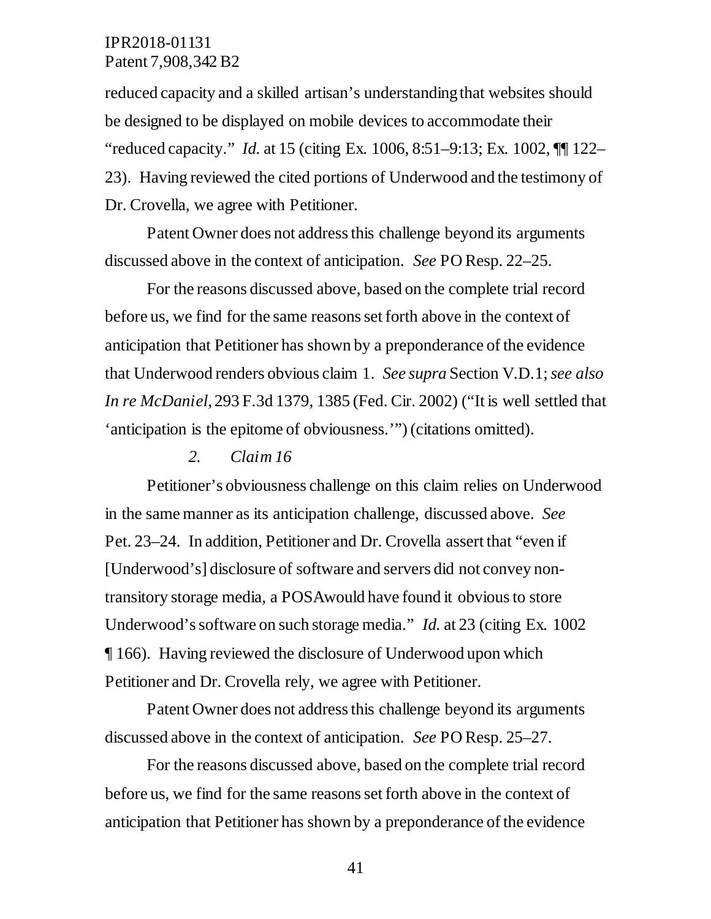reduced capacity and a skilled artisan's understanding that websites should be designed to be displayed on mobile devices to accommodate their "reduced capacity." *Id.* at 15 (citing Ex. 1006, 8:51–9:13; Ex. 1002, ¶¶ 122– 23). Having reviewed the cited portions of Underwood and the testimony of Dr. Crovella, we agree with Petitioner.

Patent Owner does not address this challenge beyond its arguments discussed above in the context of anticipation. *See* PO Resp. 22–25.

For the reasons discussed above, based on the complete trial record before us, we find for the same reasons set forth above in the context of anticipation that Petitioner has shown by a preponderance of the evidence that Underwood renders obvious claim 1. *See supra* Section V.D.1; *see also In re McDaniel*, 293 F.3d 1379, 1385 (Fed. Cir. 2002) ("It is well settled that 'anticipation is the epitome of obviousness.'") (citations omitted).

#### *2. Claim 16*

Petitioner's obviousness challenge on this claim relies on Underwood in the same manner as its anticipation challenge, discussed above. *See* Pet. 23–24. In addition, Petitioner and Dr. Crovella assert that "even if [Underwood's] disclosure of software and servers did not convey nontransitory storage media, a POSAwould have found it obvious to store Underwood's software on such storage media." *Id.* at 23 (citing Ex. 1002 ¶ 166). Having reviewed the disclosure of Underwood upon which Petitioner and Dr. Crovella rely, we agree with Petitioner.

Patent Owner does not address this challenge beyond its arguments discussed above in the context of anticipation. *See* PO Resp. 25–27.

For the reasons discussed above, based on the complete trial record before us, we find for the same reasons set forth above in the context of anticipation that Petitioner has shown by a preponderance of the evidence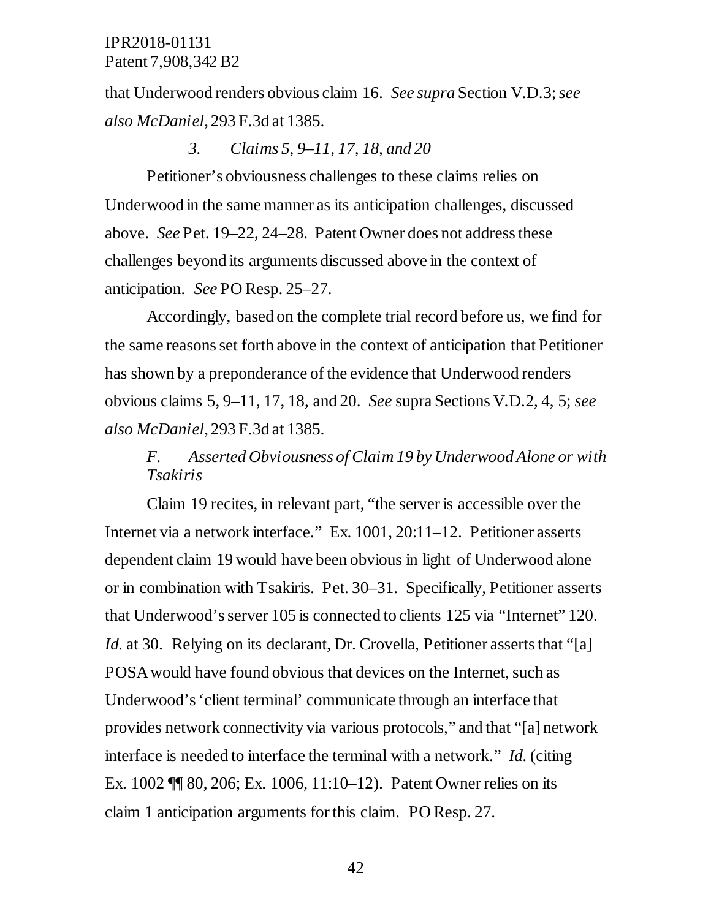that Underwood renders obvious claim 16. *See supra* Section V.D.3; *see also McDaniel*, 293 F.3d at 1385.

#### *3. Claims 5, 9–11, 17, 18, and 20*

Petitioner's obviousness challenges to these claims relies on Underwood in the same manner as its anticipation challenges, discussed above. *See* Pet. 19–22, 24–28. Patent Owner does not address these challenges beyond its arguments discussed above in the context of anticipation. *See* PO Resp. 25–27.

Accordingly, based on the complete trial record before us, we find for the same reasons set forth above in the context of anticipation that Petitioner has shown by a preponderance of the evidence that Underwood renders obvious claims 5, 9–11, 17, 18, and 20. *See* supra Sections V.D.2, 4, 5; *see also McDaniel*, 293 F.3d at 1385.

## *F. Asserted Obviousness of Claim 19 by Underwood Alone or with Tsakiris*

Claim 19 recites, in relevant part, "the server is accessible over the Internet via a network interface." Ex. 1001, 20:11–12. Petitioner asserts dependent claim 19 would have been obvious in light of Underwood alone or in combination with Tsakiris. Pet. 30–31. Specifically, Petitioner asserts that Underwood's server 105 is connected to clients 125 via "Internet" 120. *Id.* at 30. Relying on its declarant, Dr. Crovella, Petitioner asserts that "[a] POSA would have found obvious that devices on the Internet, such as Underwood's 'client terminal' communicate through an interface that provides network connectivity via various protocols," and that "[a] network interface is needed to interface the terminal with a network." *Id.* (citing Ex. 1002 ¶¶ 80, 206; Ex. 1006, 11:10–12). Patent Owner relies on its claim 1 anticipation arguments for this claim. PO Resp. 27.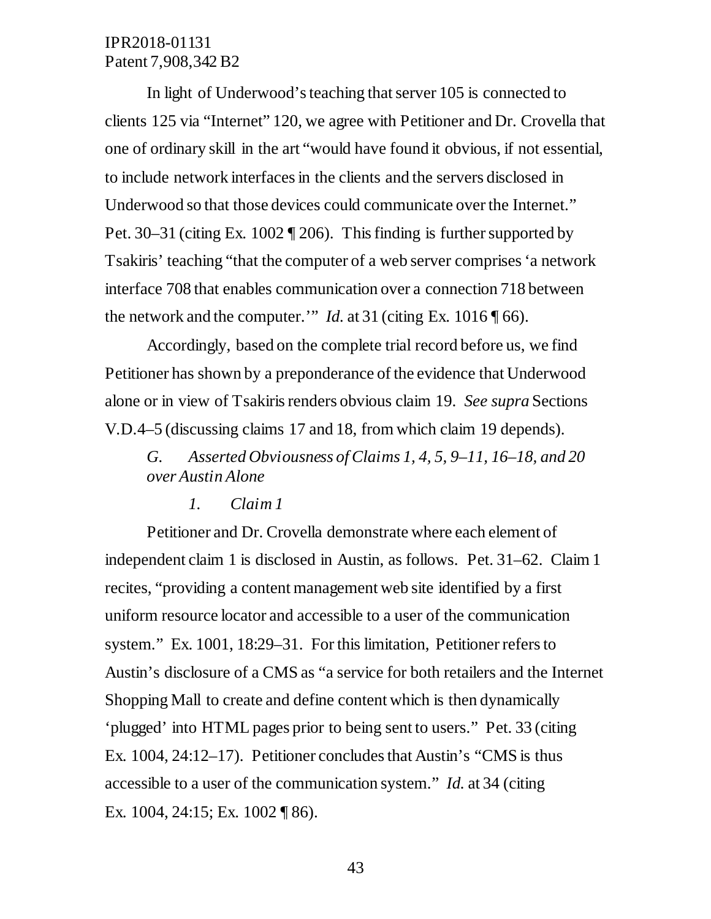In light of Underwood's teaching that server 105 is connected to clients 125 via "Internet" 120, we agree with Petitioner and Dr. Crovella that one of ordinary skill in the art "would have found it obvious, if not essential, to include network interfaces in the clients and the servers disclosed in Underwood so that those devices could communicate over the Internet." Pet. 30–31 (citing Ex. 1002 ¶ 206). This finding is further supported by Tsakiris' teaching "that the computer of a web server comprises 'a network interface 708 that enables communication over a connection 718 between the network and the computer.'" *Id.* at 31 (citing Ex. 1016 ¶ 66).

Accordingly, based on the complete trial record before us, we find Petitioner has shown by a preponderance of the evidence that Underwood alone or in view of Tsakiris renders obvious claim 19. *See supra* Sections V.D.4–5 (discussing claims 17 and 18, from which claim 19 depends).

*G. Asserted Obviousness of Claims 1, 4, 5, 9–11, 16–18, and 20 over Austin Alone* 

#### *1. Claim 1*

Petitioner and Dr. Crovella demonstrate where each element of independent claim 1 is disclosed in Austin, as follows. Pet. 31–62. Claim 1 recites, "providing a content management web site identified by a first uniform resource locator and accessible to a user of the communication system." Ex. 1001, 18:29–31. For this limitation, Petitioner refers to Austin's disclosure of a CMS as "a service for both retailers and the Internet Shopping Mall to create and define content which is then dynamically 'plugged' into HTML pages prior to being sent to users." Pet. 33 (citing Ex. 1004, 24:12–17). Petitioner concludes that Austin's "CMS is thus accessible to a user of the communication system." *Id.* at 34 (citing Ex. 1004, 24:15; Ex. 1002 ¶ 86).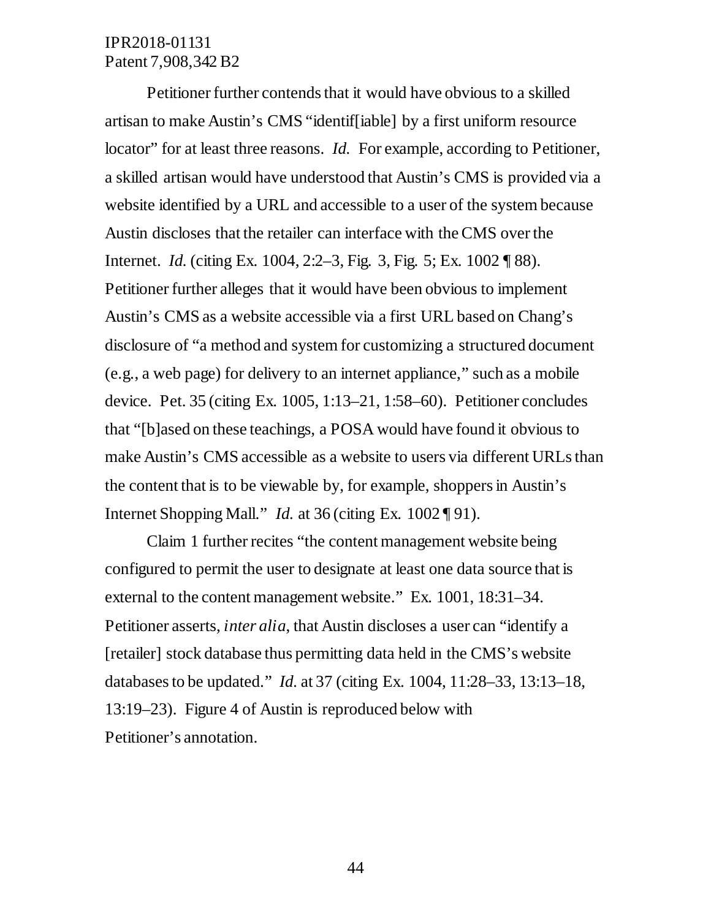Petitioner further contends that it would have obvious to a skilled artisan to make Austin's CMS "identif[iable] by a first uniform resource locator" for at least three reasons. *Id.* For example, according to Petitioner, a skilled artisan would have understood that Austin's CMS is provided via a website identified by a URL and accessible to a user of the system because Austin discloses that the retailer can interface with the CMS over the Internet. *Id.* (citing Ex. 1004, 2:2–3, Fig. 3, Fig. 5; Ex. 1002 ¶ 88). Petitioner further alleges that it would have been obvious to implement Austin's CMS as a website accessible via a first URL based on Chang's disclosure of "a method and system for customizing a structured document (e.g., a web page) for delivery to an internet appliance," such as a mobile device. Pet. 35 (citing Ex. 1005, 1:13–21, 1:58–60). Petitioner concludes that "[b]ased on these teachings, a POSA would have found it obvious to make Austin's CMS accessible as a website to users via different URLs than the content that is to be viewable by, for example, shoppers in Austin's Internet Shopping Mall." *Id.* at 36 (citing Ex. 1002 ¶ 91).

Claim 1 further recites "the content management website being configured to permit the user to designate at least one data source that is external to the content management website." Ex. 1001, 18:31–34. Petitioner asserts, *inter alia*, that Austin discloses a user can "identify a [retailer] stock database thus permitting data held in the CMS's website databases to be updated." *Id.* at 37 (citing Ex. 1004, 11:28–33, 13:13–18, 13:19–23). Figure 4 of Austin is reproduced below with Petitioner's annotation.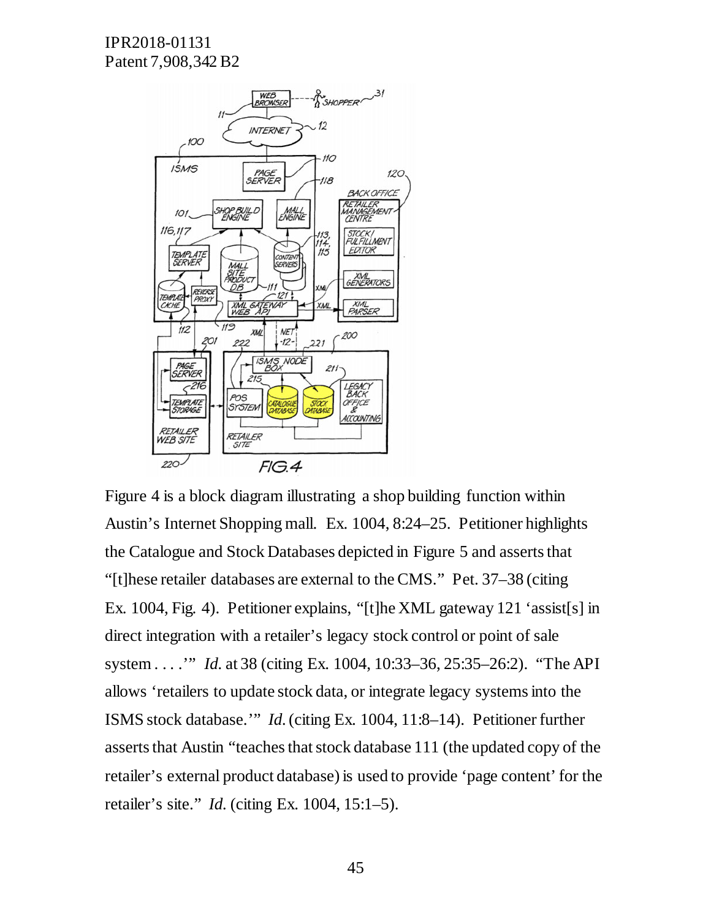

Figure 4 is a block diagram illustrating a shop building function within Austin's Internet Shopping mall. Ex. 1004, 8:24–25. Petitioner highlights the Catalogue and Stock Databases depicted in Figure 5 and asserts that "[t]hese retailer databases are external to the CMS." Pet. 37–38 (citing Ex. 1004, Fig. 4). Petitioner explains, "[t]he XML gateway 121 'assist[s] in direct integration with a retailer's legacy stock control or point of sale system . . . .'" *Id.* at 38 (citing Ex. 1004, 10:33–36, 25:35–26:2). "The API allows 'retailers to update stock data, or integrate legacy systems into the ISMS stock database.'" *Id.* (citing Ex. 1004, 11:8–14). Petitioner further asserts that Austin "teaches that stock database 111 (the updated copy of the retailer's external product database) is used to provide 'page content' for the retailer's site." *Id.* (citing Ex. 1004, 15:1–5).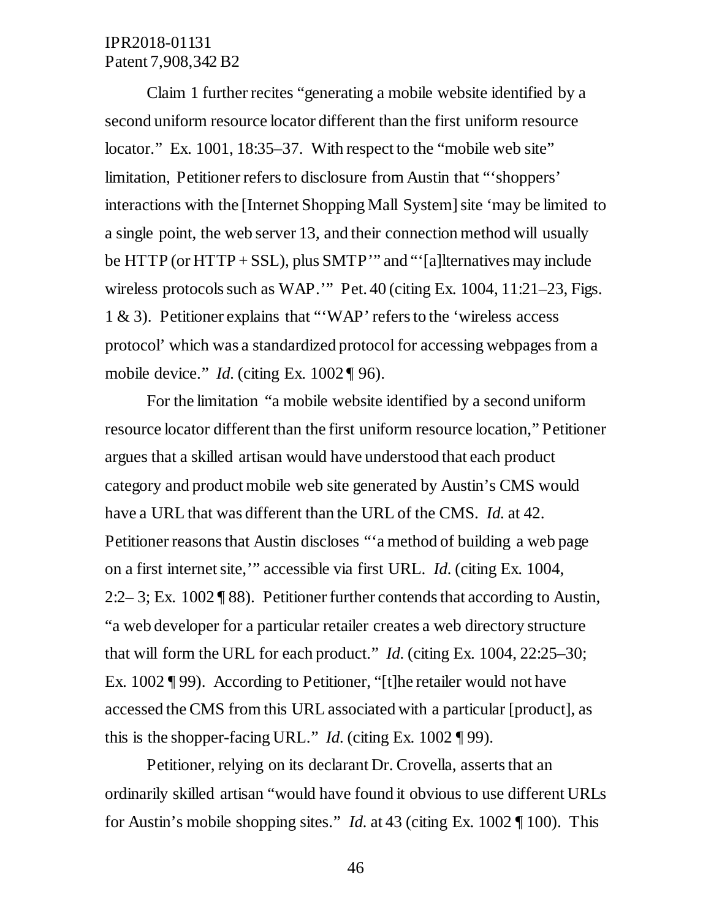Claim 1 further recites "generating a mobile website identified by a second uniform resource locator different than the first uniform resource locator." Ex. 1001, 18:35–37. With respect to the "mobile web site" limitation, Petitioner refers to disclosure from Austin that "'shoppers' interactions with the [Internet Shopping Mall System] site 'may be limited to a single point, the web server 13, and their connection method will usually be HTTP (or HTTP + SSL), plus SMTP'" and "'[a]lternatives may include wireless protocols such as WAP.'" Pet. 40 (citing Ex. 1004, 11:21–23, Figs. 1 & 3). Petitioner explains that "'WAP' refers to the 'wireless access protocol' which was a standardized protocol for accessing webpages from a mobile device." *Id.* (citing Ex. 1002 ¶ 96).

For the limitation "a mobile website identified by a second uniform resource locator different than the first uniform resource location," Petitioner argues that a skilled artisan would have understood that each product category and product mobile web site generated by Austin's CMS would have a URL that was different than the URL of the CMS. *Id.* at 42. Petitioner reasons that Austin discloses "'a method of building a web page on a first internet site,'" accessible via first URL. *Id.* (citing Ex. 1004, 2:2– 3; Ex. 1002 ¶ 88). Petitioner further contends that according to Austin, "a web developer for a particular retailer creates a web directory structure that will form the URL for each product." *Id.* (citing Ex. 1004, 22:25–30; Ex. 1002 ¶ 99). According to Petitioner, "[t]he retailer would not have accessed the CMS from this URL associated with a particular [product], as this is the shopper-facing URL." *Id.* (citing Ex. 1002 ¶ 99).

Petitioner, relying on its declarant Dr. Crovella, asserts that an ordinarily skilled artisan "would have found it obvious to use different URLs for Austin's mobile shopping sites." *Id.* at 43 (citing Ex. 1002 ¶ 100). This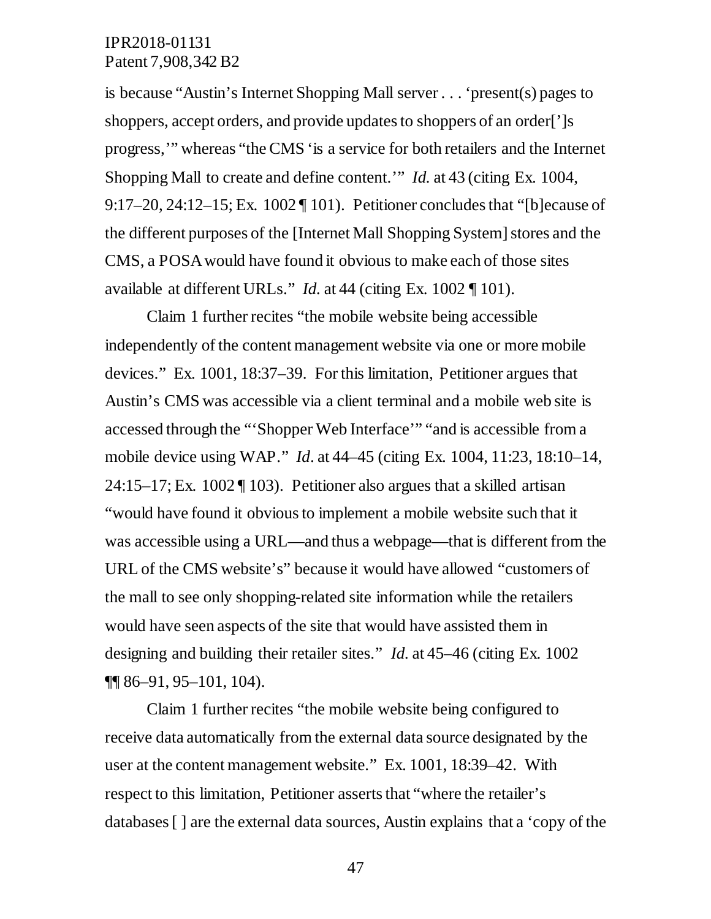is because "Austin's Internet Shopping Mall server . . . 'present(s) pages to shoppers, accept orders, and provide updates to shoppers of an order<sup>[']</sup>s progress,'" whereas "the CMS 'is a service for both retailers and the Internet Shopping Mall to create and define content.'" *Id.* at 43 (citing Ex. 1004, 9:17–20, 24:12–15; Ex. 1002 ¶ 101). Petitioner concludes that "[b]ecause of the different purposes of the [Internet Mall Shopping System] stores and the CMS, a POSA would have found it obvious to make each of those sites available at different URLs." *Id.* at 44 (citing Ex. 1002 ¶ 101).

Claim 1 further recites "the mobile website being accessible independently of the content management website via one or more mobile devices." Ex. 1001, 18:37–39. For this limitation, Petitioner argues that Austin's CMS was accessible via a client terminal and a mobile web site is accessed through the "'Shopper Web Interface'" "and is accessible from a mobile device using WAP." *Id*. at 44–45 (citing Ex. 1004, 11:23, 18:10–14,  $24:15-17$ : Ex. 1002 [ 103). Petitioner also argues that a skilled artisan "would have found it obvious to implement a mobile website such that it was accessible using a URL—and thus a webpage—that is different from the URL of the CMS website's" because it would have allowed "customers of the mall to see only shopping-related site information while the retailers would have seen aspects of the site that would have assisted them in designing and building their retailer sites." *Id.* at 45–46 (citing Ex. 1002 ¶¶ 86–91, 95–101, 104).

Claim 1 further recites "the mobile website being configured to receive data automatically from the external data source designated by the user at the content management website." Ex. 1001, 18:39–42. With respect to this limitation, Petitioner asserts that "where the retailer's databases [ ] are the external data sources, Austin explains that a 'copy of the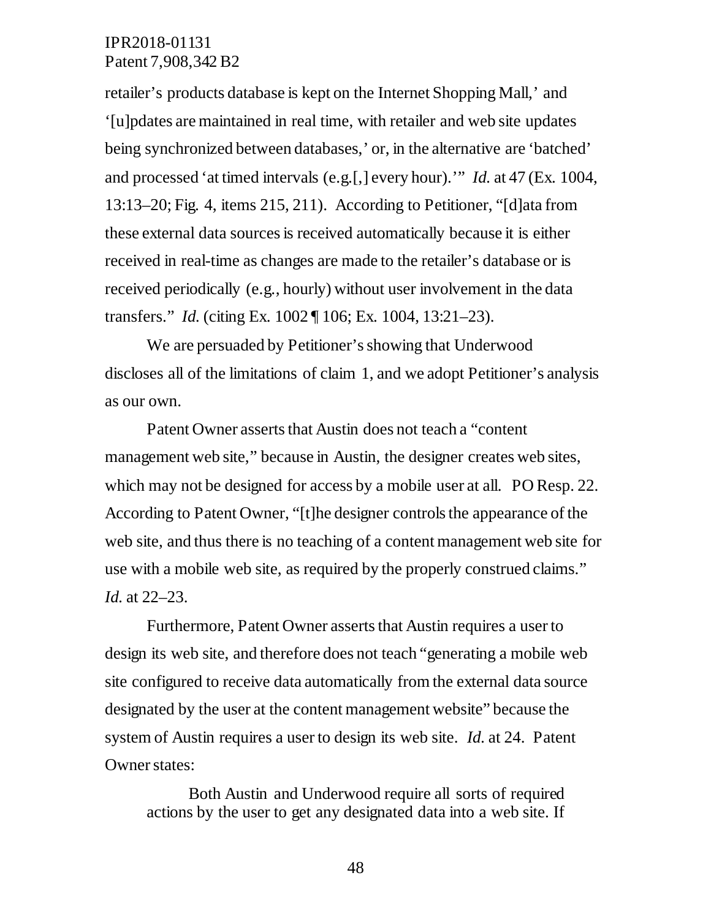retailer's products database is kept on the Internet Shopping Mall,' and '[u]pdates are maintained in real time, with retailer and web site updates being synchronized between databases,' or, in the alternative are 'batched' and processed 'at timed intervals (e.g.[,] every hour).'" *Id.* at 47 (Ex. 1004, 13:13–20; Fig. 4, items 215, 211). According to Petitioner, "[d]ata from these external data sources is received automatically because it is either received in real-time as changes are made to the retailer's database or is received periodically (e.g., hourly) without user involvement in the data transfers." *Id.* (citing Ex. 1002 ¶ 106; Ex. 1004, 13:21–23).

We are persuaded by Petitioner's showing that Underwood discloses all of the limitations of claim 1, and we adopt Petitioner's analysis as our own.

Patent Owner asserts that Austin does not teach a "content management web site," because in Austin, the designer creates web sites, which may not be designed for access by a mobile user at all. PO Resp. 22. According to Patent Owner, "[t]he designer controls the appearance of the web site, and thus there is no teaching of a content management web site for use with a mobile web site, as required by the properly construed claims." *Id.* at 22–23.

Furthermore, Patent Owner asserts that Austin requires a user to design its web site, and therefore does not teach "generating a mobile web site configured to receive data automatically from the external data source designated by the user at the content management website" because the system of Austin requires a user to design its web site. *Id.* at 24. Patent Owner states:

Both Austin and Underwood require all sorts of required actions by the user to get any designated data into a web site. If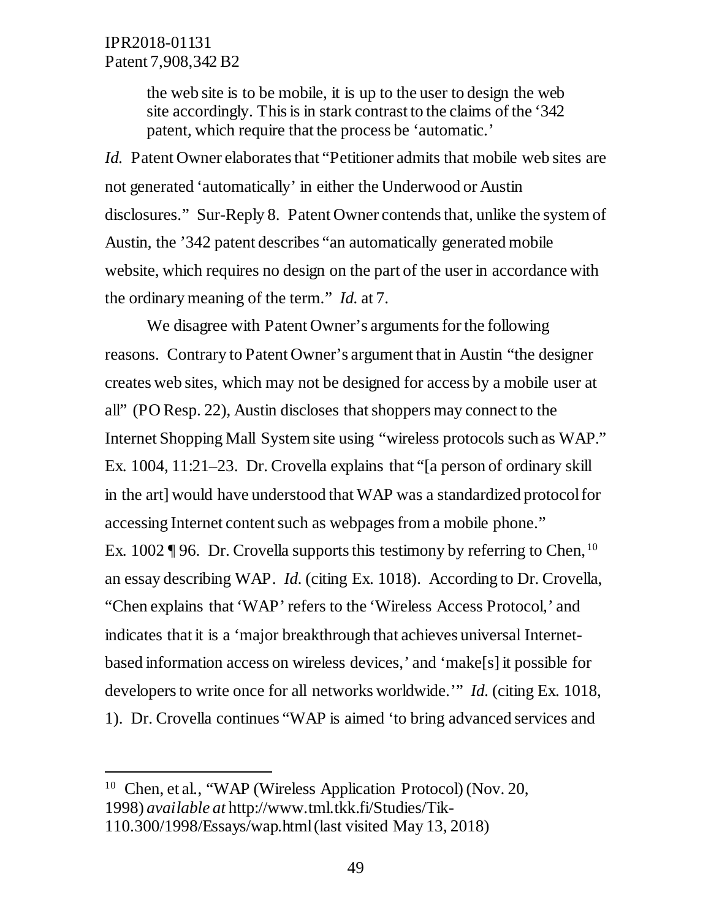$\overline{a}$ 

the web site is to be mobile, it is up to the user to design the web site accordingly. This is in stark contrast to the claims of the '342 patent, which require that the process be 'automatic.'

*Id.* Patent Owner elaborates that "Petitioner admits that mobile web sites are not generated 'automatically' in either the Underwood or Austin disclosures." Sur-Reply 8. Patent Owner contends that, unlike the system of Austin, the '342 patent describes "an automatically generated mobile website, which requires no design on the part of the user in accordance with the ordinary meaning of the term." *Id.* at 7.

We disagree with Patent Owner's arguments for the following reasons. Contrary to Patent Owner's argument that in Austin "the designer creates web sites, which may not be designed for access by a mobile user at all" (PO Resp. 22), Austin discloses that shoppers may connect to the Internet Shopping Mall System site using "wireless protocols such as WAP." Ex. 1004, 11:21–23. Dr. Crovella explains that "[a person of ordinary skill in the art] would have understood that WAP was a standardized protocol for accessing Internet content such as webpages from a mobile phone." Ex. 1002 ¶ 96. Dr. Crovella supports this testimony by referring to Chen, <sup>10</sup> an essay describing WAP. *Id.* (citing Ex. 1018).According to Dr. Crovella, "Chen explains that 'WAP' refers to the 'Wireless Access Protocol,' and indicates that it is a 'major breakthrough that achieves universal Internetbased information access on wireless devices,' and 'make[s] it possible for developers to write once for all networks worldwide.'" *Id.* (citing Ex. 1018, 1). Dr. Crovella continues "WAP is aimed 'to bring advanced services and

<sup>&</sup>lt;sup>10</sup> Chen, et al., "WAP (Wireless Application Protocol) (Nov. 20, 1998) *available at* http://www.tml.tkk.fi/Studies/Tik-110.300/1998/Essays/wap.html (last visited May 13, 2018)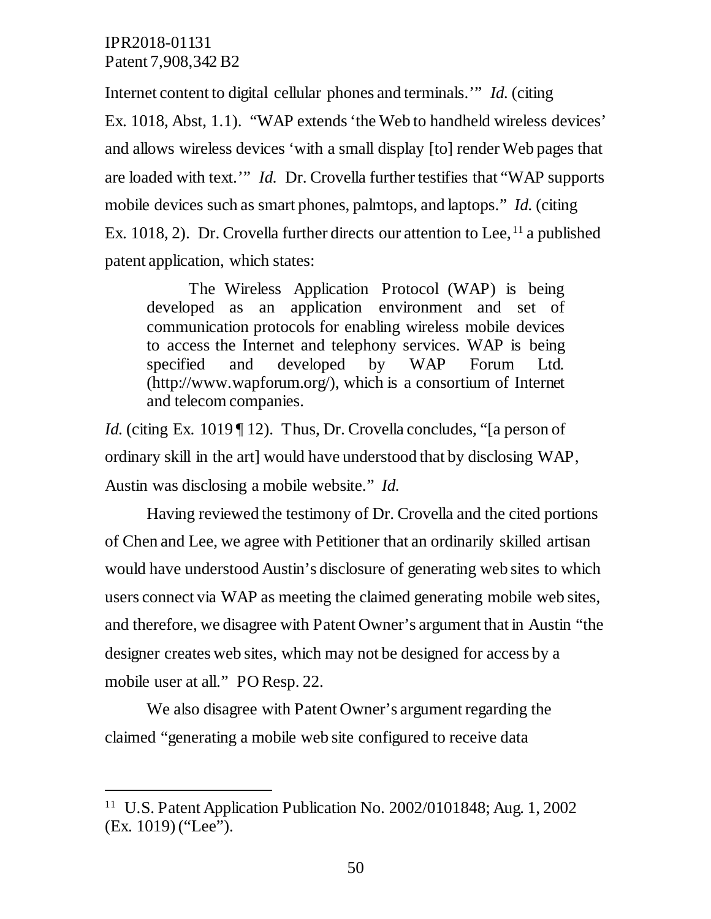$\overline{a}$ 

Internet content to digital cellular phones and terminals.'" *Id.* (citing Ex. 1018, Abst, 1.1). "WAP extends 'the Web to handheld wireless devices' and allows wireless devices 'with a small display [to] render Web pages that are loaded with text.'" *Id.* Dr. Crovella further testifies that "WAP supports mobile devices such as smart phones, palmtops, and laptops." *Id.* (citing Ex. 1018, 2). Dr. Crovella further directs our attention to Lee,  $^{11}$  a published patent application, which states:

The Wireless Application Protocol (WAP) is being developed as an application environment and set of communication protocols for enabling wireless mobile devices to access the Internet and telephony services. WAP is being specified and developed by WAP Forum Ltd. (http://www.wapforum.org/), which is a consortium of Internet and telecom companies.

*Id.* (citing Ex. 1019 | 12). Thus, Dr. Crovella concludes, "a person of ordinary skill in the art] would have understood that by disclosing WAP, Austin was disclosing a mobile website." *Id.*

Having reviewed the testimony of Dr. Crovella and the cited portions of Chen and Lee, we agree with Petitioner that an ordinarily skilled artisan would have understood Austin's disclosure of generating web sites to which users connect via WAP as meeting the claimed generating mobile web sites, and therefore, we disagree with Patent Owner's argument that in Austin "the designer creates web sites, which may not be designed for access by a mobile user at all." PO Resp. 22.

We also disagree with Patent Owner's argument regarding the claimed "generating a mobile web site configured to receive data

<sup>11</sup> U.S. Patent Application Publication No. 2002/0101848; Aug. 1, 2002 (Ex. 1019) ("Lee").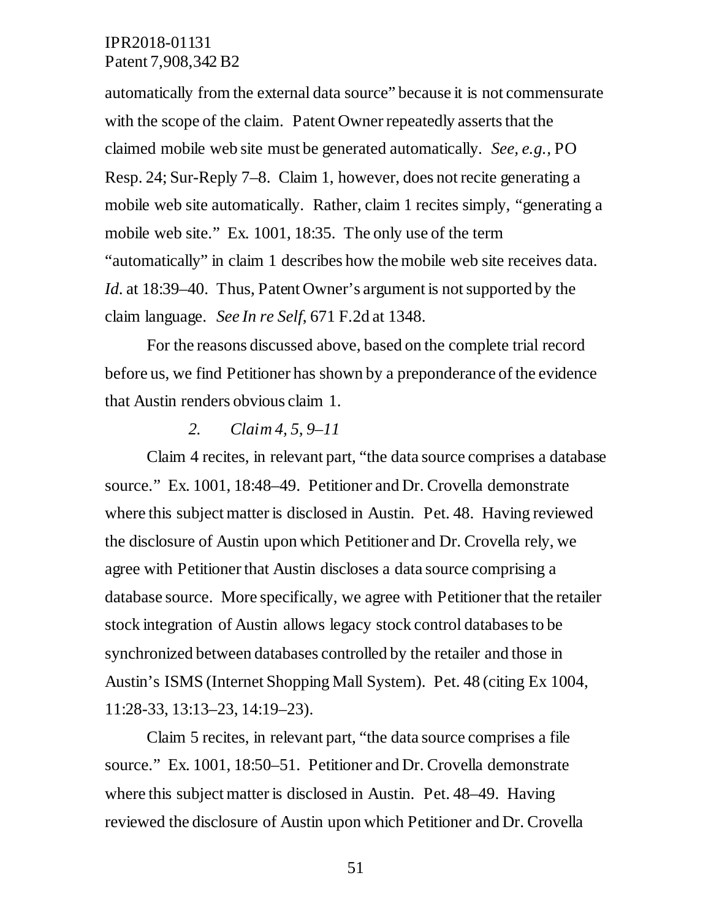automatically from the external data source" because it is not commensurate with the scope of the claim. Patent Owner repeatedly asserts that the claimed mobile web site must be generated automatically. *See, e.g.,* PO Resp. 24; Sur-Reply 7–8. Claim 1, however, does not recite generating a mobile web site automatically. Rather, claim 1 recites simply, "generating a mobile web site." Ex. 1001, 18:35. The only use of the term "automatically" in claim 1 describes how the mobile web site receives data. *Id.* at 18:39–40. Thus, Patent Owner's argument is not supported by the claim language. *See In re Self*, 671 F.2d at 1348.

For the reasons discussed above, based on the complete trial record before us, we find Petitioner has shown by a preponderance of the evidence that Austin renders obvious claim 1.

#### *2. Claim 4, 5, 9–11*

Claim 4 recites, in relevant part, "the data source comprises a database source." Ex. 1001, 18:48–49. Petitioner and Dr. Crovella demonstrate where this subject matter is disclosed in Austin. Pet. 48. Having reviewed the disclosure of Austin upon which Petitioner and Dr. Crovella rely, we agree with Petitioner that Austin discloses a data source comprising a database source. More specifically, we agree with Petitioner that the retailer stock integration of Austin allows legacy stock control databases to be synchronized between databases controlled by the retailer and those in Austin's ISMS (Internet Shopping Mall System). Pet. 48 (citing Ex 1004, 11:28-33, 13:13–23, 14:19–23).

Claim 5 recites, in relevant part, "the data source comprises a file source." Ex. 1001, 18:50–51. Petitioner and Dr. Crovella demonstrate where this subject matter is disclosed in Austin. Pet. 48–49. Having reviewed the disclosure of Austin upon which Petitioner and Dr. Crovella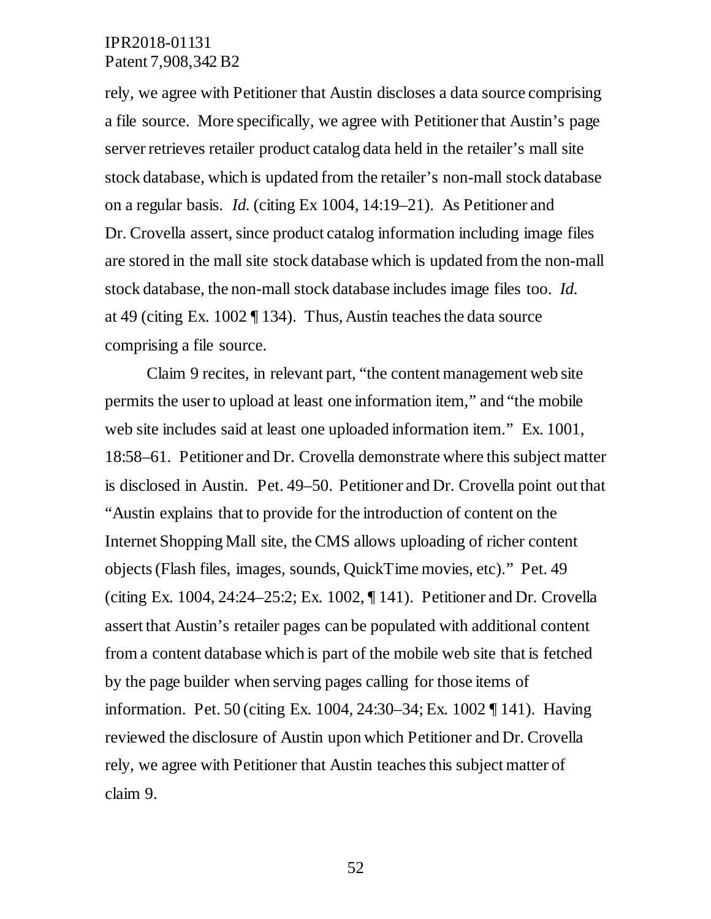rely, we agree with Petitioner that Austin discloses a data source comprising a file source. More specifically, we agree with Petitioner that Austin's page server retrieves retailer product catalog data held in the retailer's mall site stock database, which is updated from the retailer's non-mall stock database on a regular basis. *Id.* (citing Ex 1004, 14:19–21). As Petitioner and Dr. Crovella assert, since product catalog information including image files are stored in the mall site stock database which is updated from the non-mall stock database, the non-mall stock database includes image files too. *Id.*  at 49 (citing Ex. 1002 ¶ 134). Thus, Austin teaches the data source comprising a file source.

Claim 9 recites, in relevant part, "the content management web site permits the user to upload at least one information item," and "the mobile web site includes said at least one uploaded information item." Ex. 1001, 18:58–61. Petitioner and Dr. Crovella demonstrate where this subject matter is disclosed in Austin. Pet. 49–50. Petitioner and Dr. Crovella point out that "Austin explains that to provide for the introduction of content on the Internet Shopping Mall site, the CMS allows uploading of richer content objects (Flash files, images, sounds, QuickTime movies, etc)." Pet. 49 (citing Ex. 1004, 24:24–25:2; Ex. 1002, ¶ 141). Petitioner and Dr. Crovella assert that Austin's retailer pages can be populated with additional content from a content database which is part of the mobile web site that is fetched by the page builder when serving pages calling for those items of information. Pet. 50 (citing Ex. 1004, 24:30–34; Ex. 1002 ¶ 141). Having reviewed the disclosure of Austin upon which Petitioner and Dr. Crovella rely, we agree with Petitioner that Austin teaches this subject matter of claim 9.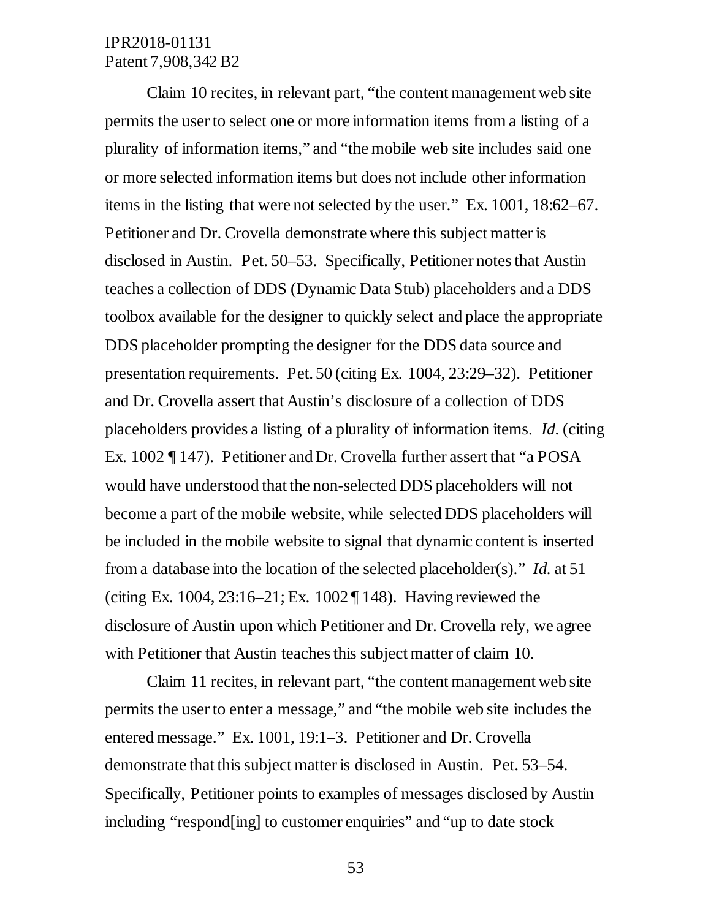Claim 10 recites, in relevant part, "the content management web site permits the user to select one or more information items from a listing of a plurality of information items," and "the mobile web site includes said one or more selected information items but does not include other information items in the listing that were not selected by the user." Ex. 1001, 18:62–67. Petitioner and Dr. Crovella demonstrate where this subject matter is disclosed in Austin. Pet. 50–53. Specifically, Petitioner notes that Austin teaches a collection of DDS (Dynamic Data Stub) placeholders and a DDS toolbox available for the designer to quickly select and place the appropriate DDS placeholder prompting the designer for the DDS data source and presentation requirements. Pet. 50 (citing Ex. 1004, 23:29–32). Petitioner and Dr. Crovella assert that Austin's disclosure of a collection of DDS placeholders provides a listing of a plurality of information items. *Id.* (citing Ex. 1002 ¶ 147). Petitioner and Dr. Crovella further assert that "a POSA would have understood that the non-selected DDS placeholders will not become a part of the mobile website, while selected DDS placeholders will be included in the mobile website to signal that dynamic content is inserted from a database into the location of the selected placeholder(s)." *Id.* at 51 (citing Ex. 1004, 23:16–21; Ex. 1002 ¶ 148). Having reviewed the disclosure of Austin upon which Petitioner and Dr. Crovella rely, we agree with Petitioner that Austin teaches this subject matter of claim 10.

Claim 11 recites, in relevant part, "the content management web site permits the user to enter a message," and "the mobile web site includes the entered message." Ex. 1001, 19:1–3. Petitioner and Dr. Crovella demonstrate that this subject matter is disclosed in Austin. Pet. 53–54. Specifically, Petitioner points to examples of messages disclosed by Austin including "respond[ing] to customer enquiries" and "up to date stock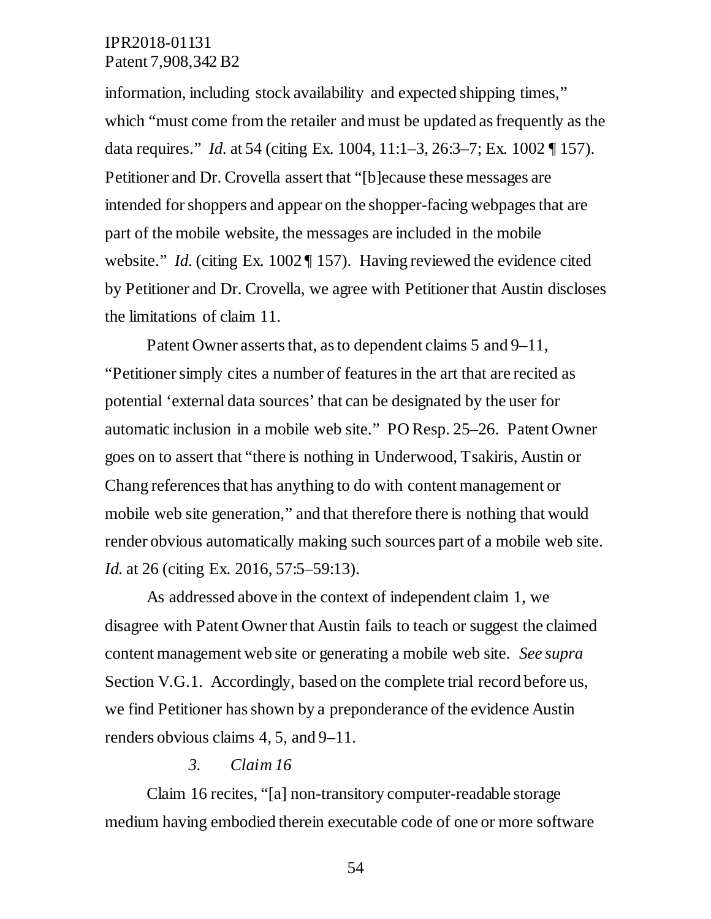information, including stock availability and expected shipping times," which "must come from the retailer and must be updated as frequently as the data requires." *Id.* at 54 (citing Ex. 1004, 11:1–3, 26:3–7; Ex. 1002 ¶ 157). Petitioner and Dr. Crovella assert that "[b]ecause these messages are intended for shoppers and appear on the shopper-facing webpages that are part of the mobile website, the messages are included in the mobile website." *Id.* (citing Ex. 1002 | 157). Having reviewed the evidence cited by Petitioner and Dr. Crovella, we agree with Petitioner that Austin discloses the limitations of claim 11.

Patent Owner asserts that, as to dependent claims 5 and 9–11, "Petitioner simply cites a number of features in the art that are recited as potential 'external data sources' that can be designated by the user for automatic inclusion in a mobile web site." PO Resp. 25–26. Patent Owner goes on to assert that "there is nothing in Underwood, Tsakiris, Austin or Chang references that has anything to do with content management or mobile web site generation," and that therefore there is nothing that would render obvious automatically making such sources part of a mobile web site. *Id.* at 26 (citing Ex. 2016, 57:5–59:13).

As addressed above in the context of independent claim 1, we disagree with Patent Owner that Austin fails to teach or suggest the claimed content management web site or generating a mobile web site. *See supra*  Section V.G.1. Accordingly, based on the complete trial record before us, we find Petitioner has shown by a preponderance of the evidence Austin renders obvious claims 4, 5, and 9–11.

#### *3. Claim 16*

Claim 16 recites, "[a] non-transitory computer-readable storage medium having embodied therein executable code of one or more software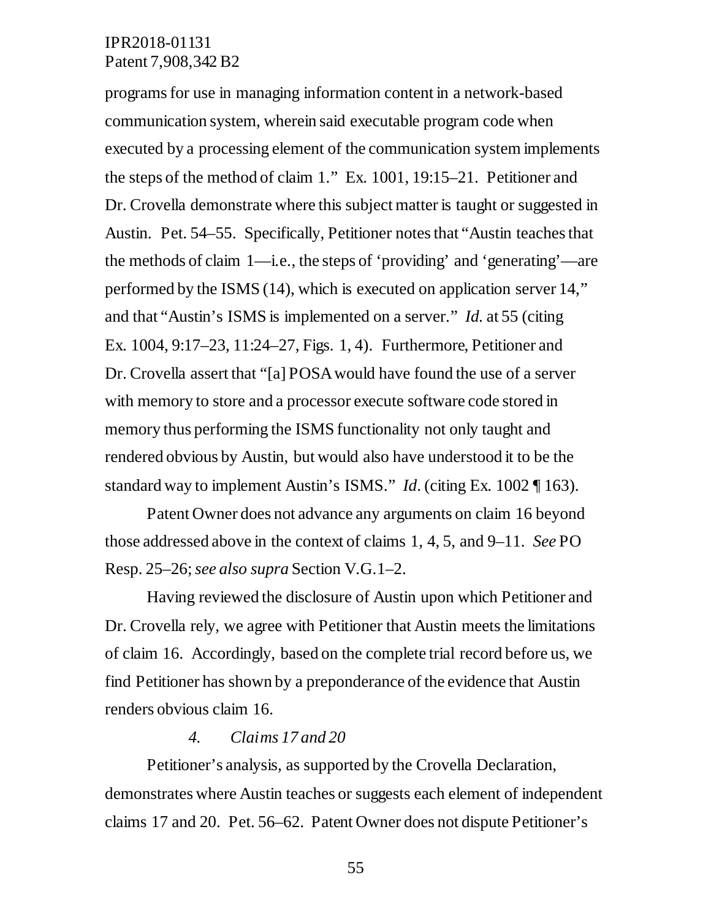programs for use in managing information content in a network-based communication system, wherein said executable program code when executed by a processing element of the communication system implements the steps of the method of claim 1." Ex. 1001, 19:15–21. Petitioner and Dr. Crovella demonstrate where this subject matter is taught or suggested in Austin. Pet. 54–55. Specifically, Petitioner notes that "Austin teaches that the methods of claim 1—i.e., the steps of 'providing' and 'generating'—are performed by the ISMS (14), which is executed on application server 14," and that "Austin's ISMS is implemented on a server." *Id.* at 55 (citing Ex. 1004, 9:17–23, 11:24–27, Figs. 1, 4). Furthermore, Petitioner and Dr. Crovella assert that "[a] POSA would have found the use of a server with memory to store and a processor execute software code stored in memory thus performing the ISMS functionality not only taught and rendered obvious by Austin, but would also have understood it to be the standard way to implement Austin's ISMS." *Id*. (citing Ex. 1002 ¶ 163).

Patent Owner does not advance any arguments on claim 16 beyond those addressed above in the context of claims 1, 4, 5, and 9–11. *See* PO Resp. 25–26; *see also supra* Section V.G.1–2.

Having reviewed the disclosure of Austin upon which Petitioner and Dr. Crovella rely, we agree with Petitioner that Austin meets the limitations of claim 16. Accordingly, based on the complete trial record before us, we find Petitioner has shown by a preponderance of the evidence that Austin renders obvious claim 16.

#### *4. Claims 17 and 20*

Petitioner's analysis, as supported by the Crovella Declaration, demonstrates where Austin teaches or suggests each element of independent claims 17 and 20. Pet. 56–62. Patent Owner does not dispute Petitioner's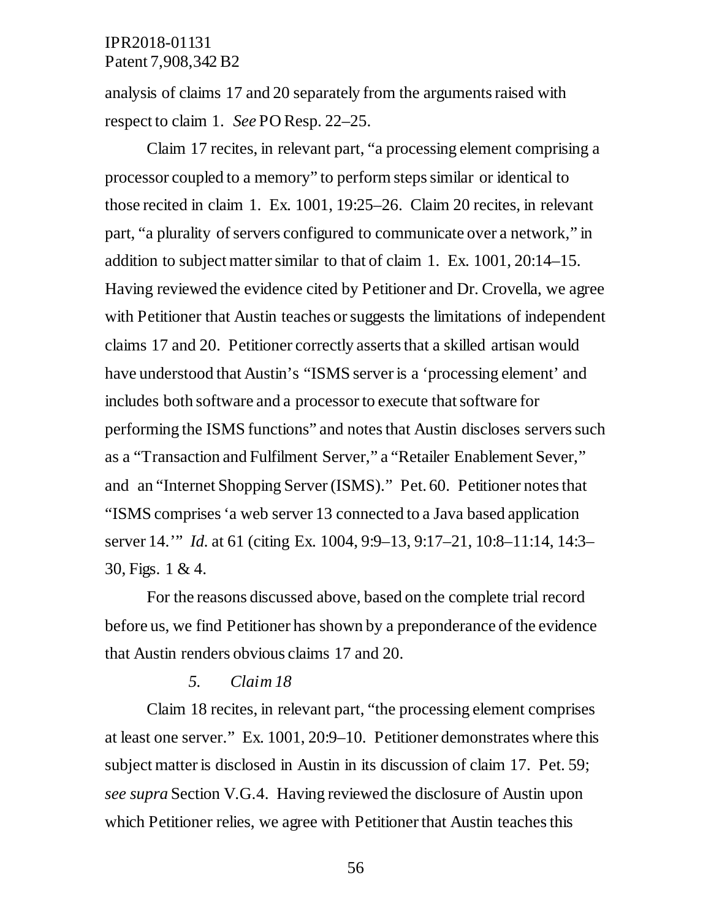analysis of claims 17 and 20 separately from the arguments raised with respect to claim 1. *See* PO Resp. 22–25.

Claim 17 recites, in relevant part, "a processing element comprising a processor coupled to a memory" to perform steps similar or identical to those recited in claim 1. Ex. 1001, 19:25–26. Claim 20 recites, in relevant part, "a plurality of servers configured to communicate over a network," in addition to subject matter similar to that of claim 1. Ex. 1001, 20:14–15. Having reviewed the evidence cited by Petitioner and Dr. Crovella, we agree with Petitioner that Austin teaches or suggests the limitations of independent claims 17 and 20. Petitioner correctly asserts that a skilled artisan would have understood that Austin's "ISMS server is a 'processing element' and includes both software and a processor to execute that software for performing the ISMS functions" and notes that Austin discloses servers such as a "Transaction and Fulfilment Server," a "Retailer Enablement Sever," and an "Internet Shopping Server (ISMS)." Pet. 60. Petitioner notes that "ISMS comprises 'a web server 13 connected to a Java based application server 14.'" *Id.* at 61 (citing Ex. 1004, 9:9–13, 9:17–21, 10:8–11:14, 14:3– 30, Figs. 1 & 4.

For the reasons discussed above, based on the complete trial record before us, we find Petitioner has shown by a preponderance of the evidence that Austin renders obvious claims 17 and 20.

#### *5. Claim 18*

Claim 18 recites, in relevant part, "the processing element comprises at least one server." Ex. 1001, 20:9–10. Petitioner demonstrates where this subject matter is disclosed in Austin in its discussion of claim 17. Pet. 59; *see supra* Section V.G.4. Having reviewed the disclosure of Austin upon which Petitioner relies, we agree with Petitioner that Austin teaches this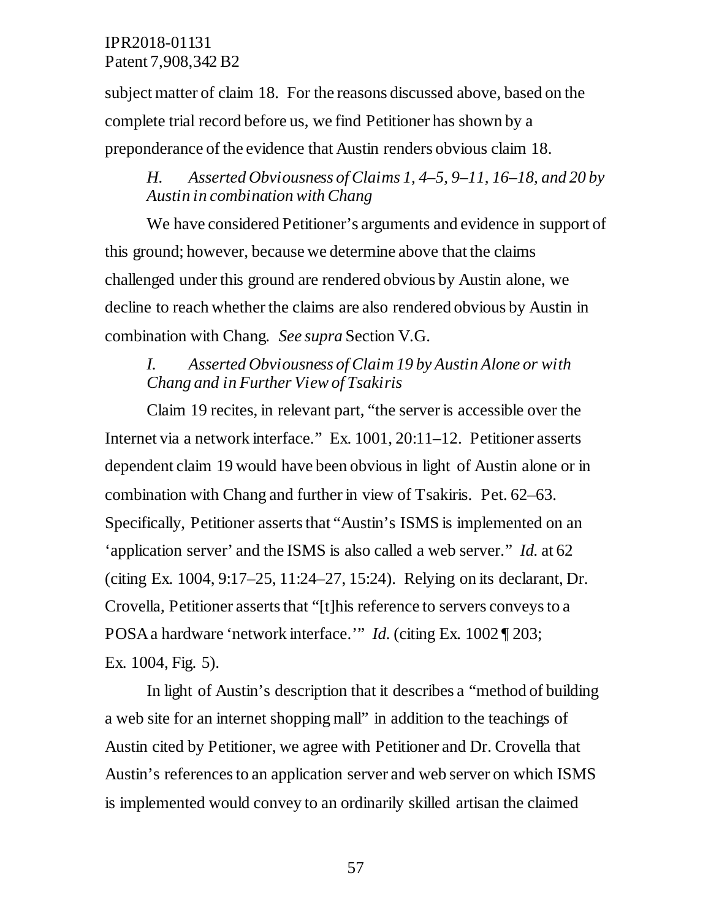subject matter of claim 18. For the reasons discussed above, based on the complete trial record before us, we find Petitioner has shown by a preponderance of the evidence that Austin renders obvious claim 18.

## *H. Asserted Obviousness of Claims 1, 4–5, 9–11, 16–18, and 20 by Austin in combination with Chang*

We have considered Petitioner's arguments and evidence in support of this ground; however, because we determine above that the claims challenged under this ground are rendered obvious by Austin alone, we decline to reach whether the claims are also rendered obvious by Austin in combination with Chang. *See supra* Section V.G.

## *I. Asserted Obviousness of Claim 19 by Austin Alone or with Chang and in Further View of Tsakiris*

Claim 19 recites, in relevant part, "the server is accessible over the Internet via a network interface." Ex. 1001, 20:11–12. Petitioner asserts dependent claim 19 would have been obvious in light of Austin alone or in combination with Chang and further in view of Tsakiris. Pet. 62–63. Specifically, Petitioner asserts that "Austin's ISMS is implemented on an 'application server' and the ISMS is also called a web server." *Id.* at 62 (citing Ex. 1004, 9:17–25, 11:24–27, 15:24). Relying on its declarant, Dr. Crovella, Petitioner asserts that "[t]his reference to servers conveys to a POSA a hardware 'network interface.'" *Id.* (citing Ex. 1002 ¶ 203; Ex. 1004, Fig. 5).

In light of Austin's description that it describes a "method of building a web site for an internet shopping mall" in addition to the teachings of Austin cited by Petitioner, we agree with Petitioner and Dr. Crovella that Austin's references to an application server and web server on which ISMS is implemented would convey to an ordinarily skilled artisan the claimed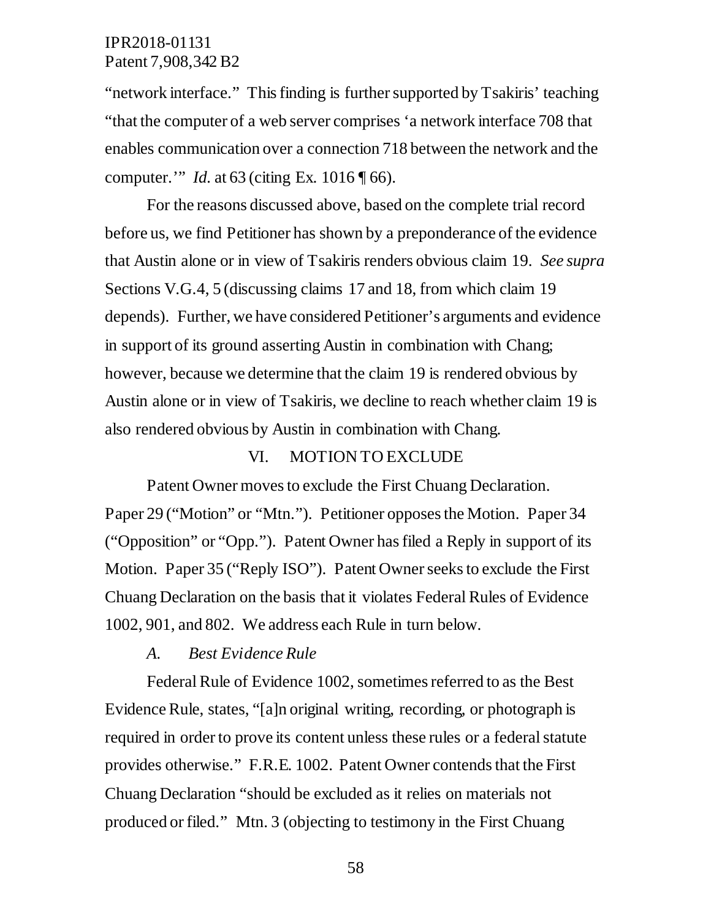"network interface." This finding is further supported by Tsakiris' teaching "that the computer of a web server comprises 'a network interface 708 that enables communication over a connection 718 between the network and the computer.'" *Id.* at 63 (citing Ex. 1016 ¶ 66).

For the reasons discussed above, based on the complete trial record before us, we find Petitioner has shown by a preponderance of the evidence that Austin alone or in view of Tsakiris renders obvious claim 19. *See supra* Sections V.G.4, 5 (discussing claims 17 and 18, from which claim 19 depends). Further, we have considered Petitioner's arguments and evidence in support of its ground asserting Austin in combination with Chang; however, because we determine that the claim 19 is rendered obvious by Austin alone or in view of Tsakiris, we decline to reach whether claim 19 is also rendered obvious by Austin in combination with Chang.

#### VI. MOTION TO EXCLUDE

Patent Owner moves to exclude the First Chuang Declaration. Paper 29 ("Motion" or "Mtn."). Petitioner opposes the Motion. Paper 34 ("Opposition" or "Opp."). Patent Owner has filed a Reply in support of its Motion. Paper 35 ("Reply ISO"). Patent Owner seeks to exclude the First Chuang Declaration on the basis that it violates Federal Rules of Evidence 1002, 901, and 802. We address each Rule in turn below.

#### *A. Best Evidence Rule*

Federal Rule of Evidence 1002, sometimes referred to as the Best Evidence Rule, states, "[a]n original writing, recording, or photograph is required in order to prove its content unless these rules or a federal statute provides otherwise." F.R.E. 1002. Patent Owner contends that the First Chuang Declaration "should be excluded as it relies on materials not produced or filed." Mtn. 3 (objecting to testimony in the First Chuang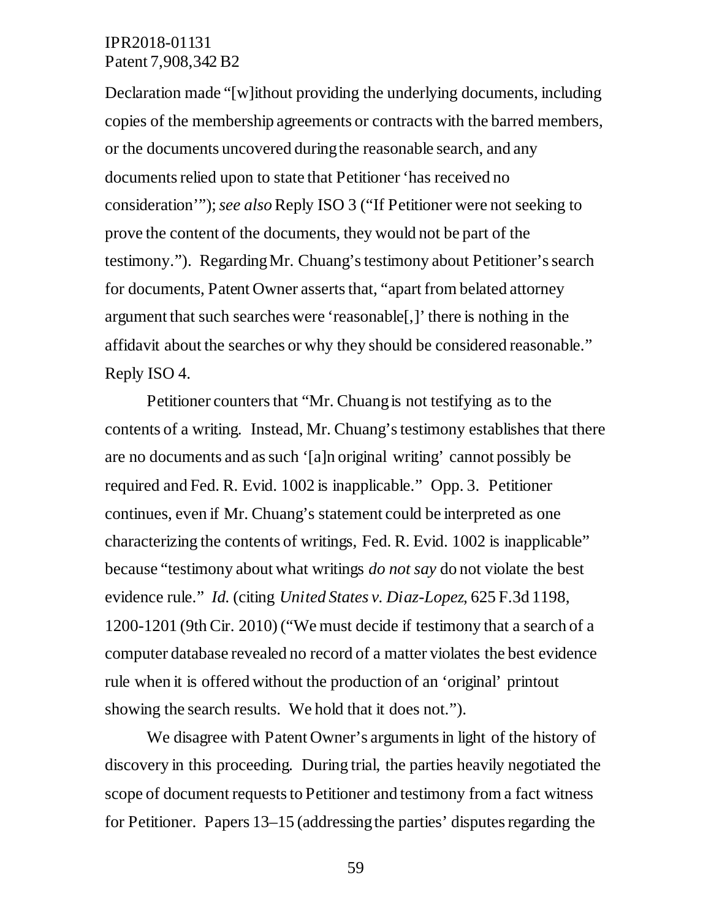Declaration made "[w]ithout providing the underlying documents, including copies of the membership agreements or contracts with the barred members, or the documents uncovered during the reasonable search, and any documents relied upon to state that Petitioner 'has received no consideration'"); *see also* Reply ISO 3 ("If Petitioner were not seeking to prove the content of the documents, they would not be part of the testimony."). Regarding Mr. Chuang's testimony about Petitioner's search for documents, Patent Owner asserts that, "apart from belated attorney argument that such searches were 'reasonable[,]' there is nothing in the affidavit about the searches or why they should be considered reasonable." Reply ISO 4.

Petitioner counters that "Mr. Chuang is not testifying as to the contents of a writing. Instead, Mr. Chuang's testimony establishes that there are no documents and as such '[a]n original writing' cannot possibly be required and Fed. R. Evid. 1002 is inapplicable." Opp. 3. Petitioner continues, even if Mr. Chuang's statement could be interpreted as one characterizing the contents of writings, Fed. R. Evid. 1002 is inapplicable" because "testimony about what writings *do not say* do not violate the best evidence rule." *Id.* (citing *United States v. Diaz-Lopez*, 625 F.3d 1198, 1200-1201 (9th Cir. 2010) ("We must decide if testimony that a search of a computer database revealed no record of a matter violates the best evidence rule when it is offered without the production of an 'original' printout showing the search results. We hold that it does not.").

We disagree with Patent Owner's arguments in light of the history of discovery in this proceeding. During trial, the parties heavily negotiated the scope of document requests to Petitioner and testimony from a fact witness for Petitioner. Papers 13–15 (addressing the parties' disputes regarding the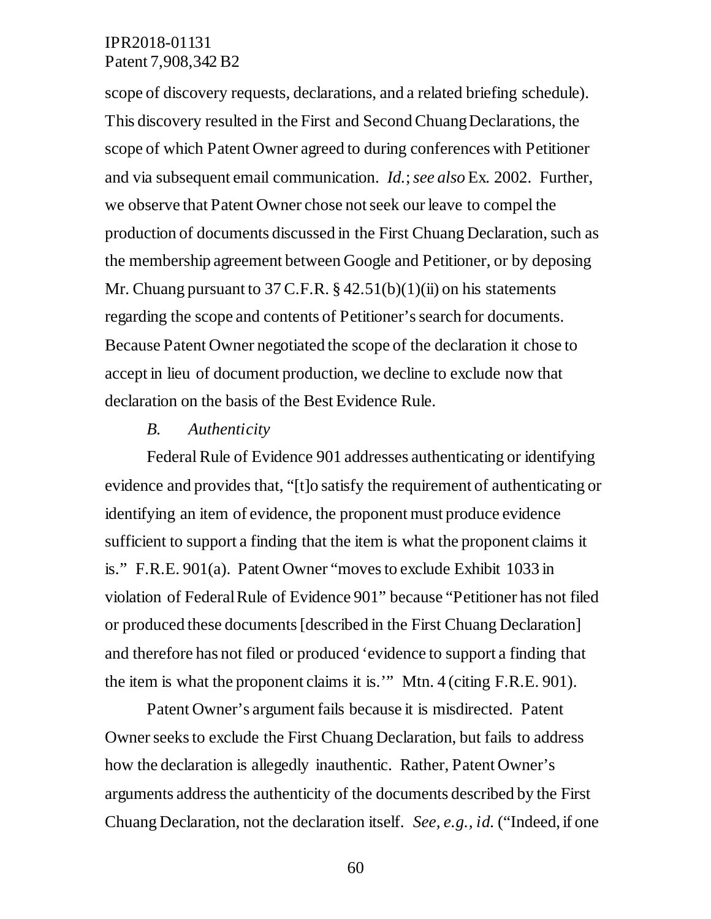scope of discovery requests, declarations, and a related briefing schedule). This discovery resulted in the First and Second Chuang Declarations, the scope of which Patent Owner agreed to during conferences with Petitioner and via subsequent email communication. *Id.*; *see also* Ex. 2002. Further, we observe that Patent Owner chose not seek our leave to compel the production of documents discussed in the First Chuang Declaration, such as the membership agreement between Google and Petitioner, or by deposing Mr. Chuang pursuant to 37 C.F.R.  $\S$  42.51(b)(1)(ii) on his statements regarding the scope and contents of Petitioner's search for documents. Because Patent Owner negotiated the scope of the declaration it chose to accept in lieu of document production, we decline to exclude now that declaration on the basis of the Best Evidence Rule.

#### *B. Authenticity*

Federal Rule of Evidence 901 addresses authenticating or identifying evidence and provides that, "[t]o satisfy the requirement of authenticating or identifying an item of evidence, the proponent must produce evidence sufficient to support a finding that the item is what the proponent claims it is." F.R.E. 901(a). Patent Owner "moves to exclude Exhibit 1033 in violation of Federal Rule of Evidence 901" because "Petitioner has not filed or produced these documents [described in the First Chuang Declaration] and therefore has not filed or produced 'evidence to support a finding that the item is what the proponent claims it is.'" Mtn. 4 (citing F.R.E. 901).

Patent Owner's argument fails because it is misdirected. Patent Owner seeks to exclude the First Chuang Declaration, but fails to address how the declaration is allegedly inauthentic. Rather, Patent Owner's arguments address the authenticity of the documents described by the First Chuang Declaration, not the declaration itself. *See, e.g., id.* ("Indeed, if one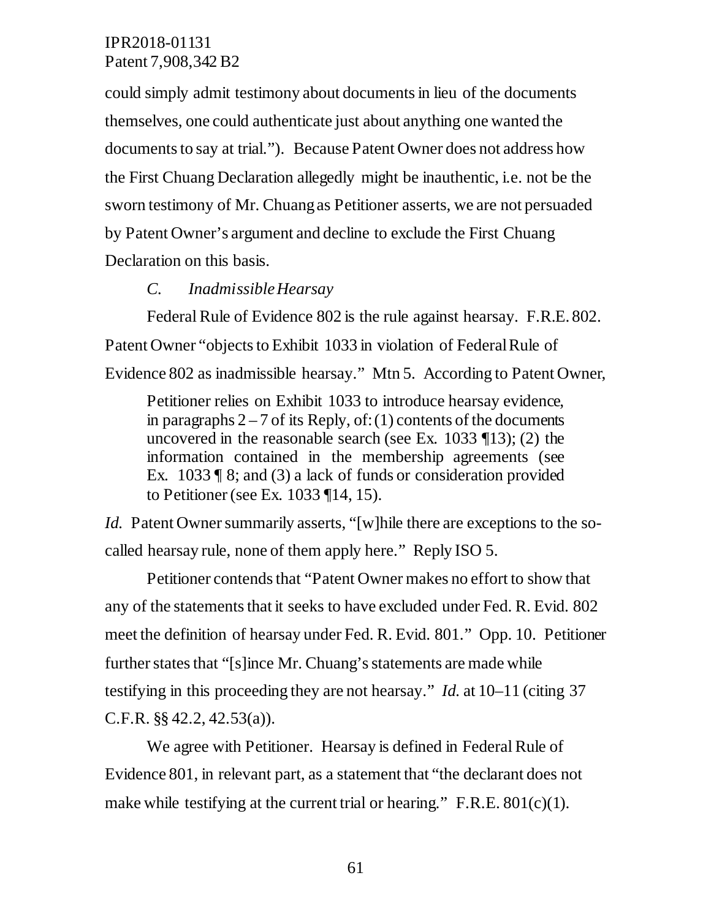could simply admit testimony about documents in lieu of the documents themselves, one could authenticate just about anything one wanted the documents to say at trial."). Because Patent Owner does not address how the First Chuang Declaration allegedly might be inauthentic, i.e. not be the sworn testimony of Mr. Chuang as Petitioner asserts, we are not persuaded by Patent Owner's argument and decline to exclude the First Chuang Declaration on this basis.

#### *C. Inadmissible Hearsay*

Federal Rule of Evidence 802 is the rule against hearsay. F.R.E. 802. Patent Owner "objects to Exhibit 1033 in violation of Federal Rule of Evidence 802 as inadmissible hearsay." Mtn 5. According to Patent Owner,

Petitioner relies on Exhibit 1033 to introduce hearsay evidence, in paragraphs  $2 - 7$  of its Reply, of: (1) contents of the documents uncovered in the reasonable search (see Ex. 1033 ¶13); (2) the information contained in the membership agreements (see Ex. 1033 ¶ 8; and (3) a lack of funds or consideration provided to Petitioner (see Ex. 1033 ¶14, 15).

*Id.* Patent Owner summarily asserts, "[w]hile there are exceptions to the socalled hearsay rule, none of them apply here." Reply ISO 5.

Petitioner contends that "Patent Owner makes no effort to show that any of the statements that it seeks to have excluded under Fed. R. Evid. 802 meet the definition of hearsay under Fed. R. Evid. 801." Opp. 10. Petitioner further states that "[s]ince Mr. Chuang's statements are made while testifying in this proceeding they are not hearsay." *Id.* at 10–11 (citing 37 C.F.R. §§ 42.2, 42.53(a)).

We agree with Petitioner. Hearsay is defined in Federal Rule of Evidence 801, in relevant part, as a statement that "the declarant does not make while testifying at the current trial or hearing." F.R.E.  $801(c)(1)$ .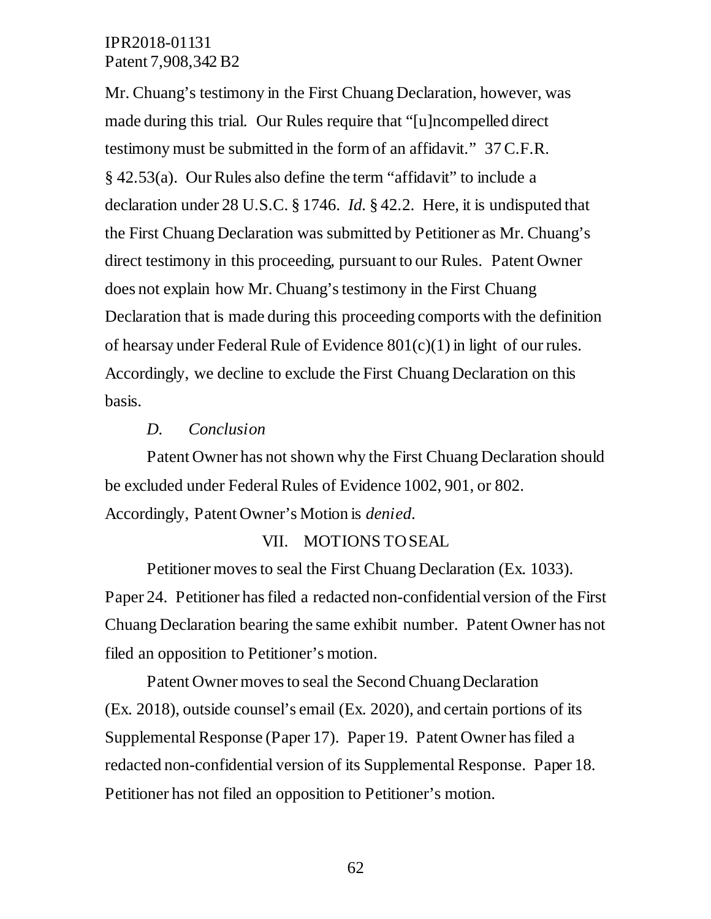Mr. Chuang's testimony in the First Chuang Declaration, however, was made during this trial. Our Rules require that "[u]ncompelled direct testimony must be submitted in the form of an affidavit." 37 C.F.R. § 42.53(a). Our Rules also define the term "affidavit" to include a declaration under 28 U.S.C. § 1746. *Id.* § 42.2. Here, it is undisputed that the First Chuang Declaration was submitted by Petitioner as Mr. Chuang's direct testimony in this proceeding, pursuant to our Rules. Patent Owner does not explain how Mr. Chuang's testimony in the First Chuang Declaration that is made during this proceeding comports with the definition of hearsay under Federal Rule of Evidence 801(c)(1) in light of our rules. Accordingly, we decline to exclude the First Chuang Declaration on this basis.

#### *D. Conclusion*

Patent Owner has not shown why the First Chuang Declaration should be excluded under Federal Rules of Evidence 1002, 901, or 802. Accordingly, Patent Owner's Motion is *denied*.

#### VII. MOTIONS TO SEAL

Petitioner moves to seal the First Chuang Declaration (Ex. 1033). Paper 24. Petitioner has filed a redacted non-confidential version of the First Chuang Declaration bearing the same exhibit number. Patent Owner has not filed an opposition to Petitioner's motion.

Patent Owner moves to seal the Second Chuang Declaration (Ex. 2018), outside counsel's email (Ex. 2020), and certain portions of its Supplemental Response (Paper 17). Paper 19. Patent Owner has filed a redacted non-confidential version of its Supplemental Response. Paper 18. Petitioner has not filed an opposition to Petitioner's motion.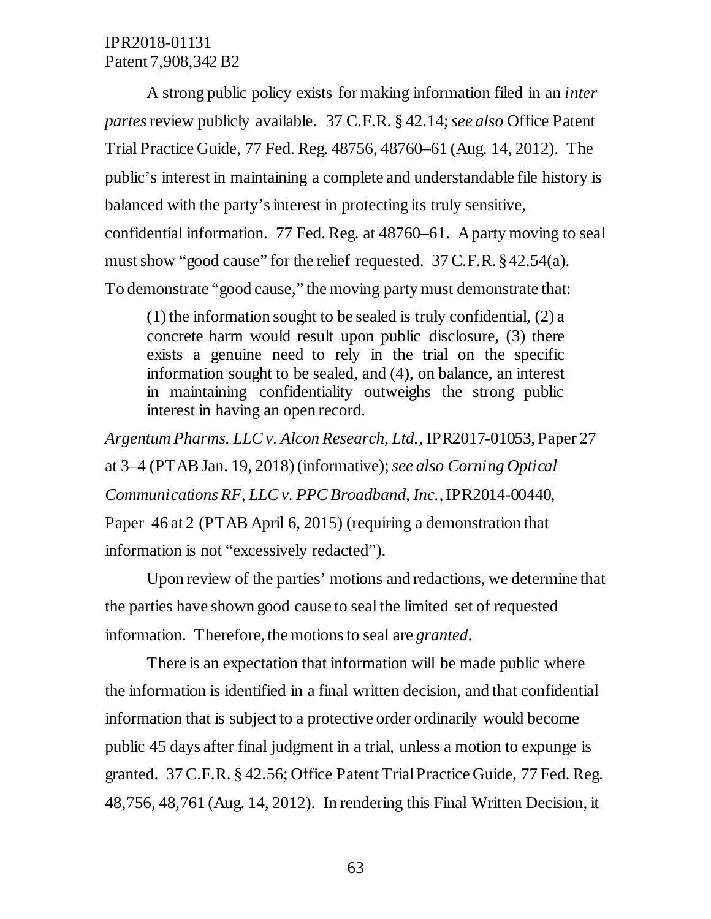A strong public policy exists for making information filed in an *inter partes* review publicly available. 37 C.F.R. § 42.14; *see also* Office Patent Trial Practice Guide, 77 Fed. Reg. 48756, 48760–61 (Aug. 14, 2012). The public's interest in maintaining a complete and understandable file history is balanced with the party's interest in protecting its truly sensitive, confidential information. 77 Fed. Reg. at 48760–61. A party moving to seal must show "good cause" for the relief requested. 37 C.F.R. § 42.54(a). To demonstrate "good cause," the moving party must demonstrate that:

(1) the information sought to be sealed is truly confidential, (2) a concrete harm would result upon public disclosure, (3) there exists a genuine need to rely in the trial on the specific information sought to be sealed, and (4), on balance, an interest in maintaining confidentiality outweighs the strong public interest in having an open record.

*Argentum Pharms. LLC v. Alcon Research, Ltd.*, IPR2017-01053, Paper 27 at 3–4 (PTAB Jan. 19, 2018) (informative); *see also Corning Optical Communications RF, LLC v. PPC Broadband, Inc.*, IPR2014-00440, Paper 46 at 2 (PTAB April 6, 2015) (requiring a demonstration that information is not "excessively redacted").

Upon review of the parties' motions and redactions, we determine that the parties have shown good cause to seal the limited set of requested information. Therefore, the motions to seal are *granted*.

There is an expectation that information will be made public where the information is identified in a final written decision, and that confidential information that is subject to a protective order ordinarily would become public 45 days after final judgment in a trial, unless a motion to expunge is granted. 37 C.F.R. § 42.56; Office Patent Trial Practice Guide, 77 Fed. Reg. 48,756, 48,761 (Aug. 14, 2012). In rendering this Final Written Decision, it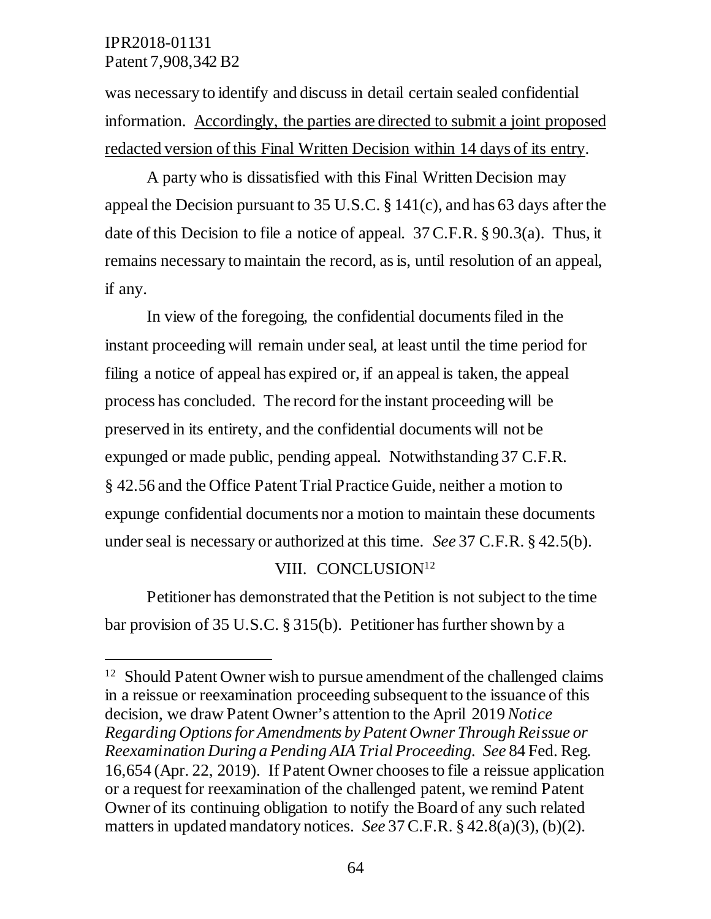$\overline{a}$ 

was necessary to identify and discuss in detail certain sealed confidential information. Accordingly, the parties are directed to submit a joint proposed redacted version of this Final Written Decision within 14 days of its entry.

A party who is dissatisfied with this Final Written Decision may appeal the Decision pursuant to 35 U.S.C. § 141(c), and has 63 days after the date of this Decision to file a notice of appeal. 37 C.F.R. § 90.3(a). Thus, it remains necessary to maintain the record, as is, until resolution of an appeal, if any.

In view of the foregoing, the confidential documents filed in the instant proceeding will remain under seal, at least until the time period for filing a notice of appeal has expired or, if an appeal is taken, the appeal process has concluded. The record for the instant proceeding will be preserved in its entirety, and the confidential documents will not be expunged or made public, pending appeal. Notwithstanding 37 C.F.R. § 42.56 and the Office Patent Trial Practice Guide, neither a motion to expunge confidential documents nor a motion to maintain these documents under seal is necessary or authorized at this time. *See* 37 C.F.R. § 42.5(b).

### VIII. CONCLUSION<sup>12</sup>

Petitioner has demonstrated that the Petition is not subject to the time bar provision of 35 U.S.C. § 315(b). Petitioner has further shown by a

<sup>&</sup>lt;sup>12</sup> Should Patent Owner wish to pursue amendment of the challenged claims in a reissue or reexamination proceeding subsequent to the issuance of this decision, we draw Patent Owner's attention to the April 2019 *Notice Regarding Options for Amendments by Patent Owner Through Reissue or Reexamination During a Pending AIA Trial Proceeding. See* 84 Fed. Reg. 16,654 (Apr. 22, 2019). If Patent Owner chooses to file a reissue application or a request for reexamination of the challenged patent, we remind Patent Owner of its continuing obligation to notify the Board of any such related matters in updated mandatory notices. *See* 37 C.F.R. § 42.8(a)(3), (b)(2).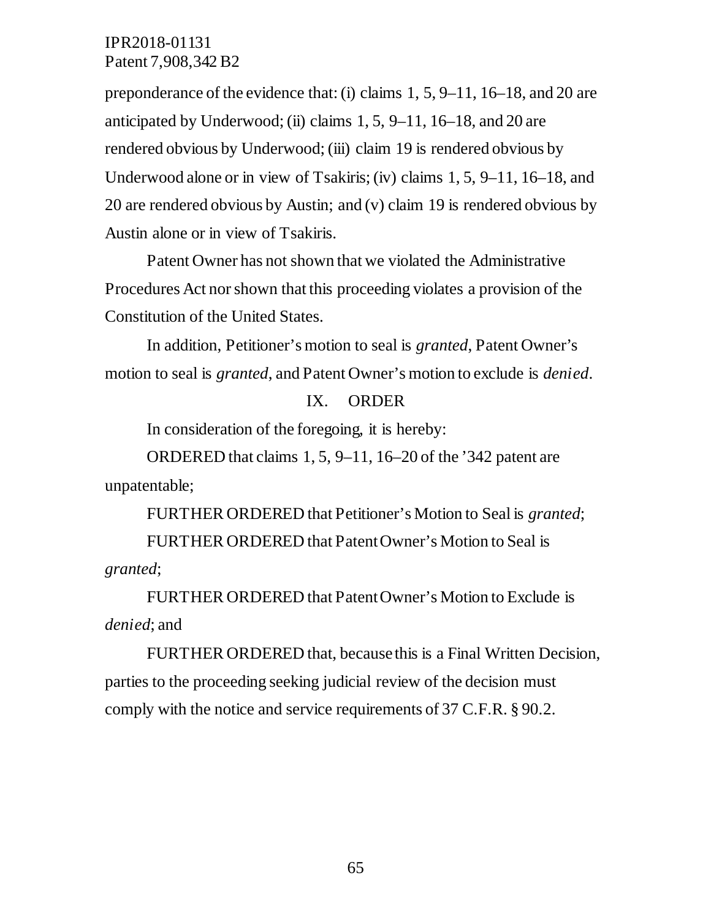preponderance of the evidence that: (i) claims 1, 5, 9–11, 16–18, and 20 are anticipated by Underwood; (ii) claims 1, 5, 9–11, 16–18, and 20 are rendered obvious by Underwood; (iii) claim 19 is rendered obvious by Underwood alone or in view of Tsakiris; (iv) claims 1, 5, 9–11, 16–18, and 20 are rendered obvious by Austin; and (v) claim 19 is rendered obvious by Austin alone or in view of Tsakiris.

Patent Owner has not shown that we violated the Administrative Procedures Act nor shown that this proceeding violates a provision of the Constitution of the United States.

In addition, Petitioner's motion to seal is *granted*, Patent Owner's motion to seal is *granted*, and Patent Owner's motion to exclude is *denied*.

#### IX. ORDER

In consideration of the foregoing, it is hereby:

ORDERED that claims 1, 5, 9–11, 16–20 of the '342 patent are unpatentable;

FURTHER ORDERED that Petitioner's Motion to Seal is *granted*;

FURTHER ORDERED that Patent Owner's Motion to Seal is *granted*;

FURTHER ORDERED that Patent Owner's Motion to Exclude is *denied*; and

FURTHER ORDERED that, because this is a Final Written Decision, parties to the proceeding seeking judicial review of the decision must comply with the notice and service requirements of 37 C.F.R. § 90.2.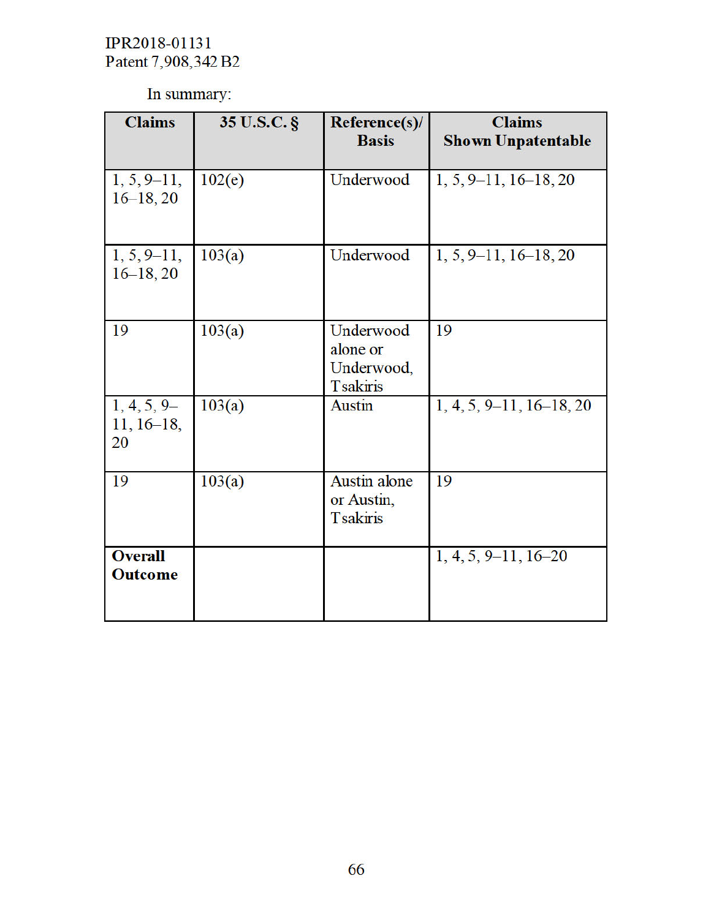In summary:

| <b>Claims</b>                       | 35 U.S.C. § | Reference(s)/<br><b>Basis</b>                          | <b>Claims</b><br><b>Shown Unpatentable</b> |
|-------------------------------------|-------------|--------------------------------------------------------|--------------------------------------------|
| $1, 5, 9-11,$<br>$16-18, 20$        | 102(e)      | Underwood                                              | $1, 5, 9-11, 16-18, 20$                    |
| $1, 5, 9-11,$<br>$16-18, 20$        | 103(a)      | Underwood                                              | $1, 5, 9-11, 16-18, 20$                    |
| 19                                  | 103(a)      | Underwood<br>alone or<br>Underwood,<br><b>Tsakiris</b> | 19                                         |
| $1, 4, 5, 9-$<br>$11, 16-18,$<br>20 | 103(a)      | <b>Austin</b>                                          | $1, 4, 5, 9-11, 16-18, 20$                 |
| 19                                  | 103(a)      | <b>Austin alone</b><br>or Austin,<br><b>Tsakiris</b>   | 19                                         |
| <b>Overall</b><br><b>Outcome</b>    |             |                                                        | $1, 4, 5, 9-11, 16-20$                     |